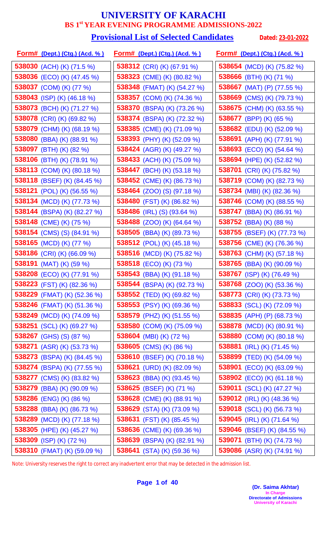#### **Provisional List of Selected Candidates** Dated: 23-01-2022

| <u>Form# (Dept.) (Ctg.) (Acd. % )</u> | <u>Form# (Dept.) (Ctg.) (Acd. %)</u> | <u>Form# (Dept.) (Ctg.) (Acd. %)</u> |
|---------------------------------------|--------------------------------------|--------------------------------------|
| 538030 (ACH) (K) (71.5 %)             | <b>538312</b> (CRI) (K) (67.91 %)    | 538654 (MCD) (K) (75.82 %)           |
| <b>538036</b> (ECO) (K) (47.45 %)     | 538323 (CME) (K) (80.82 %)           | 538666 (BTH) (K) (71 %)              |
| 538037 (COM) (K) (77 %)               | 538348 (FMAT) (K) (54.27 %)          | 538667 (MAT) (P) (77.55 %)           |
| 538043 (ISP) (K) $(46.18\%)$          | <b>538357</b> (COM) (K) (74.36 %)    | 538669 (CMS) (K) (79.73 %)           |
| 538073 (BCH) (K) (71.27 %)            | 538370 (BSPA) (K) (73.26 %)          | 538675 (CHM) (K) (63.55 %)           |
| <b>538078</b> (CRI) (K) (69.82 %)     | 538374 (BSPA) (K) (72.32 %)          | 538677 (BPP) (K) (65 %)              |
| 538079 (CHM) (K) (68.19 %)            | 538385 (CME) (K) (71.09 %)           | 538682 (EDU) (K) (52.09 %)           |
| 538080 (BBA) (K) (88.91 %)            | 538393 (PHY) (K) (52.09 %)           | 538691 (APH) (K) (77.91 %)           |
| 538097 (BTH) (K) (82 %)               | 538424 (AGR) (K) (49.27 %)           | 538693 (ECO) (K) (54.64 %)           |
| 538106 (BTH) (K) (78.91 %)            | 538433 (ACH) (K) (75.09 %)           | 538694 (HPE) (K) (52.82 %)           |
| 538113 (COM) (K) (80.18 %)            | 538447 (BCH) (K) (53.18 %)           | 538701 (CRI) (K) (75.82 %)           |
| <b>538118</b> (BSEF) (K) (84.45 %)    | 538452 (CME) (K) (86.73 %)           | 538719 (COM) (K) (82.73 %)           |
| 538121 (POL) (K) (56.55 %)            | <b>538464</b> (ZOO) (S) (97.18 %)    | 538734 (MBI) (K) (82.36 %)           |
| 538134 (MCD) (K) (77.73 %)            | 538480 (FST) (K) (86.82 %)           | <b>538746</b> (COM) (K) (88.55 %)    |
| 538144 (BSPA) (K) (82.27 %)           | 538486 (IRL) (S) (93.64 %)           | <b>538747</b> (BBA) (K) (86.91 %)    |
| 538148 (CME) (K) (75 %)               | 538488 (ZOO) (K) (64.64 %)           | 538752 (BBA) (K) (88 %)              |
| <b>538154</b> (CMS) (S) (84.91 %)     | 538505 (BBA) (K) (89.73 %)           | 538755 (BSEF) (K) (77.73 %)          |
| 538165 (MCD) (K) (77 %)               | <b>538512</b> (POL) (K) (45.18 %)    | <b>538756</b> (CME) (K) (76.36 %)    |
| <b>538186</b> (CRI) (K) (66.09 %)     | <b>538516</b> (MCD) (K) (75.82 %)    | 538763 (CHM) (K) (57.18 %)           |
| 538191 (MAT) (K) (59 %)               | 538518 (ECO) (K) (73 %)              | <b>538765</b> (BBA) (K) (90.09 %)    |
| 538208 (ECO) (K) (77.91 %)            | 538543 (BBA) (K) (91.18 %)           | 538767 (ISP) (K) (76.49 %)           |
| 538223 (FST) (K) (82.36 %)            | 538544 (BSPA) (K) (92.73 %)          | <b>538768</b> (ZOO) (K) (53.36 %)    |
| 538229 (FMAT) (K) $(52.36\%)$         | 538552 (TED) (K) (69.82 %)           | 538773 (CRI) (K) (73.73 %)           |
| <b>538246</b> (FMAT) (K) (51.36 %)    | <b>538553</b> (PSY) (K) (69.36 %)    | <b>538833</b> (SCL) (K) (72.09 %)    |
| 538249 (MCD) (K) (74.09 %)            | 538579 (PHZ) (K) (51.55 %)           | 538835 (APH) (P) (68.73 %)           |
| 538251 (SCL) (K) (69.27 %)            | 538580 (COM) (K) (75.09 %)           | <b>538878</b> (MCD) (K) (80.91 %)    |
| <b>538267</b> (GHS) (S) (87 %)        | 538604 (MBI) (K) (72 %)              | 538880 (COM) (K) (80.18 %)           |
| 538271 (ASR) (K) (53.73 %)            | <b>538605</b> (CMS) (K) (86 %)       | 538881 (IRL) (K) $(71.45\%)$         |
| <b>538273</b> (BSPA) (K) (84.45 %)    | 538610 (BSEF) (K) (70.18 %)          | <b>538899</b> (TED) (K) (54.09 %)    |
| 538274 (BSPA) (K) (77.55 %)           | 538621 (URD) (K) (82.09 %)           | <b>538901</b> (ECO) (K) (63.09 %)    |
| <b>538277</b> (CMS) (K) (83.82 %)     | 538623 (BBA) (K) (93.45 %)           | <b>538902</b> (ECO) (K) (61.18 %)    |
| <b>538279</b> (BBA) (K) (90.09 %)     | 538625 (BSEF) (K) (71 %)             | <b>539011</b> (SCL) (K) (47.27 %)    |
| 538286 (ENG) (K) (86 %)               | 538628 (CME) (K) (88.91 %)           | 539012 (IRL) (K) (48.36 %)           |
| 538288 (BBA) (K) (86.73 %)            | 538629 (STA) (K) (73.09 %)           | <b>539018</b> (SCL) (K) (56.73 %)    |
| 538289 (MCD) (K) (77.18 %)            | 538631 (FST) (K) (85.45 %)           | 539045 (IRL) (K) $(71.64\%)$         |
| 538305 (HPE) (K) (45.27 %)            | 538636 (CME) (K) (69.36 %)           | 539046 (BSEF) (K) (84.55 %)          |
| 538309 (ISP) (K) (72 %)               | 538639 (BSPA) (K) (82.91 %)          | <b>539071</b> (BTH) (K) (74.73 %)    |
| 538310 (FMAT) (K) (59.09 %)           | 538641 (STA) (K) (59.36 %)           | 539086 (ASR) (K) (74.91 %)           |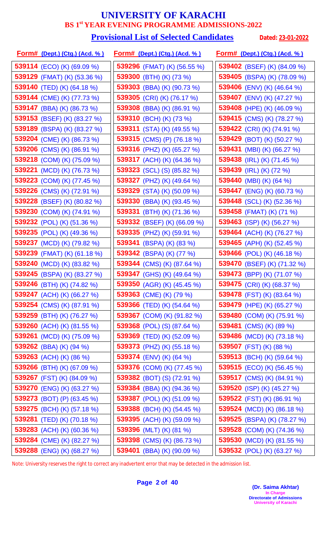#### **Provisional List of Selected Candidates** Dated: 23-01-2022

| <u>Form# (Dept.) (Ctg.) (Acd. %)</u> | <u>Form# (Dept.) (Ctg.) (Acd. %)</u> | <u>Form# (Dept.) (Ctg.) (Acd. %)</u> |
|--------------------------------------|--------------------------------------|--------------------------------------|
| 539114 (ECO) (K) (69.09 %)           | 539296 (FMAT) (K) (56.55 %)          | 539402 (BSEF) (K) (84.09 %)          |
| <b>539129</b> (FMAT) (K) (53.36 %)   | 539300 (BTH) (K) (73 %)              | 539405 (BSPA) (K) (78.09 %)          |
| 539140 (TED) (K) (64.18 %)           | 539303 (BBA) (K) (90.73 %)           | 539406 (ENV) (K) (46.64 %)           |
| 539144 (CME) (K) (77.73 %)           | <b>539305</b> (CRI) (K) (76.17 %)    | 539407 (ENV) (K) (47.27 %)           |
| 539147 (BBA) (K) (86.73 %)           | 539308 (BBA) (K) (86.91 %)           | 539408 (HPE) (K) (46.09 %)           |
| <b>539153</b> (BSEF) (K) (83.27 %)   | 539310 (BCH) (K) (73 %)              | 539415 (CMS) (K) (78.27 %)           |
| 539189 (BSPA) (K) (83.27 %)          | 539311 (STA) (K) $(49.55\%)$         | 539422 (CRI) (K) (74.91 %)           |
| 539204 (CME) (K) (86.73 %)           | 539315 (CMS) (P) (76.18 %)           | 539429 (BOT) (K) (50.27 %)           |
| <b>539206</b> (CMS) (K) (86.91 %)    | 539316 (PHZ) (K) (65.27 %)           | 539431 (MBI) (K) (66.27 %)           |
| 539218 (COM) (K) (75.09 %)           | 539317 (ACH) (K) (64.36 %)           | 539438 (IRL) (K) (71.45 %)           |
| <b>539221</b> (MCD) (K) (76.73 %)    | <b>539323</b> (SCL) (S) (85.82 %)    | 539439 (IRL) (K) (72 %)              |
| <b>539223</b> (COM) (K) (77.45 %)    | 539327 (PHZ) (K) (49.64 %)           | 539440 (MBI) (K) (64 %)              |
| 539226 (CMS) (K) (72.91 %)           | 539329 (STA) (K) (50.09 %)           | 539447 (ENG) (K) (60.73 %)           |
| <b>539228</b> (BSEF) (K) (80.82 %)   | 539330 (BBA) (K) (93.45 %)           | <b>539448</b> (SCL) (K) (52.36 %)    |
| 539230 (COM) (K) (74.91 %)           | 539331<br>$(BTH)$ (K) $(71.36\%)$    | 539458 (FMAT) (K) (71 %)             |
| 539232 (POL) (K) (51.36 %)           | 539332 (BSEF) (K) (66.09 %)          | 539463 (ISP) (K) (56.27 %)           |
| <b>539235</b> (POL) (K) (49.36 %)    | 539335 (PHZ) (K) (59.91 %)           | 539464 (ACH) (K) (76.27 %)           |
| 539237 (MCD) (K) (79.82 %)           | <b>539341</b> (BSPA) (K) (83 %)      | 539465 (APH) (K) $(52.45\%)$         |
| 539239 (FMAT) (K) (61.18 %)          | 539342 (BSPA) (K) (77 %)             | <b>539466</b> (POL) (K) (46.18 %)    |
| 539240 (MCD) (K) (83.82 %)           | 539344 (CMS) (K) (87.64 %)           | 539470 (BSEF) (K) (71.32 %)          |
| 539245 (BSPA) (K) (83.27 %)          | 539347 (GHS) (K) (49.64 %)           | 539473 (BPP) (K) (71.07 %)           |
| 539246 (BTH) (K) (74.82 %)           | 539350 (AGR) (K) (45.45 %)           | 539475 (CRI) (K) (68.37 %)           |
| <b>539247</b> (ACH) (K) (66.27 %)    | 539363 (CME) (K) (79 %)              | <b>539478</b> (FST) (K) (83.64 %)    |
| <b>539254</b> (CMS) (K) (87.91 %)    | <b>539366</b> (TED) (K) (54.64 %)    | <b>539479</b> (HPE) (K) (65.27 %)    |
| <b>539259</b> (BTH) (K) (76.27 %)    | 539367 (COM) (K) (91.82 %)           | <b>539480</b> (COM) (K) (75.91 %)    |
| <b>539260</b> (ACH) (K) (81.55 %)    | <b>539368</b> (POL) (S) (87.64 %)    | 539481 (CMS) (K) (89 %)              |
| 539261 (MCD) (K) (75.09 %)           | 539369 (TED) (K) (52.09 %)           | 539486 (MCD) (K) (73.18 %)           |
| 539262 (BBA) (K) (94 %)              | 539373 (PHZ) (K) $(55.18\%)$         | 539507 (FST) (K) (88 %)              |
| <b>539263</b> (ACH) (K) (86 %)       | <b>539374</b> (ENV) (K) (64 %)       | <b>539513</b> (BCH) (K) (59.64 %)    |
| <b>539266</b> (BTH) (K) (67.09 %)    | 539376 (COM) (K) (77.45 %)           | <b>539515</b> (ECO) (K) (56.45 %)    |
| 539267 (FST) (K) (84.09 %)           | <b>539382</b> (BOT) (S) (72.91 %)    | <b>539517</b> (CMS) (K) (84.91 %)    |
| <b>539270</b> (ENG) (K) (63.27 %)    | 539384 (BBA) (K) (94.36 %)           | 539520 (ISP) (K) $(45.27\%)$         |
| 539273 (BOT) (P) (63.45 %)           | <b>539387</b> (POL) (K) (51.09 %)    | 539522 (FST) (K) (86.91 %)           |
| <b>539275</b> (BCH) (K) (57.18 %)    | <b>539388</b> (BCH) (K) (54.45 %)    | 539524 (MCD) (K) (86.18 %)           |
| <b>539281</b> (TED) (K) (70.18 %)    | 539395 (ACH) (K) (59.09 %)           | 539525 (BSPA) (K) (78.27 %)          |
| 539283 (ACH) (K) (60.36 %)           | 539396 (MLT) (K) (81 %)              | 539528 (COM) (K) (74.36 %)           |
| 539284 (CME) (K) (82.27 %)           | 539398 (CMS) (K) (86.73 %)           | 539530 (MCD) (K) (81.55 %)           |
| 539288 (ENG) (K) (68.27 %)           | 539401 (BBA) (K) (90.09 %)           | 539532 (POL) (K) (63.27 %)           |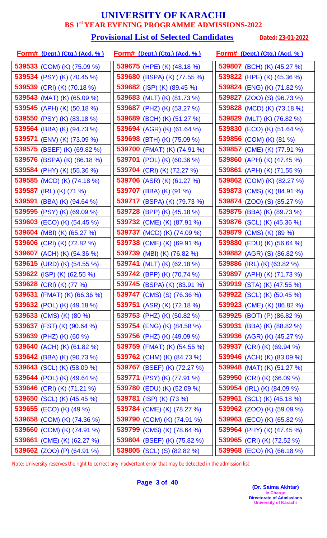#### **Provisional List of Selected Candidates** Dated: 23-01-2022

| <u>Form# (Dept.) (Ctg.) (Acd. %)</u> | <u>Form# (Dept.) (Ctg.) (Acd. %)</u> | <u>Form# (Dept.) (Ctg.) (Acd. % )</u> |
|--------------------------------------|--------------------------------------|---------------------------------------|
| 539533 (COM) (K) (75.09 %)           | 539675 (HPE) (K) (48.18 %)           | 539807 (BCH) (K) (45.27 %)            |
| 539534 (PSY) (K) (70.45 %)           | 539680 (BSPA) (K) (77.55 %)          | 539822 (HPE) (K) (45.36 %)            |
| 539539 (CRI) (K) (70.18 %)           | 539682 (ISP) (K) (89.45 %)           | 539824 (ENG) (K) (71.82 %)            |
| 539543 (MAT) (K) (65.09 %)           | 539683 (MLT) (K) (81.73 %)           | <b>539827</b> (ZOO) (S) (96.73 %)     |
| 539545 (APH) (K) (50.18 %)           | 539687 (PHZ) (K) (53.27 %)           | 539828 (MCD) (K) (73.18 %)            |
| 539550 (PSY) (K) (83.18 %)           | 539689 (BCH) (K) (51.27 %)           | 539829 (MLT) (K) (76.82 %)            |
| <b>539564</b> (BBA) (K) (94.73 %)    | 539694 (AGR) (K) (61.64 %)           | 539830 (ECO) (K) (51.64 %)            |
| 539571 (ENV) (K) (73.09 %)           | 539698 (BTH) (K) (75.09 %)           | 539856 (COM) (K) (81 %)               |
| 539575 (BSEF) (K) (69.82 %)          | 539700 (FMAT) (K) (74.91 %)          | 539857 (CME) (K) (77.91 %)            |
| 539576 (BSPA) (K) (86.18 %)          | 539701 (POL) (K) (60.36 %)           | 539860 (APH) (K) (47.45 %)            |
| 539584 (PHY) (K) (55.36 %)           | 539704 (CRI) (K) (72.27 %)           | 539861 (APH) (K) (71.55 %)            |
| 539585 (MCD) (K) (74.18 %)           | 539706 (ASR) (K) (61.27 %)           | 539862 (COM) (K) (82.27 %)            |
| 539587 (IRL) (K) (71 %)              | 539707 (BBA) (K) (91 %)              | 539873 (CMS) (K) (84.91 %)            |
| 539591 (BBA) (K) $(94.64\%)$         | 539717 (BSPA) (K) (79.73 %)          | 539874 (ZOO) (S) (85.27 %)            |
| 539595 (PSY) (K) (69.09 %)           | 539728 (BPP) (K) (45.18 %)           | <b>539875</b> (BBA) (K) (89.73 %)     |
| 539603 (ECO) (K) (54.45 %)           | 539732 (CME) (K) (87.91 %)           | 539876 (SCL) (K) (45.36 %)            |
| 539604 (MBI) (K) (65.27 %)           | 539737 (MCD) (K) (74.09 %)           | 539879 (CMS) (K) (89 %)               |
| 539606 (CRI) (K) (72.82 %)           | <b>539738</b> (CME) (K) (69.91 %)    | 539880 (EDU) (K) (56.64 %)            |
| <b>539607</b> (ACH) (K) (54.36 %)    | 539739 (MBI) (K) (76.82 %)           | <b>539882</b> (AGR) (S) (86.82 %)     |
| 539615 (URD) (K) (54.55 %)           | 539741 (MLT) (K) (62.18 %)           | 539886 (IRL) (K) (63.82 %)            |
| 539622 (ISP) (K) (62.55 %)           | 539742 (BPP) (K) (70.74 %)           | 539897 (APH) (K) (71.73 %)            |
| 539628 (CRI) (K) (77 %)              | 539745 (BSPA) (K) (83.91 %)          | 539919 (STA) (K) (47.55 %)            |
| 539631 (FMAT) (K) (66.36 %)          | <b>539747</b> (CMS) (S) (76.36 %)    | <b>539922</b> (SCL) (K) (50.45 %)     |
| <b>539632</b> (POL) (K) (49.18 %)    | <b>539751</b> (ASR) (K) (72.18 %)    | <b>539923</b> (CME) (K) (86.82 %)     |
| 539633 (CMS) (K) (80 %)              | <b>539753</b> (PHZ) (K) (50.82 %)    | <b>539925</b> (BOT) (P) (86.82 %)     |
| 539637 (FST) (K) (90.64 %)           | <b>539754</b> (ENG) (K) (84.58 %)    | 539931 (BBA) (K) $(88.82\%)$          |
| 539639 (PHZ) (K) (60 %)              | <b>539756</b> (PHZ) (K) (49.09 %)    | 539936 (AGR) (K) (45.27 %)            |
| 539640 (ACH) (K) (61.82 %)           | <b>539759</b> (FMAT) (K) (54.55 %)   | 539937 (CRI) (K) (69.94 %)            |
| <b>539642</b> (BBA) (K) (90.73 %)    | <b>539762</b> (CHM) (K) (84.73 %)    | 539946 (ACH) (K) (83.09 %)            |
| 539643 (SCL) (K) (58.09 %)           | 539767 (BSEF) (K) (72.27 %)          | 539948 (MAT) (K) (51.27 %)            |
| 539644 (POL) (K) (49.64 %)           | 539771 (PSY) (K) (77.91 %)           | 539950 (CRI) (K) (66.09 %)            |
| 539646 (CRI) (K) (71.21 %)           | 539780 (EDU) (K) (52.09 %)           | 539954 (IRL) (K) (84.09 %)            |
| 539650 (SCL) (K) (45.45 %)           | 539781 (ISP) (K) (73 %)              | <b>539961</b> (SCL) (K) (45.18 %)     |
| <b>539655</b> (ECO) (K) (49 %)       | 539784 (CME) (K) (78.27 %)           | <b>539962</b> (ZOO) (K) (59.09 %)     |
| <b>539658</b> (COM) (K) (74.36 %)    | 539790 (COM) (K) (74.91 %)           | <b>539963</b> (ECO) (K) (65.82 %)     |
| 539660 (COM) (K) (74.91 %)           | 539799 (CMS) (K) (78.64 %)           | 539964 (PHY) (K) (47.45 %)            |
| 539661 (CME) (K) (62.27 %)           | 539804 (BSEF) (K) (75.82 %)          | 539965 (CRI) (K) (72.52 %)            |
| <b>539662</b> (ZOO) (P) (64.91 %)    | 539805 (SCL) (S) (82.82 %)           | 539968 (ECO) (K) (66.18 %)            |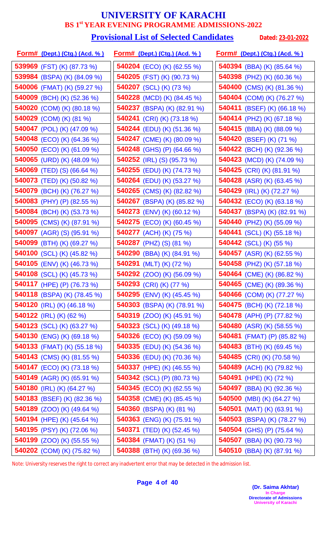# **Provisional List of Selected Candidates** Dated: 23-01-2022

| <u>Form# (Dept.) (Ctg.) (Acd. %)</u> | <u>Form# (Dept.) (Ctg.) (Acd. %)</u> | <u> Form# (Dept.) (Ctg.) (Acd. % )</u> |
|--------------------------------------|--------------------------------------|----------------------------------------|
| 539969 (FST) (K) (87.73 %)           | <b>540204</b> (ECO) (K) (62.55 %)    | 540394 (BBA) (K) (85.64 %)             |
| 539984 (BSPA) (K) (84.09 %)          | <b>540205</b> (FST) (K) (90.73 %)    | 540398 (PHZ) (K) (60.36 %)             |
| 540006 (FMAT) (K) (59.27 %)          | 540207 (SCL) (K) (73 %)              | <b>540400</b> (CMS) (K) (81.36 %)      |
| <b>540009</b> (BCH) (K) (52.36 %)    | <b>540228</b> (MCD) (K) (84.45 %)    | 540404 (COM) (K) (76.27 %)             |
| 540020 (COM) (K) (80.18 %)           | 540237 (BSPA) (K) (82.91 %)          | 540411 (BSEF) (K) (66.18 %)            |
| 540029 (COM) (K) (81 %)              | <b>540241</b> (CRI) (K) (73.18 %)    | <b>540414</b> (PHZ) (K) (67.18 %)      |
| 540047 (POL) (K) (47.09 %)           | <b>540244</b> (EDU) (K) (51.36 %)    | <b>540415</b> (BBA) (K) (88.09 %)      |
| 540048 (ECO) (K) (64.36 %)           | 540247 (CME) (K) (80.09 %)           | 540420 (BSEF) (K) (71 %)               |
| <b>540050</b> (ECO) (K) (61.09 %)    | <b>540248</b> (GHS) (P) (64.66 %)    | 540422 (BCH) (K) (92.36 %)             |
| 540065 (URD) (K) (48.09 %)           | 540252 (IRL) (S) $(95.73\%)$         | <b>540423</b> (MCD) (K) (74.09 %)      |
| <b>540069</b> (TED) (S) (66.64 %)    | 540255 (EDU) (K) (74.73 %)           | 540425 (CRI) (K) (81.91 %)             |
| 540073 (TED) (K) (50.82 %)           | <b>540264</b> (EDU) (K) (53.27 %)    | <b>540428</b> (ASR) (K) (63.45 %)      |
| 540079 (BCH) (K) (76.27 %)           | 540265 (CMS) (K) (82.82 %)           | 540429 (IRL) (K) (72.27 %)             |
| <b>540083</b> (PHY) (P) (82.55 %)    | <b>540267</b> (BSPA) (K) (85.82 %)   | <b>540432</b> (ECO) (K) (63.18 %)      |
| 540084 (BCH) (K) (53.73 %)           | 540273 (ENV) (K) (60.12 %)           | 540437 (BSPA) (K) (82.91 %)            |
| 540095 (CMS) (K) (87.91 %)           | 540275 (ECO) (K) (60.45 %)           | 540440 (PHZ) (K) (55.09 %)             |
| <b>540097</b> (AGR) (S) (95.91 %)    | <b>540277</b> (ACH) (K) (75 %)       | <b>540441</b> (SCL) (K) (55.18 %)      |
| 540099 (BTH) (K) (69.27 %)           | <b>540287</b> (PHZ) (S) (81 %)       | <b>540442</b> (SCL) (K) (55 %)         |
| 540100 (SCL) (K) (45.82 %)           | 540290 (BBA) (K) (84.91 %)           | <b>540457</b> (ASR) (K) (62.55 %)      |
| <b>540105</b> (ENV) (K) (46.73 %)    | 540291 (MLT) (K) (72 %)              | 540458 (PHZ) (K) (57.18 %)             |
| 540108 (SCL) (K) (45.73 %)           | <b>540292</b> (ZOO) (K) (56.09 %)    | 540464 (CME) (K) (86.82 %)             |
| 540117 (HPE) (P) (76.73 %)           | 540293 (CRI) (K) (77 %)              | 540465 (CME) (K) (89.36 %)             |
| <b>540118</b> (BSPA) (K) (78.45 %)   | <b>540295</b> (ENV) (K) (45.45 %)    | <b>540466</b> (COM) (K) (77.27 %)      |
| 540120 (IRL) (K) $(46.18\%)$         | <b>540303</b> (BSPA) (K) (78.91 %)   | <b>540475</b> (BCH) (K) (72.18 %)      |
| 540122 (IRL) (K) (62 %)              | <b>540319</b> (ZOO) (K) (45.91 %)    | <b>540478</b> (APH) (P) (77.82 %)      |
| <b>540123</b> (SCL) (K) (63.27 %)    | 540323 (SCL) (K) $(49.18\%)$         | 540480 (ASR) (K) $(58.55\%)$           |
| <b>540130</b> (ENG) (K) (69.18 %)    | <b>540326</b> (ECO) (K) (59.09 %)    | <b>540481</b> (FMAT) (P) (85.82 %)     |
| <b>540133</b> (FMAT) (K) (55.18 %)   | <b>540335</b> (EDU) (K) (54.36 %)    | <b>540483</b> (BTH) (K) (69.45 %)      |
| <b>540143</b> (CMS) (K) (81.55 %)    | <b>540336</b> (EDU) (K) (70.36 %)    | <b>540485</b> (CRI) (K) (70.58 %)      |
| <b>540147</b> (ECO) (K) (73.18 %)    | <b>540337</b> (HPE) (K) (46.55 %)    | 540489 (ACH) (K) (79.82 %)             |
| <b>540149</b> (AGR) (K) (65.91 %)    | 540342 (SCL) (P) (80.73 %)           | 540491 (HPE) (K) (72 %)                |
| 540180 (IRL) (K) (64.27 %)           | <b>540345</b> (ECO) (K) (62.55 %)    | <b>540497</b> (BBA) (K) (92.36 %)      |
| 540183 (BSEF) (K) (82.36 %)          | <b>540358</b> (CME) (K) (85.45 %)    | <b>540500</b> (MBI) (K) (64.27 %)      |
| <b>540189</b> (ZOO) (K) (49.64 %)    | 540360 (BSPA) (K) (81 %)             | <b>540501</b> (MAT) (K) (63.91 %)      |
| <b>540194</b> (HPE) (K) (45.64 %)    | 540363 (ENG) (K) (75.91 %)           | 540503 (BSPA) (K) (78.27 %)            |
| 540195 (PSY) (K) (72.06 %)           | 540371 (TED) (K) (52.45 %)           | 540504 (GHS) (P) (75.64 %)             |
| <b>540199</b> (ZOO) (K) (55.55 %)    | 540384 (FMAT) (K) (51 %)             | <b>540507</b> (BBA) (K) (90.73 %)      |
| 540202 (COM) (K) (75.82 %)           | 540388 (BTH) (K) (69.36 %)           | 540510 (BBA) (K) (87.91 %)             |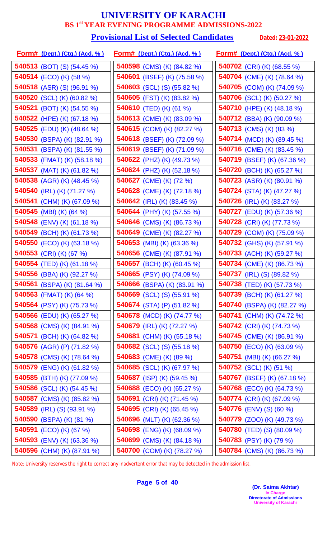#### **Provisional List of Selected Candidates** Dated: 23-01-2022

| <u>Form# (Dept.) (Ctg.) (Acd. %)</u> | <u>Form# (Dept.) (Ctg.) (Acd. %)</u> | <u>Form# (Dept.) (Ctg.) (Acd. % )</u> |
|--------------------------------------|--------------------------------------|---------------------------------------|
| 540513 (BOT) (S) $(54.45\%)$         | <b>540598</b> (CMS) (K) (84.82 %)    | 540702 (CRI) (K) (68.55 %)            |
| 540514 (ECO) (K) (58 %)              | 540601 (BSEF) (K) (75.58 %)          | 540704 (CME) (K) (78.64 %)            |
| <b>540518</b> (ASR) (S) (96.91 %)    | <b>540603</b> (SCL) (S) (55.82 %)    | 540705 (COM) (K) (74.09 %)            |
| 540520 (SCL) (K) (60.82 %)           | <b>540605</b> (FST) (K) (83.82 %)    | <b>540706</b> (SCL) (K) (50.27 %)     |
| <b>540521</b> (BOT) (K) (54.55 %)    | 540610 (TED) (K) (61 %)              | 540710 (HPE) (K) (48.18 %)            |
| <b>540522</b> (HPE) (K) (67.18 %)    | <b>540613</b> (CME) (K) (83.09 %)    | <b>540712</b> (BBA) (K) (90.09 %)     |
| 540525 (EDU) (K) (48.64 %)           | 540615 (COM) (K) (82.27 %)           | 540713 (CMS) (K) (83 %)               |
| 540530 (BSPA) (K) (82.91 %)          | 540618 (BSEF) (K) (72.09 %)          | <b>540714</b> (MCD) (K) (89.45 %)     |
| 540531 (BSPA) (K) (81.55 %)          | 540619 (BSEF) (K) (71.09 %)          | 540716 (CME) (K) (83.45 %)            |
| 540533 (FMAT) (K) (58.18 %)          | 540622 (PHZ) (K) (49.73 %)           | <b>540719</b> (BSEF) (K) (67.36 %)    |
| 540537 (MAT) (K) (61.82 %)           | <b>540624</b> (PHZ) (K) (52.18 %)    | 540720 (BCH) (K) (65.27 %)            |
| <b>540538</b> (AGR) (K) (48.45 %)    | 540627 (CME) (K) (72 %)              | <b>540723</b> (ASR) (K) (80.91 %)     |
| 540540 (IRL) (K) (71.27 %)           | <b>540628</b> (CME) (K) (72.18 %)    | <b>540724</b> (STA) (K) (47.27 %)     |
| 540541 (CHM) (K) (67.09 %)           | 540642 (IRL) (K) $(83.45\%)$         | <b>540726</b> (IRL) (K) (83.27 %)     |
| 540545 (MBI) (K) (64 %)              | 540644 (PHY) (K) (57.55 %)           | 540727 (EDU) (K) (57.36 %)            |
| 540548 (ENV) (K) (61.18 %)           | 540646 (CMS) (K) (86.73 %)           | 540728 (CRI) (K) (77.73 %)            |
| 540549 (BCH) (K) (61.73 %)           | 540649 (CME) (K) (82.27 %)           | 540729 (COM) (K) (75.09 %)            |
| <b>540550</b> (ECO) (K) (63.18 %)    | 540653 (MBI) (K) (63.36 %)           | 540732 (GHS) (K) (57.91 %)            |
| 540553 (CRI) (K) (67 %)              | <b>540656</b> (CME) (K) (87.91 %)    | 540733 (ACH) (K) (59.27 %)            |
| 540554 (TED) (K) (61.18 %)           | 540657 (BCH) (K) (60.45 %)           | <b>540734</b> (CME) (K) (86.73 %)     |
| 540556 (BBA) (K) (92.27 %)           | 540665 (PSY) (K) (74.09 %)           | 540737 (IRL) (S) (89.82 %)            |
| <b>540561</b> (BSPA) (K) (81.64 %)   | 540666 (BSPA) (K) (83.91 %)          | 540738 (TED) (K) (57.73 %)            |
| 540563 (FMAT) (K) $(64\%)$           | <b>540669</b> (SCL) (S) (55.91 %)    | 540739 (BCH) (K) (61.27 %)            |
| <b>540564</b> (PSY) (K) (75.73 %)    | 540674 (STA) (P) $(51.82\%)$         | <b>540740</b> (BSPA) (K) (82.27 %)    |
| <b>540566</b> (EDU) (K) (65.27 %)    | 540678 (MCD) (K) (74.77 %)           | 540741 (CHM) (K) (74.72 %)            |
| <b>540568</b> (CMS) (K) (84.91 %)    | 540679 (IRL) (K) $(72.27\%)$         | 540742 (CRI) (K) (74.73 %)            |
| <b>540571</b> (BCH) (K) (64.82 %)    | <b>540681</b> (CHM) (K) (55.18 %)    | <b>540745</b> (CME) (K) (86.91 %)     |
| <b>540576</b> (AGR) (P) (71.82 %)    | <b>540682</b> (SCL) (S) (55.18 %)    | <b>540750</b> (ECO) (K) (63.09 %)     |
| <b>540578</b> (CMS) (K) (78.64 %)    | <b>540683</b> (CME) (K) (89 %)       | <b>540751</b> (MBI) (K) (66.27 %)     |
| <b>540579</b> (ENG) (K) (61.82 %)    | <b>540685</b> (SCL) (K) (67.97 %)    | 540752 (SCL) (K) (51 %)               |
| <b>540585</b> (BTH) (K) (77.09 %)    | 540687 (ISP) (K) $(59.45\%)$         | <b>540767</b> (BSEF) (K) (67.18 %)    |
| 540586 (SCL) (K) (54.45 %)           | <b>540688</b> (ECO) (K) (65.27 %)    | <b>540768</b> (ECO) (K) (64.73 %)     |
| 540587 (CMS) (K) (85.82 %)           | 540691 (CRI) (K) (71.45 %)           | 540774 (CRI) (K) (67.09 %)            |
| <b>540589</b> (IRL) (S) (93.91 %)    | 540695 (CRI) (K) (65.45 %)           | <b>540776</b> (ENV) (S) (60 %)        |
| <b>540590</b> (BSPA) (K) (81 %)      | <b>540696</b> (MLT) (K) (62.36 %)    | <b>540779</b> (ZOO) (K) (49.73 %)     |
| 540591 (ECO) (K) (67 %)              | 540698 (ENG) (K) (68.09 %)           | <b>540780</b> (TED) (S) (80.09 %)     |
| <b>540593</b> (ENV) (K) (63.36 %)    | 540699 (CMS) (K) (84.18 %)           | 540783 (PSY) (K) (79 %)               |
| 540596 (CHM) (K) (87.91 %)           | 540700 (COM) (K) (78.27 %)           | 540784 (CMS) (K) (86.73 %)            |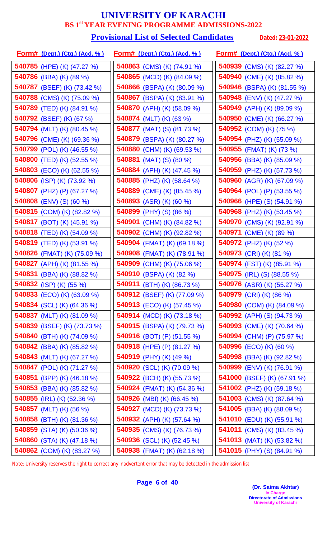# **Provisional List of Selected Candidates** Dated: 23-01-2022

| <u>Form# (Dept.) (Ctg.) (Acd. % )</u> | <u>Form# (Dept.) (Ctg.) (Acd. %)</u> | <u> Form# (Dept.) (Ctg.) (Acd. % )</u> |
|---------------------------------------|--------------------------------------|----------------------------------------|
| 540785 (HPE) (K) (47.27 %)            | <b>540863</b> (CMS) (K) (74.91 %)    | 540939 (CMS) (K) (82.27 %)             |
| 540786 (BBA) (K) (89 %)               | <b>540865</b> (MCD) (K) (84.09 %)    | 540940 (CME) (K) (85.82 %)             |
| 540787 (BSEF) (K) (73.42 %)           | <b>540866</b> (BSPA) (K) (80.09 %)   | 540946 (BSPA) (K) (81.55 %)            |
| 540788 (CMS) (K) (75.09 %)            | <b>540867</b> (BSPA) (K) (83.91 %)   | 540948 (ENV) (K) (47.27 %)             |
| <b>540789</b> (TED) (K) (84.91 %)     | 540870 (APH) (K) (58.09 %)           | 540949 (APH) (K) (89.09 %)             |
| <b>540792</b> (BSEF) (K) (67 %)       | 540874 (MLT) (K) (63 %)              | <b>540950</b> (CME) (K) (66.27 %)      |
| 540794 (MLT) (K) (80.45 %)            | <b>540877</b> (MAT) (S) (81.73 %)    | <b>540952</b> (COM) (K) (75 %)         |
| 540796 (CME) (K) (69.36 %)            | 540879 (BSPA) (K) (80.27 %)          | 540954 (PHZ) (K) (55.09 %)             |
| <b>540799</b> (POL) (K) (46.55 %)     | 540880 (CHM) (K) (69.53 %)           | 540955 (FMAT) (K) (73 %)               |
| 540800 (TED) (K) (52.55 %)            | 540881 (MAT) (S) (80 %)              | <b>540956</b> (BBA) (K) (85.09 %)      |
| <b>540803</b> (ECO) (K) (62.55 %)     | 540884 (APH) (K) (47.45 %)           | 540959 (PHZ) (K) (57.73 %)             |
| <b>540806</b> (ISP) (K) (73.92 %)     | 540885 (PHZ) (K) (58.64 %)           | 540960 (AGR) (K) (67.09 %)             |
| 540807 (PHZ) (P) (67.27 %)            | 540889 (CME) (K) (85.45 %)           | 540964 (POL) (P) (53.55 %)             |
| <b>540808</b> (ENV) (S) (60 %)        | 540893 (ASR) (K) (60 %)              | <b>540966</b> (HPE) (S) (54.91 %)      |
| 540815 (COM) (K) (82.82 %)            | 540899 (PHY) (S) (86 %)              | 540968 (PHZ) (K) (53.45 %)             |
| <b>540817</b> (BOT) (K) (45.91 %)     | 540901 (CHM) (K) (84.82 %)           | 540970 (CMS) (K) (92.91 %)             |
| <b>540818</b> (TED) (K) (54.09 %)     | 540902 (CHM) (K) (92.82 %)           | <b>540971</b> (CME) (K) (89 %)         |
| 540819 (TED) (K) (53.91 %)            | <b>540904</b> (FMAT) (K) (69.18 %)   | <b>540972</b> (PHZ) (K) (52 %)         |
| 540826 (FMAT) (K) (75.09 %)           | 540908 (FMAT) (K) (78.91 %)          | 540973 (CRI) (K) (81 %)                |
| 540827 (APH) (K) (81.55 %)            | 540909 (CHM) (K) (75.06 %)           | 540974 (FST) (K) (85.91 %)             |
| 540831 (BBA) (K) (88.82 %)            | 540910 (BSPA) (K) (82 %)             | <b>540975</b> (IRL) (S) (88.55 %)      |
| <b>540832</b> (ISP) (K) (55 %)        | 540911 (BTH) (K) (86.73 %)           | 540976 (ASR) (K) (55.27 %)             |
| 540833 (ECO) (K) (63.09 %)            | 540912 (BSEF) (K) (77.09 %)          | 540979 (CRI) (K) (86 %)                |
| <b>540834</b> (SCL) (K) (64.36 %)     | <b>540913</b> (ECO) (K) (57.45 %)    | 540980 (COM) (K) (84.09 %)             |
| 540837 (MLT) (K) (81.09 %)            | <b>540914</b> (MCD) (K) (73.18 %)    | 540992 (APH) (S) (94.73 %)             |
| 540839 (BSEF) (K) (73.73 %)           | <b>540915</b> (BSPA) (K) (79.73 %)   | <b>540993</b> (CME) (K) (70.64 %)      |
| 540840 (BTH) (K) (74.09 %)            | <b>540916</b> (BOT) (P) (51.55 %)    | 540994 (CHM) (P) (75.97 %)             |
| <b>540842</b> (BBA) (K) (85.82 %)     | <b>540918</b> (HPE) (P) (81.27 %)    | 540996 (ECO) (K) (60 %)                |
| <b>540843</b> (MLT) (K) (67.27 %)     | 540919 (PHY) (K) (49 %)              | <b>540998</b> (BBA) (K) (92.82 %)      |
| 540847 (POL) (K) (71.27 %)            | 540920 (SCL) (K) (70.09 %)           | 540999 (ENV) (K) (76.91 %)             |
| <b>540851</b> (BPP) (K) (46.18 %)     | <b>540922</b> (BCH) (K) (55.73 %)    | 541000 (BSEF) (K) (67.91 %)            |
| 540853 (BBA) (K) (85.82 %)            | <b>540924</b> (FMAT) (K) (54.36 %)   | 541002 (PHZ) (K) (59.18 %)             |
| <b>540855</b> (IRL) (K) (52.36 %)     | 540926 (MBI) (K) (66.45 %)           | <b>541003</b> (CMS) (K) (87.64 %)      |
| <b>540857</b> (MLT) (K) (56 %)        | <b>540927</b> (MCD) (K) (73.73 %)    | <b>541005</b> (BBA) (K) (88.09 %)      |
| <b>540858</b> (BTH) (K) (81.36 %)     | <b>540932</b> (APH) (K) (57.64 %)    | 541010 (EDU) (K) (55.91 %)             |
| 540859 (STA) (K) (50.36 %)            | 540935 (CMS) (K) (76.73 %)           | 541011 (CMS) (K) (83.45 %)             |
| 540860 (STA) (K) (47.18 %)            | <b>540936</b> (SCL) (K) (52.45 %)    | <b>541013</b> (MAT) (K) (53.82 %)      |
| 540862 (COM) (K) (83.27 %)            | 540938 (FMAT) (K) (62.18 %)          | 541015 (PHY) (S) (84.91 %)             |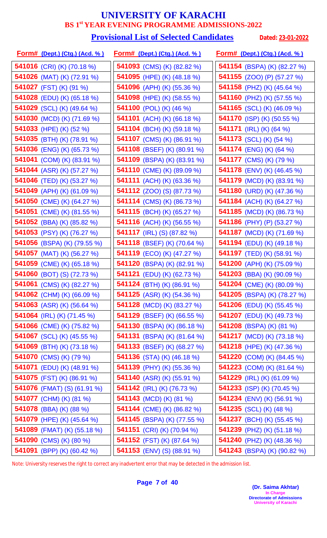#### **Provisional List of Selected Candidates** Dated: 23-01-2022

| <u>Form# (Dept.) (Ctg.) (Acd. %)</u> | <u>Form# (Dept.) (Ctg.) (Acd. %)</u> | <u>Form# (Dept.) (Ctg.) (Acd. % )</u> |
|--------------------------------------|--------------------------------------|---------------------------------------|
| 541016 (CRI) (K) (70.18 %)           | <b>541093</b> (CMS) (K) (82.82 %)    | 541154 (BSPA) (K) (82.27 %)           |
| <b>541026</b> (MAT) (K) (72.91 %)    | 541095 (HPE) (K) (48.18 %)           | <b>541155</b> (ZOO) (P) (57.27 %)     |
| 541027 (FST) (K) (91 %)              | <b>541096</b> (APH) (K) (55.36 %)    | 541158 (PHZ) (K) (45.64 %)            |
| <b>541028</b> (EDU) (K) (65.18 %)    | <b>541098</b> (HPE) (K) (58.55 %)    | <b>541160</b> (PHZ) (K) (57.55 %)     |
| 541029 (SCL) (K) (49.64 %)           | <b>541100</b> (POL) (K) (46 %)       | <b>541165</b> (SCL) (K) (46.09 %)     |
| 541030 (MCD) (K) (71.69 %)           | 541101 (ACH) (K) (66.18 %)           | <b>541170</b> (ISP) (K) (50.55 %)     |
| 541033 (HPE) (K) (52 %)              | 541104 (BCH) (K) (59.18 %)           | 541171 (IRL) (K) (64 %)               |
| 541035 (BTH) (K) (78.91 %)           | 541107 (CMS) (K) (86.91 %)           | <b>541173</b> (SCL) (K) (54 %)        |
| <b>541036</b> (ENG) (K) (65.73 %)    | 541108 (BSEF) (K) (80.91 %)          | <b>541174</b> (ENG) (K) (64 %)        |
| 541041 (COM) (K) (83.91 %)           | 541109 (BSPA) (K) (83.91 %)          | 541177 (CMS) (K) (79 %)               |
| <b>541044</b> (ASR) (K) (57.27 %)    | 541110 (CME) (K) (89.09 %)           | <b>541178</b> (ENV) (K) (46.45 %)     |
| <b>541046</b> (TED) (K) (53.27 %)    | 541111 (ACH) (K) (63.36 %)           | <b>541179</b> (MCD) (K) (83.91 %)     |
| 541049 (APH) (K) (61.09 %)           | <b>541112</b> (ZOO) (S) (87.73 %)    | 541180 (URD) (K) (47.36 %)            |
| 541050 (CME) (K) (64.27 %)           | <b>541114</b> (CMS) (K) (86.73 %)    | 541184 (ACH) (K) (64.27 %)            |
| 541051 (CME) (K) (81.55 %)           | 541115 (BCH) (K) (65.27 %)           | <b>541185</b> (MCD) (K) (86.73 %)     |
| 541052 (BBA) (K) (85.82 %)           | <b>541116</b> (ACH) (K) (56.55 %)    | 541186 (PHY) (P) (53.27 %)            |
| 541053 (PSY) (K) (76.27 %)           | <b>541117</b> (IRL) (S) (87.82 %)    | 541187 (MCD) (K) (71.69 %)            |
| 541056 (BSPA) (K) (79.55 %)          | <b>541118</b> (BSEF) (K) (70.64 %)   | <b>541194</b> (EDU) (K) (49.18 %)     |
| <b>541057</b> (MAT) (K) (56.27 %)    | <b>541119</b> (ECO) (K) (47.27 %)    | <b>541197</b> (TED) (K) (58.91 %)     |
| 541059 (CME) (K) (65.18 %)           | 541120 (BSPA) (K) (82.91 %)          | 541200 (APH) (K) (75.09 %)            |
| 541060 (BOT) (S) (72.73 %)           | <b>541121</b> (EDU) (K) (62.73 %)    | 541203 (BBA) (K) (90.09 %)            |
| 541061 (CMS) (K) (82.27 %)           | 541124 (BTH) (K) (86.91 %)           | 541204 (CME) (K) (80.09 %)            |
| 541062 (CHM) (K) (66.09 %)           | <b>541125</b> (ASR) (K) (54.36 %)    | <b>541205</b> (BSPA) (K) (78.27 %)    |
| 541063 (ASR) (K) $(56.64\%)$         | <b>541128</b> (MCD) (K) (83.27 %)    | <b>541206</b> (EDU) (K) (55.45 %)     |
| <b>541064</b> (IRL) (K) (71.45 %)    | <b>541129</b> (BSEF) (K) (66.55 %)   | <b>541207</b> (EDU) (K) (49.73 %)     |
| 541066 (CME) (K) (75.82 %)           | <b>541130</b> (BSPA) (K) (86.18 %)   | <b>541208</b> (BSPA) (K) (81 %)       |
| <b>541067</b> (SCL) (K) (45.55 %)    | <b>541131</b> (BSPA) (K) (81.64 %)   | <b>541217</b> (MCD) (K) (73.18 %)     |
| 541069 (BTH) (K) (73.18 %)           | <b>541133</b> (BSEF) (K) (68.27 %)   | 541218 (HPE) (K) (47.36 %)            |
| 541070 (CMS) (K) (79 %)              | <b>541136</b> (STA) (K) (46.18 %)    | <b>541220</b> (COM) (K) (84.45 %)     |
| <b>541071</b> (EDU) (K) (48.91 %)    | <b>541139</b> (PHY) (K) (55.36 %)    | 541223 (COM) (K) (81.64 %)            |
| 541075 (FST) (K) (86.91 %)           | <b>541140</b> (ASR) (K) (55.91 %)    | 541229 (IRL) (K) (61.09 %)            |
| <b>541076</b> (FMAT) (S) (61.91 %)   | <b>541142</b> (IRL) (K) (76.73 %)    | <b>541233</b> (ISP) (K) (70.45 %)     |
| 541077 (CHM) (K) (81 %)              | <b>541143</b> (MCD) (K) (81 %)       | <b>541234</b> (ENV) (K) (56.91 %)     |
| <b>541078</b> (BBA) (K) (88 %)       | <b>541144</b> (CME) (K) (86.82 %)    | <b>541235</b> (SCL) (K) (48 %)        |
| <b>541079</b> (HPE) (K) (45.64 %)    | <b>541145</b> (BSPA) (K) (77.55 %)   | <b>541237</b> (BCH) (K) (55.45 %)     |
| 541089 (FMAT) (K) (55.18 %)          | 541151 (CRI) (K) (70.94 %)           | 541239 (PHZ) (K) (51.18 %)            |
| 541090 (CMS) (K) (80 %)              | <b>541152</b> (FST) (K) (87.64 %)    | <b>541240</b> (PHZ) (K) (48.36 %)     |
| 541091 (BPP) (K) (60.42 %)           | 541153 (ENV) (S) (88.91 %)           | 541243 (BSPA) (K) (90.82 %)           |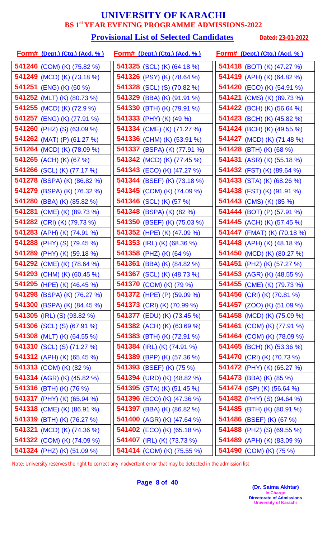#### **Provisional List of Selected Candidates** Dated: 23-01-2022

| <u>Form# (Dept.) (Ctg.) (Acd. %)</u> | <u>Form# (Dept.) (Ctg.) (Acd. %)</u> | <u>Form# (Dept.) (Ctg.) (Acd. % )</u> |
|--------------------------------------|--------------------------------------|---------------------------------------|
| 541246 (COM) (K) (75.82 %)           | <b>541325</b> (SCL) (K) (64.18 %)    | 541418 (BOT) (K) (47.27 %)            |
| 541249 (MCD) (K) (73.18 %)           | 541326 (PSY) (K) (78.64 %)           | 541419 (APH) (K) (64.82 %)            |
| 541251 (ENG) (K) (60 %)              | <b>541328</b> (SCL) (S) (70.82 %)    | 541420 (ECO) (K) (54.91 %)            |
| 541252 (MLT) (K) (80.73 %)           | <b>541329</b> (BBA) (K) (91.91 %)    | <b>541421</b> (CMS) (K) (89.73 %)     |
| 541255 (MCD) (K) (72.9 %)            | 541330 (BTH) (K) (79.91 %)           | <b>541422</b> (BCH) (K) (56.64 %)     |
| <b>541257</b> (ENG) (K) (77.91 %)    | <b>541333</b> (PHY) (K) (49 %)       | <b>541423</b> (BCH) (K) (45.82 %)     |
| <b>541260</b> (PHZ) (S) (63.09 %)    | 541334 (CME) (K) (71.27 %)           | <b>541424</b> (BCH) (K) (49.55 %)     |
| 541262 (MAT) (P) (61.27 %)           | 541336 (CHM) (K) (53.91 %)           | <b>541427</b> (MCD) (K) (71.48 %)     |
| 541264 (MCD) (K) (78.09 %)           | 541337 (BSPA) (K) (77.91 %)          | <b>541428</b> (BTH) (K) (68 %)        |
| <b>541265</b> (ACH) (K) (67 %)       | <b>541342</b> (MCD) (K) (77.45 %)    | <b>541431</b> (ASR) (K) (55.18 %)     |
| 541266 (SCL) (K) (77.17 %)           | <b>541343</b> (ECO) (K) (47.27 %)    | 541432 (FST) (K) (89.64 %)            |
| <b>541278</b> (BSPA) (K) (86.82 %)   | <b>541344</b> (BSEF) (K) (73.18 %)   | <b>541433</b> (STA) (K) (68.26 %)     |
| 541279 (BSPA) (K) (76.32 %)          | 541345 (COM) (K) (74.09 %)           | 541438 (FST) (K) (91.91 %)            |
| <b>541280</b> (BBA) (K) (85.82 %)    | 541346 (SCL) (K) (57 %)              | <b>541443</b> (CMS) (K) (85 %)        |
| 541281 (CME) (K) (89.73 %)           | 541348 (BSPA) (K) (82 %)             | <b>541444</b> (BOT) (P) (57.91 %)     |
| 541282 (CRI) (K) (79.73 %)           | 541350 (BSEF) (K) (75.03 %)          | 541445 (ACH) (K) (57.45 %)            |
| 541283 (APH) (K) (74.91 %)           | 541352 (HPE) (K) (47.09 %)           | 541447 (FMAT) (K) (70.18 %)           |
| <b>541288</b> (PHY) (S) (79.45 %)    | <b>541353</b> (IRL) (K) (68.36 %)    | 541448 (APH) (K) (48.18 %)            |
| 541289 (PHY) (K) (59.18 %)           | 541358 (PHZ) (K) (64 %)              | <b>541450</b> (MCD) (K) (80.27 %)     |
| 541292 (CME) (K) (78.64 %)           | <b>541361</b> (BBA) (K) (84.82 %)    | <b>541451</b> (PHZ) (K) (57.27 %)     |
| 541293 (CHM) (K) (60.45 %)           | 541367 (SCL) (K) (48.73 %)           | <b>541453</b> (AGR) (K) (48.55 %)     |
| 541295 (HPE) (K) (46.45 %)           | 541370 (COM) (K) (79 %)              | 541455 (CME) (K) (79.73 %)            |
| 541298 (BSPA) (K) (76.27 %)          | 541372 (HPE) (P) (59.09 %)           | 541456 (CRI) (K) (70.81 %)            |
| 541300 (BSPA) (K) (84.45 %)          | <b>541373</b> (CRI) (K) (70.99 %)    | 541457 (ZOO) (K) (51.09 %)            |
| 541305 (IRL) (S) (93.82 %)           | 541377 (EDU) (K) (73.45 %)           | <b>541458</b> (MCD) (K) (75.09 %)     |
| <b>541306</b> (SCL) (S) (67.91 %)    | <b>541382</b> (ACH) (K) (63.69 %)    | 541461 (COM) (K) (77.91 %)            |
| <b>541308</b> (MLT) (K) (64.55 %)    | 541383 (BTH) (K) (72.91 %)           | 541464 (COM) (K) (78.09 %)            |
| 541310 (SCL) (S) (71.27 %)           | 541384 (IRL) (K) (74.91 %)           | <b>541465</b> (BCH) (K) (53.36 %)     |
| <b>541312</b> (APH) (K) (65.45 %)    | 541389 (BPP) (K) (57.36 %)           | <b>541470</b> (CRI) (K) (70.73 %)     |
| 541313 (COM) (K) (82 %)              | <b>541393</b> (BSEF) (K) (75 %)      | <b>541472</b> (PHY) (K) (65.27 %)     |
| <b>541314</b> (AGR) (K) (45.82 %)    | 541394 (URD) (K) (48.82 %)           | <b>541473</b> (BBA) (K) (85 %)        |
| 541316 (BTH) (K) (76 %)              | <b>541395</b> (STA) (K) (51.45 %)    | <b>541474</b> (ISP) (K) (56.64 %)     |
| 541317 (PHY) (K) (65.94 %)           | 541396 (ECO) (K) (47.36 %)           | <b>541482</b> (PHY) (S) (94.64 %)     |
| 541318 (CME) (K) (86.91 %)           | <b>541397</b> (BBA) (K) (86.82 %)    | <b>541485</b> (BTH) (K) (80.91 %)     |
| <b>541319</b> (BTH) (K) (76.27 %)    | <b>541400</b> (AGR) (K) (47.64 %)    | <b>541486</b> (BSEF) (K) (67 %)       |
| 541321 (MCD) (K) (74.36 %)           | <b>541402</b> (ECO) (K) (65.18 %)    | <b>541488</b> (PHZ) (S) (69.55 %)     |
| 541322 (COM) (K) (74.09 %)           | <b>541407</b> (IRL) (K) (73.73 %)    | 541489 (APH) (K) (83.09 %)            |
| 541324 (PHZ) (K) (51.09 %)           | 541414 (COM) (K) (75.55 %)           | 541490 (COM) (K) (75 %)               |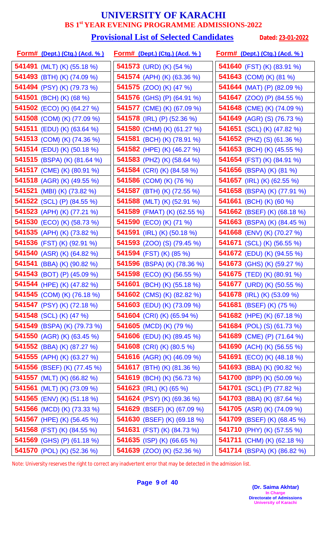#### **Provisional List of Selected Candidates** Dated: 23-01-2022

| <u>Form# (Dept.) (Ctg.) (Acd. %)</u> | <u>Form# (Dept.) (Ctg.) (Acd. %)</u> | <u>Form# (Dept.) (Ctg.) (Acd. %)</u> |
|--------------------------------------|--------------------------------------|--------------------------------------|
| 541491 (MLT) (K) (55.18 %)           | 541573 (URD) (K) (54 %)              | 541640 (FST) (K) (83.91 %)           |
| 541493 (BTH) (K) (74.09 %)           | 541574 (APH) (K) (63.36 %)           | 541643 (COM) (K) (81 %)              |
| 541494 (PSY) (K) (79.73 %)           | 541575 (ZOO) (K) (47 %)              | 541644 (MAT) (P) (82.09 %)           |
| 541501 (BCH) (K) (68 %)              | 541576 (GHS) (P) (64.91 %)           | <b>541647</b> (ZOO) (P) (84.55 %)    |
| <b>541502</b> (ECO) (K) (64.27 %)    | 541577 (CME) (K) (67.09 %)           | 541648 (CME) (K) (74.09 %)           |
| <b>541508</b> (COM) (K) (77.09 %)    | 541578 (IRL) (P) (52.36 %)           | <b>541649</b> (AGR) (S) (76.73 %)    |
| <b>541511</b> (EDU) (K) (63.64 %)    | 541580 (CHM) (K) (61.27 %)           | <b>541651</b> (SCL) (K) (47.82 %)    |
| 541513 (COM) (K) (74.36 %)           | 541581 (BCH) (K) (78.91 %)           | <b>541652</b> (PHZ) (S) (61.36 %)    |
| <b>541514</b> (EDU) (K) (50.18 %)    | 541582 (HPE) (K) (46.27 %)           | 541653 (BCH) (K) (45.55 %)           |
| 541515 (BSPA) (K) (81.64 %)          | 541583 (PHZ) (K) (58.64 %)           | <b>541654</b> (FST) (K) (84.91 %)    |
| 541517 (CME) (K) (80.91 %)           | 541584 (CRI) (K) (84.58 %)           | 541656 (BSPA) (K) (81 %)             |
| <b>541518</b> (AGR) (K) (49.55 %)    | <b>541586</b> (COM) (K) (76 %)       | <b>541657</b> (IRL) (K) (62.55 %)    |
| 541521 (MBI) (K) (73.82 %)           | 541587 (BTH) (K) (72.55 %)           | 541658 (BSPA) (K) (77.91 %)          |
| <b>541522</b> (SCL) (P) (84.55 %)    | 541588 (MLT) (K) (52.91 %)           | 541661 (BCH) (K) (60 %)              |
| 541523 (APH) (K) (77.21 %)           | 541589 (FMAT) (K) (62.55 %)          | <b>541662</b> (BSEF) (K) (68.18 %)   |
| 541530 (ECO) (K) (58.73 %)           | 541590 (ECO) (K) (71 %)              | 541663 (BSPA) (K) (84.45 %)          |
| 541535 (APH) (K) (73.82 %)           | <b>541591</b> (IRL) (K) (50.18 %)    | <b>541668</b> (ENV) (K) (70.27 %)    |
| 541536 (FST) (K) (92.91 %)           | <b>541593</b> (ZOO) (S) (79.45 %)    | <b>541671</b> (SCL) (K) (56.55 %)    |
| 541540 (ASR) (K) (64.82 %)           | 541594 (FST) (K) (85 %)              | <b>541672</b> (EDU) (K) (94.55 %)    |
| 541541 (BBA) (K) (90.82 %)           | 541596 (BSPA) (K) (78.36 %)          | 541673 (GHS) (K) (59.27 %)           |
| 541543 (BOT) (P) (45.09 %)           | 541598 (ECO) (K) (56.55 %)           | 541675 (TED) (K) (80.91 %)           |
| 541544 (HPE) (K) (47.82 %)           | 541601 (BCH) (K) (55.18 %)           | 541677 (URD) (K) (50.55 %)           |
| 541545 (COM) (K) (76.18 %)           | 541602 (CMS) (K) (82.82 %)           | 541678 (IRL) (K) (53.09 %)           |
| <b>541547</b> (PSY) (K) (72.18 %)    | <b>541603</b> (EDU) (K) (73.09 %)    | <b>541681</b> (BSEF) (K) (75 %)      |
| <b>541548</b> (SCL) (K) (47 %)       | <b>541604</b> (CRI) (K) (65.94 %)    | <b>541682</b> (HPE) (K) (67.18 %)    |
| <b>541549</b> (BSPA) (K) (79.73 %)   | <b>541605</b> (MCD) (K) (79 %)       | <b>541684</b> (POL) (S) (61.73 %)    |
| 541550 (AGR) (K) (63.45 %)           | <b>541606</b> (EDU) (K) (89.45 %)    | 541689 (CME) (P) $(71.64\%)$         |
| <b>541552</b> (BBA) (K) (87.27 %)    | <b>541608</b> (CRI) (K) (80.5 %)     | 541690 (ACH) (K) (56.55 %)           |
| <b>541555</b> (APH) (K) (63.27 %)    | 541616 (AGR) (K) (46.09 %)           | <b>541691</b> (ECO) (K) (48.18 %)    |
| 541556 (BSEF) (K) (77.45 %)          | 541617 (BTH) (K) (81.36 %)           | 541693 (BBA) (K) (90.82 %)           |
| 541557 (MLT) (K) (66.82 %)           | <b>541619</b> (BCH) (K) (56.73 %)    | 541700 (BPP) (K) (50.09 %)           |
| 541561 (MLT) (K) (73.09 %)           | 541623 (IRL) (K) (65 %)              | 541701 (SCL) (P) (77.82 %)           |
| 541565 (ENV) (K) (51.18 %)           | <b>541624</b> (PSY) (K) (69.36 %)    | <b>541703</b> (BBA) (K) (87.64 %)    |
| 541566 (MCD) (K) (73.33 %)           | 541629 (BSEF) (K) (67.09 %)          | <b>541705</b> (ASR) (K) (74.09 %)    |
| 541567 (HPE) (K) (56.45 %)           | 541630 (BSEF) (K) (69.18 %)          | 541709 (BSEF) (K) (68.45 %)          |
| 541568 (FST) (K) (84.55 %)           | 541631 (FST) (K) (84.73 %)           | 541710 (PHY) (K) (57.55 %)           |
| 541569 (GHS) (P) (61.18 %)           | 541635 (ISP) (K) (66.65 %)           | <b>541711</b> (CHM) (K) (62.18 %)    |
| 541570 (POL) (K) (52.36 %)           | 541639 (ZOO) (K) (52.36 %)           | 541714 (BSPA) (K) (86.82 %)          |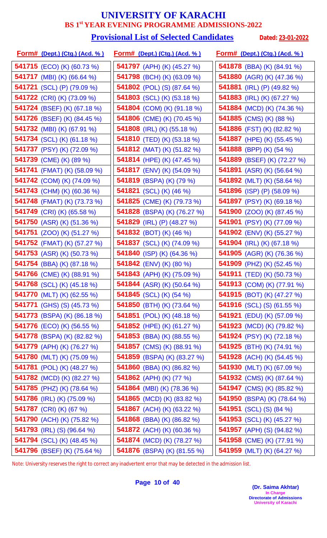#### **Provisional List of Selected Candidates** Dated: 23-01-2022

| <u>Form# (Dept.) (Ctg.) (Acd. %)</u> | <u>Form# (Dept.) (Ctg.) (Acd. %)</u> | <u> Form# (Dept.) (Ctg.) (Acd. % )</u> |
|--------------------------------------|--------------------------------------|----------------------------------------|
| <b>541715</b> (ECO) (K) (60.73 %)    | <b>541797</b> (APH) (K) (45.27 %)    | <b>541878</b> (BBA) (K) (84.91 %)      |
| <b>541717</b> (MBI) (K) (66.64 %)    | 541798 (BCH) (K) (63.09 %)           | 541880 (AGR) (K) (47.36 %)             |
| 541721 (SCL) (P) (79.09 %)           | 541802 (POL) (S) (87.64 %)           | 541881 (IRL) (P) (49.82 %)             |
| 541722 (CRI) (K) (73.09 %)           | 541803 (SCL) (K) (53.18 %)           | <b>541883</b> (IRL) (K) (67.27 %)      |
| 541724 (BSEF) (K) (67.18 %)          | 541804 (COM) (K) (91.18 %)           | <b>541884</b> (MCD) (K) (74.36 %)      |
| <b>541726</b> (BSEF) (K) (84.45 %)   | <b>541806</b> (CME) (K) (70.45 %)    | 541885 (CMS) (K) (88 %)                |
| 541732 (MBI) (K) (67.91 %)           | <b>541808</b> (IRL) (K) (55.18 %)    | <b>541886</b> (FST) (K) (82.82 %)      |
| 541734 (SCL) (K) (61.18 %)           | 541810 (TED) (K) (53.18 %)           | 541887 (HPE) (K) (55.45 %)             |
| 541737 (PSY) (K) (72.09 %)           | <b>541812</b> (MAT) (K) (51.82 %)    | 541888 (BPP) (K) (54 %)                |
| 541739 (CME) (K) (89 %)              | 541814 (HPE) (K) (47.45 %)           | 541889 (BSEF) (K) (72.27 %)            |
| <b>541741</b> (FMAT) (K) (58.09 %)   | 541817 (ENV) (K) (54.09 %)           | 541891 (ASR) (K) (56.64 %)             |
| <b>541742</b> (COM) (K) (74.09 %)    | <b>541819</b> (BSPA) (K) (79 %)      | 541892 (MLT) (K) (58.64 %)             |
| 541743 (CHM) (K) (60.36 %)           | <b>541821</b> (SCL) (K) (46 %)       | 541896 (ISP) (P) (58.09 %)             |
| 541748 (FMAT) (K) (73.73 %)          | <b>541825</b> (CME) (K) (79.73 %)    | 541897 (PSY) (K) (69.18 %)             |
| 541749 (CRI) (K) (65.58 %)           | 541828 (BSPA) (K) (76.27 %)          | 541900 (ZOO) (K) (87.45 %)             |
| 541750 (ASR) (K) (51.36 %)           | 541829 (IRL) (P) (48.27 %)           | 541901 (PSY) (K) (77.09 %)             |
| <b>541751</b> (ZOO) (K) (51.27 %)    | <b>541832</b> (BOT) (K) (46 %)       | 541902 (ENV) (K) (55.27 %)             |
| <b>541752</b> (FMAT) (K) (57.27 %)   | 541837 (SCL) (K) (74.09 %)           | <b>541904</b> (IRL) (K) (67.18 %)      |
| <b>541753</b> (ASR) (K) (50.73 %)    | 541840 (ISP) (K) (64.36 %)           | 541905 (AGR) (K) (76.36 %)             |
| <b>541754</b> (BBA) (K) (87.18 %)    | <b>541842</b> (ENV) (K) (80 %)       | 541909 (PHZ) (K) (52.45 %)             |
| 541766 (CME) (K) (88.91 %)           | 541843 (APH) (K) (75.09 %)           | 541911 (TED) (K) (50.73 %)             |
| 541768 (SCL) (K) (45.18 %)           | <b>541844</b> (ASR) (K) (50.64 %)    | 541913 (COM) (K) (77.91 %)             |
| 541770 (MLT) (K) (62.55 %)           | 541845 (SCL) (K) $(54\%)$            | 541915 (BOT) (K) (47.27 %)             |
| <b>541771</b> (GHS) (S) (45.73 %)    | 541850 (BTH) (K) $(73.64\%)$         | <b>541916</b> (SCL) (S) (61.55 %)      |
| <b>541773</b> (BSPA) (K) (86.18 %)   | <b>541851</b> (POL) (K) (48.18 %)    | <b>541921</b> (EDU) (K) (57.09 %)      |
| <b>541776</b> (ECO) (K) (56.55 %)    | <b>541852</b> (HPE) (K) (61.27 %)    | <b>541923</b> (MCD) (K) (79.82 %)      |
| <b>541778</b> (BSPA) (K) (82.82 %)   | <b>541853</b> (BBA) (K) (88.55 %)    | <b>541924</b> (PSY) (K) (72.18 %)      |
| 541779 (APH) (K) (76.27 %)           | <b>541857</b> (CMS) (K) (88.91 %)    | 541925 (BTH) (K) (74.91 %)             |
| <b>541780</b> (MLT) (K) (75.09 %)    | <b>541859</b> (BSPA) (K) (83.27 %)   | <b>541928</b> (ACH) (K) (54.45 %)      |
| <b>541781</b> (POL) (K) (48.27 %)    | <b>541860</b> (BBA) (K) (86.82 %)    | 541930 (MLT) (K) (67.09 %)             |
| 541782 (MCD) (K) (82.27 %)           | 541862 (APH) (K) (77 %)              | <b>541932</b> (CMS) (K) (87.64 %)      |
| <b>541785</b> (PHZ) (K) (78.64 %)    | <b>541864</b> (MBI) (K) (78.36 %)    | 541947 (CMS) (K) (85.82 %)             |
| 541786 (IRL) (K) (75.09 %)           | 541865 (MCD) (K) (83.82 %)           | 541950 (BSPA) (K) (78.64 %)            |
| 541787 (CRI) (K) (67 %)              | <b>541867</b> (ACH) (K) (63.22 %)    | <b>541951</b> (SCL) (S) (84 %)         |
| <b>541790</b> (ACH) (K) (75.82 %)    | <b>541868</b> (BBA) (K) (86.82 %)    | <b>541953</b> (SCL) (K) (45.27 %)      |
| 541793 (IRL) (S) (96.64 %)           | 541872 (ACH) (K) (60.36 %)           | 541957 (APH) (S) (94.82 %)             |
| 541794 (SCL) (K) (48.45 %)           | <b>541874</b> (MCD) (K) (78.27 %)    | <b>541958</b> (CME) (K) (77.91 %)      |
| 541796 (BSEF) (K) (75.64 %)          | 541876 (BSPA) (K) (81.55 %)          | 541959 (MLT) (K) (64.27 %)             |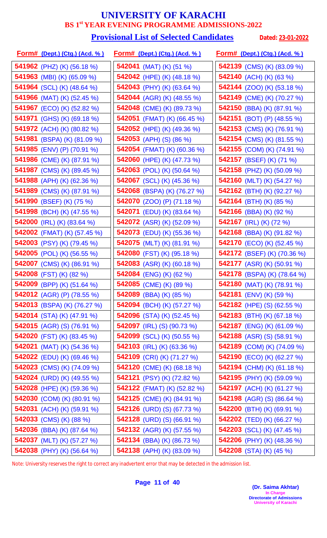#### **Provisional List of Selected Candidates** Dated: 23-01-2022

| <u>Form# (Dept.) (Ctg.) (Acd. % )</u> | <u>Form# (Dept.) (Ctg.) (Acd. %)</u> | <u>Form# (Dept.) (Ctg.) (Acd. % )</u> |
|---------------------------------------|--------------------------------------|---------------------------------------|
| <b>541962</b> (PHZ) (K) (56.18 %)     | 542041 (MAT) (K) $(51 \%)$           | <b>542139</b> (CMS) (K) (83.09 %)     |
| <b>541963</b> (MBI) (K) (65.09 %)     | 542042 (HPE) (K) (48.18 %)           | 542140 (ACH) (K) (63 %)               |
| 541964 (SCL) (K) (48.64 %)            | 542043 (PHY) (K) (63.64 %)           | <b>542144</b> (ZOO) (K) (53.18 %)     |
| <b>541966</b> (MAT) (K) (52.45 %)     | <b>542044</b> (AGR) (K) (48.55 %)    | <b>542149</b> (CME) (K) (70.27 %)     |
| <b>541967</b> (ECO) (K) (52.82 %)     | 542048 (CME) (K) (89.73 %)           | <b>542150</b> (BBA) (K) (87.91 %)     |
| <b>541971</b> (GHS) (K) (69.18 %)     | <b>542051</b> (FMAT) (K) (66.45 %)   | 542151 (BOT) (P) $(48.55\%)$          |
| <b>541972</b> (ACH) (K) (80.82 %)     | 542052 (HPE) (K) (49.36 %)           | <b>542153</b> (CMS) (K) (76.91 %)     |
| 541981 (BSPA) (K) (81.09 %)           | 542053 (APH) (S) (86 %)              | <b>542154</b> (CMS) (K) (81.55 %)     |
| <b>541985</b> (ENV) (P) (70.91 %)     | 542054 (FMAT) (K) (60.36 %)          | 542155 (COM) (K) (74.91 %)            |
| 541986 (CME) (K) (87.91 %)            | 542060 (HPE) (K) (47.73 %)           | 542157 (BSEF) (K) (71 %)              |
| 541987 (CMS) (K) (89.45 %)            | 542063 (POL) (K) (50.64 %)           | 542158 (PHZ) (K) (50.09 %)            |
| 541988 (APH) (K) (62.36 %)            | <b>542067</b> (SCL) (K) (45.36 %)    | 542160 (MLT) (K) (54.27 %)            |
| 541989 (CMS) (K) (87.91 %)            | 542068 (BSPA) (K) (76.27 %)          | 542162 (BTH) (K) (92.27 %)            |
| 541990 (BSEF) (K) (75 %)              | <b>542070</b> (ZOO) (P) (71.18 %)    | 542164 (BTH) (K) (85 %)               |
| 541998 (BCH) (K) (47.55 %)            | 542071 (EDU) (K) (83.64 %)           | <b>542166</b> (BBA) (K) (92 %)        |
| 542000 (IRL) (K) (83.64 %)            | <b>542072</b> (ASR) (K) (52.09 %)    | 542167 (IRL) (K) (72 %)               |
| <b>542002</b> (FMAT) (K) (57.45 %)    | <b>542073</b> (EDU) (K) (55.36 %)    | <b>542168</b> (BBA) (K) (91.82 %)     |
| <b>542003</b> (PSY) (K) (79.45 %)     | 542075 (MLT) (K) (81.91 %)           | <b>542170</b> (ECO) (K) (52.45 %)     |
| 542005 (POL) (K) (56.55 %)            | 542080 (FST) (K) (95.18 %)           | <b>542172</b> (BSEF) (K) (70.36 %)    |
| 542007 (CMS) (K) (86.91 %)            | 542083 (ASR) (K) (60.18 %)           | <b>542177</b> (ASR) (K) (50.91 %)     |
| 542008 (FST) (K) (82 %)               | 542084 (ENG) (K) (62 %)              | <b>542178</b> (BSPA) (K) (78.64 %)    |
| 542009 (BPP) (K) (51.64 %)            | 542085 (CME) (K) (89 %)              | 542180 (MAT) (K) (78.91 %)            |
| <b>542012</b> (AGR) (P) (78.55 %)     | <b>542089</b> (BBA) (K) (85 %)       | <b>542181</b> (ENV) (K) (59 %)        |
| <b>542013</b> (BSPA) (K) (76.27 %)    | <b>542094</b> (BCH) (K) (57.27 %)    | <b>542182</b> (HPE) (S) (62.55 %)     |
| 542014 (STA) (K) (47.91 %)            | 542096 (STA) (K) (52.45 %)           | 542183 (BTH) (K) (67.18 %)            |
| <b>542015</b> (AGR) (S) (76.91 %)     | <b>542097</b> (IRL) (S) (90.73 %)    | <b>542187</b> (ENG) (K) (61.09 %)     |
| <b>542020</b> (FST) (K) (83.45 %)     | <b>542099</b> (SCL) (K) (50.55 %)    | 542188 (ASR) (S) $(58.91\%)$          |
| 542021 (MAT) (K) $(54.36\%)$          | 542103 (IRL) (K) (63.36 %)           | 542189 (COM) (K) (74.09 %)            |
| <b>542022</b> (EDU) (K) (69.46 %)     | <b>542109</b> (CRI) (K) (71.27 %)    | <b>542190</b> (ECO) (K) (62.27 %)     |
| <b>542023</b> (CMS) (K) (74.09 %)     | <b>542120</b> (CME) (K) (68.18 %)    | 542194 (CHM) (K) (61.18 %)            |
| <b>542024</b> (URD) (K) (49.55 %)     | <b>542121</b> (PSY) (K) (72.82 %)    | <b>542195</b> (PHY) (K) (59.09 %)     |
| <b>542028</b> (HPE) (K) (59.36 %)     | <b>542122</b> (FMAT) (K) (52.82 %)   | <b>542197</b> (ACH) (K) (61.27 %)     |
| 542030 (COM) (K) (80.91 %)            | <b>542125</b> (CME) (K) (84.91 %)    | <b>542198</b> (AGR) (S) (86.64 %)     |
| <b>542031</b> (ACH) (K) (59.91 %)     | <b>542126</b> (URD) (S) (67.73 %)    | 542200 (BTH) (K) (69.91 %)            |
| 542033 (CMS) (K) (88 %)               | <b>542128</b> (URD) (S) (66.91 %)    | <b>542202</b> (TED) (K) (66.27 %)     |
| <b>542036</b> (BBA) (K) (87.64 %)     | <b>542132</b> (AGR) (K) (57.55 %)    | <b>542203</b> (SCL) (K) (47.45 %)     |
| 542037 (MLT) (K) (57.27 %)            | 542134 (BBA) (K) (86.73 %)           | <b>542206</b> (PHY) (K) (48.36 %)     |
| 542038 (PHY) (K) (56.64 %)            | 542138 (APH) (K) (83.09 %)           | 542208 (STA) (K) (45 %)               |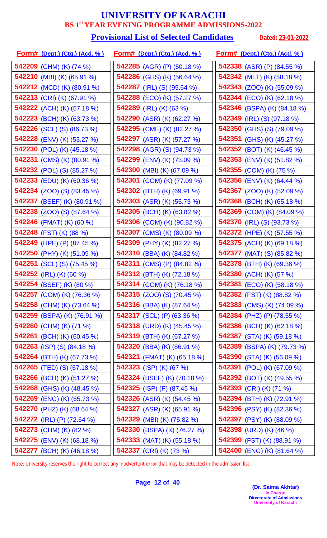# **Provisional List of Selected Candidates** Dated: 23-01-2022

| <u> Form# (Dept.) (Ctg.) (Acd. % )</u> | <u>Form# (Dept.) (Ctg.) (Acd. %)</u> | <u>Form# (Dept.) (Ctg.) (Acd. % )</u> |
|----------------------------------------|--------------------------------------|---------------------------------------|
| 542209 (CHM) (K) (74 %)                | 542285 (AGR) (P) (50.18 %)           | <b>542338</b> (ASR) (P) (84.55 %)     |
| <b>542210</b> (MBI) (K) (65.91 %)      | 542286 (GHS) (K) (56.64 %)           | 542342 (MLT) (K) (58.18 %)            |
| <b>542212</b> (MCD) (K) (80.91 %)      | 542287 (IRL) (S) $(95.64\%)$         | <b>542343</b> (ZOO) (K) (55.09 %)     |
| 542213 (CRI) (K) (67.91 %)             | <b>542288</b> (ECO) (K) (57.27 %)    | <b>542344</b> (ECO) (K) (62.18 %)     |
| <b>542222</b> (ACH) (K) (57.18 %)      | 542289 (IRL) (K) (63 %)              | 542346 (BSPA) (K) (84.18 %)           |
| <b>542223</b> (BCH) (K) (63.73 %)      | <b>542290</b> (ASR) (K) (62.27 %)    | <b>542349</b> (IRL) (S) (97.18 %)     |
| <b>542226</b> (SCL) (S) (86.73 %)      | 542295 (CME) (K) (82.27 %)           | <b>542350</b> (GHS) (S) (79.09 %)     |
| <b>542228</b> (ENV) (K) (53.27 %)      | 542297 (ASR) (K) (57.27 %)           | <b>542351</b> (GHS) (K) (45.27 %)     |
| <b>542230</b> (POL) (K) (45.18 %)      | <b>542298</b> (AGR) (S) (94.73 %)    | <b>542352</b> (BOT) (K) (46.45 %)     |
| 542231 (CMS) (K) (80.91 %)             | 542299 (ENV) (K) (73.09 %)           | <b>542353</b> (ENV) (K) (51.82 %)     |
| <b>542232</b> (POL) (S) (85.27 %)      | 542300 (MBI) (K) (67.09 %)           | <b>542355</b> (COM) (K) (75 %)        |
| <b>542233</b> (EDU) (K) (60.36 %)      | <b>542301</b> (COM) (K) (77.09 %)    | <b>542356</b> (ENV) (K) (64.44 %)     |
| <b>542234</b> (ZOO) (S) (83.45 %)      | 542302 (BTH) (K) (69.91 %)           | <b>542367</b> (ZOO) (K) (52.09 %)     |
| <b>542237</b> (BSEF) (K) (80.91 %)     | <b>542303</b> (ASR) (K) (55.73 %)    | <b>542368</b> (BCH) (K) (65.18 %)     |
| <b>542238</b> (ZOO) (S) (87.64 %)      | 542305 (BCH) (K) (63.82 %)           | 542369 (COM) (K) (84.09 %)            |
| 542246 (FMAT) (K) (60 %)               | 542306 (COM) (K) (90.82 %)           | <b>542370</b> (IRL) (S) (93.73 %)     |
| 542248 (FST) (K) (88 %)                | 542307 (CMS) (K) (80.09 %)           | 542372 (HPE) (K) (57.55 %)            |
| 542249 (HPE) (P) (87.45 %)             | 542309 (PHY) (K) (82.27 %)           | <b>542375</b> (ACH) (K) (69.18 %)     |
| 542250 (PHY) (K) (51.09 %)             | 542310 (BBA) (K) (84.82 %)           | <b>542377</b> (MAT) (S) (85.82 %)     |
| <b>542251</b> (SCL) (S) (75.45 %)      | <b>542311</b> (CMS) (P) (84.82 %)    | <b>542378</b> (BTH) (K) (69.36 %)     |
| 542252 (IRL) (K) (60 %)                | 542312 (BTH) (K) (72.18 %)           | 542380 (ACH) (K) (57 %)               |
| 542254 (BSEF) (K) (80 %)               | 542314 (COM) (K) (76.18 %)           | <b>542381</b> (ECO) (K) (58.18 %)     |
| <b>542257</b> (COM) (K) (76.36 %)      | <b>542315</b> (ZOO) (S) (70.45 %)    | <b>542382</b> (FST) (K) (88.82 %)     |
| 542258 (CHM) (K) $(73.64\%)$           | <b>542316</b> (BBA) (K) (87.64 %)    | <b>542383</b> (CMS) (K) (74.09 %)     |
| 542259 (BSPA) (K) (76.91 %)            | <b>542317</b> (SCL) (P) (63.36 %)    | <b>542384</b> (PHZ) (P) (78.55 %)     |
| 542260 (CHM) (K) (71 %)                | 542318 (URD) (K) $(45.45\%)$         | <b>542386</b> (BCH) (K) (62.18 %)     |
| 542261 (BCH) (K) (60.45 %)             | <b>542319</b> (BTH) (K) (67.27 %)    | <b>542387</b> (STA) (K) (59.18 %)     |
| 542263 (ISP) (S) $(84.18\%)$           | <b>542320</b> (BBA) (K) (86.91 %)    | <b>542389</b> (BSPA) (K) (79.73 %)    |
| 542264 (BTH) (K) (67.73 %)             | 542321 (FMAT) (K) (65.18 %)          | <b>542390</b> (STA) (K) (56.09 %)     |
| <b>542265</b> (TED) (S) (67.18 %)      | 542323 (ISP) (K) (67 %)              | <b>542391</b> (POL) (K) (67.09 %)     |
| <b>542266</b> (BCH) (K) (51.27 %)      | <b>542324</b> (BSEF) (K) (70.18 %)   | <b>542392</b> (BOT) (K) (49.55 %)     |
| <b>542268</b> (GHS) (K) (48.45 %)      | 542325 (ISP) (P) $(87.45\%)$         | 542393 (CRI) (K) (71 %)               |
| <b>542269</b> (ENG) (K) (65.73 %)      | <b>542326</b> (ASR) (K) (54.45 %)    | <b>542394</b> (BTH) (K) (72.91 %)     |
| <b>542270</b> (PHZ) (K) (68.64 %)      | <b>542327</b> (ASR) (K) (65.91 %)    | <b>542396</b> (PSY) (K) (82.36 %)     |
| <b>542272</b> (IRL) (P) (72.64 %)      | <b>542329</b> (MBI) (K) (75.82 %)    | <b>542397</b> (PSY) (K) (88.09 %)     |
| 542273 (CHM) (K) (82 %)                | <b>542330</b> (BSPA) (K) (76.27 %)   | 542398 (URD) (K) $(46\%)$             |
| <b>542275</b> (ENV) (K) (68.18 %)      | <b>542333</b> (MAT) (K) (55.18 %)    | 542399 (FST) (K) (88.91 %)            |
| 542277 (BCH) (K) (46.18 %)             | 542337 (CRI) (K) (73 %)              | 542400 (ENG) (K) (81.64 %)            |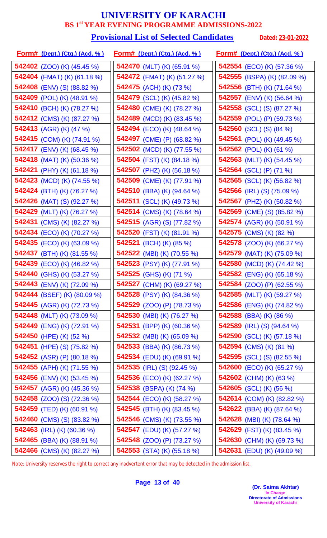#### **Provisional List of Selected Candidates** Dated: 23-01-2022

| <u>Form# (Dept.) (Ctg.) (Acd. %)</u> | <u>Form# (Dept.) (Ctg.) (Acd. %)</u> | <u>Form# (Dept.) (Ctg.) (Acd. % )</u> |
|--------------------------------------|--------------------------------------|---------------------------------------|
| 542402 (ZOO) (K) (45.45 %)           | <b>542470</b> (MLT) (K) (65.91 %)    | <b>542554</b> (ECO) (K) (57.36 %)     |
| <b>542404</b> (FMAT) (K) (61.18 %)   | <b>542472</b> (FMAT) (K) (51.27 %)   | 542555 (BSPA) (K) (82.09 %)           |
| 542408 (ENV) (S) (88.82 %)           | 542475 (ACH) (K) (73 %)              | 542556 (BTH) (K) (71.64 %)            |
| <b>542409</b> (POL) (K) (48.91 %)    | <b>542479</b> (SCL) (K) (45.82 %)    | 542557 (ENV) (K) (56.64 %)            |
| 542410 (BCH) (K) (78.27 %)           | 542480 (CME) (K) (78.27 %)           | <b>542558</b> (SCL) (S) (87.27 %)     |
| <b>542412</b> (CMS) (K) (87.27 %)    | <b>542489</b> (MCD) (K) (83.45 %)    | <b>542559</b> (POL) (P) (59.73 %)     |
| 542413 (AGR) (K) (47 %)              | 542494 (ECO) (K) (48.64 %)           | <b>542560</b> (SCL) (S) (84 %)        |
| 542415 (COM) (K) (74.91 %)           | 542497 (CME) (P) (68.82 %)           | 542561 (POL) (K) (49.45 %)            |
| <b>542417</b> (ENV) (K) (68.45 %)    | <b>542502</b> (MCD) (K) (77.55 %)    | <b>542562</b> (POL) (K) (61 %)        |
| <b>542418</b> (MAT) (K) (50.36 %)    | 542504 (FST) (K) (84.18 %)           | 542563 (MLT) (K) (54.45 %)            |
| <b>542421</b> (PHY) (K) (61.18 %)    | 542507 (PHZ) (K) (56.18 %)           | 542564 (SCL) (P) (71 %)               |
| <b>542423</b> (MCD) (K) (74.55 %)    | 542509 (CME) (K) (77.91 %)           | <b>542565</b> (SCL) (K) (56.82 %)     |
| 542424 (BTH) (K) (76.27 %)           | 542510 (BBA) (K) (94.64 %)           | <b>542566</b> (IRL) (S) (75.09 %)     |
| <b>542426</b> (MAT) (S) (92.27 %)    | <b>542511</b> (SCL) (K) (49.73 %)    | <b>542567</b> (PHZ) (K) (50.82 %)     |
| 542429 (MLT) (K) (76.27 %)           | 542514 (CMS) (K) (78.64 %)           | <b>542569</b> (CME) (S) (85.82 %)     |
| 542431 (CMS) (K) (82.27 %)           | 542515 (AGR) (S) (77.82 %)           | 542574 (AGR) (K) (50.91 %)            |
| 542434 (ECO) (K) (70.27 %)           | <b>542520</b> (FST) (K) (81.91 %)    | <b>542575</b> (CMS) (K) (82 %)        |
| <b>542435</b> (ECO) (K) (63.09 %)    | 542521 (BCH) (K) (85 %)              | <b>542578</b> (ZOO) (K) (66.27 %)     |
| 542437 (BTH) (K) (81.55 %)           | 542522 (MBI) (K) (70.55 %)           | <b>542579</b> (MAT) (K) (75.09 %)     |
| 542439 (ECO) (K) (46.82 %)           | 542523 (PSY) (K) (77.91 %)           | 542580 (MCD) (K) (74.42 %)            |
| <b>542440</b> (GHS) (K) (53.27 %)    | 542525 (GHS) (K) (71 %)              | <b>542582</b> (ENG) (K) (65.18 %)     |
| 542443 (ENV) (K) (72.09 %)           | 542527 (CHM) (K) (69.27 %)           | <b>542584</b> (ZOO) (P) (62.55 %)     |
| 542444 (BSEF) (K) (80.09 %)          | <b>542528</b> (PSY) (K) (84.36 %)    | 542585 (MLT) (K) (59.27 %)            |
| 542445 (AGR) (K) (72.73 %)           | <b>542529</b> (ZOO) (P) (78.73 %)    | <b>542586</b> (ENG) (K) (74.82 %)     |
| <b>542448</b> (MLT) (K) (73.09 %)    | <b>542530</b> (MBI) (K) (76.27 %)    | 542588 (BBA) (K) (86 %)               |
| <b>542449</b> (ENG) (K) (72.91 %)    | <b>542531</b> (BPP) (K) (60.36 %)    | <b>542589</b> (IRL) (S) (94.64 %)     |
| 542450 (HPE) (K) (52 %)              | <b>542532</b> (MBI) (K) (65.09 %)    | <b>542590</b> (SCL) (K) (57.18 %)     |
| 542451 (HPE) (S) $(75.82\%)$         | 542533 (BBA) (K) (86.73 %)           | 542594 (CMS) (K) (81 %)               |
| 542452 (ASR) (P) $(80.18\%)$         | <b>542534</b> (EDU) (K) (69.91 %)    | <b>542595</b> (SCL) (S) (82.55 %)     |
| 542455 (APH) (K) (71.55 %)           | <b>542535</b> (IRL) (S) (92.45 %)    | <b>542600</b> (ECO) (K) (65.27 %)     |
| <b>542456</b> (ENV) (K) (53.45 %)    | <b>542536</b> (ECO) (K) (62.27 %)    | <b>542602</b> (CHM) (K) (63 %)        |
| 542457 (AGR) (K) (45.36 %)           | 542538 (BSPA) (K) (74 %)             | <b>542605</b> (SCL) (K) (56 %)        |
| <b>542458</b> (ZOO) (S) (72.36 %)    | 542544 (ECO) (K) (58.27 %)           | 542614 (COM) (K) (82.82 %)            |
| <b>542459</b> (TED) (K) (60.91 %)    | <b>542545</b> (BTH) (K) (83.45 %)    | <b>542622</b> (BBA) (K) (87.64 %)     |
| <b>542460</b> (CMS) (S) (83.82 %)    | <b>542546</b> (CMS) (K) (73.55 %)    | <b>542628</b> (MBI) (K) (78.64 %)     |
| 542463 (IRL) (K) (60.36 %)           | 542547 (EDU) (K) (57.27 %)           | <b>542629</b> (FST) (K) (83.45 %)     |
| <b>542465</b> (BBA) (K) (88.91 %)    | <b>542548</b> (ZOO) (P) (73.27 %)    | 542630 (CHM) (K) (69.73 %)            |
| 542466 (CMS) (K) (82.27 %)           | 542553 (STA) (K) (55.18 %)           | 542631 (EDU) (K) (49.09 %)            |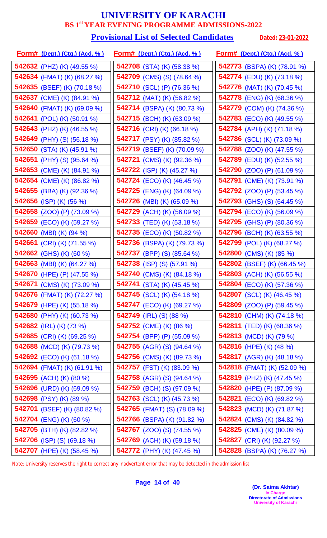#### **Provisional List of Selected Candidates** Dated: 23-01-2022

| <u>Form# (Dept.) (Ctg.) (Acd. % )</u> | <u>Form# (Dept.) (Ctg.) (Acd. %)</u> | <u>Form# (Dept.) (Ctg.) (Acd. % )</u> |
|---------------------------------------|--------------------------------------|---------------------------------------|
| 542632 (PHZ) (K) $(49.55\%)$          | <b>542708</b> (STA) (K) (58.38 %)    | 542773 (BSPA) (K) (78.91 %)           |
| <b>542634</b> (FMAT) (K) (68.27 %)    | <b>542709</b> (CMS) (S) (78.64 %)    | <b>542774</b> (EDU) (K) (73.18 %)     |
| 542635 (BSEF) (K) (70.18 %)           | <b>542710</b> (SCL) (P) (76.36 %)    | <b>542776</b> (MAT) (K) (70.45 %)     |
| 542637 (CME) (K) (84.91 %)            | <b>542712</b> (MAT) (K) (56.82 %)    | <b>542778</b> (ENG) (K) (68.36 %)     |
| 542640 (FMAT) (K) (69.09 %)           | 542714 (BSPA) (K) (80.73 %)          | 542779 (COM) (K) (74.36 %)            |
| <b>542641</b> (POL) (K) (50.91 %)     | <b>542715</b> (BCH) (K) (63.09 %)    | <b>542783</b> (ECO) (K) (49.55 %)     |
| <b>542643</b> (PHZ) (K) (46.55 %)     | <b>542716</b> (CRI) (K) (66.18 %)    | 542784 (APH) (K) (71.18 %)            |
| <b>542649</b> (PHY) (S) (56.18 %)     | 542717 (PSY) (K) (85.82 %)           | 542786 (SCL) (K) (73.09 %)            |
| 542650 (STA) (K) $(45.91\%)$          | 542719 (BSEF) (K) (70.09 %)          | <b>542788</b> (ZOO) (K) (47.55 %)     |
| <b>542651</b> (PHY) (S) (95.64 %)     | 542721 (CMS) (K) (92.36 %)           | <b>542789</b> (EDU) (K) (52.55 %)     |
| 542653 (CME) (K) (84.91 %)            | <b>542722</b> (ISP) (K) (45.27 %)    | <b>542790</b> (ZOO) (P) (61.09 %)     |
| 542654 (CME) (K) (86.82 %)            | <b>542724</b> (ECO) (K) (46.45 %)    | <b>542791</b> (CME) (K) (73.91 %)     |
| 542655 (BBA) (K) (92.36 %)            | <b>542725</b> (ENG) (K) (64.09 %)    | <b>542792</b> (ZOO) (P) (53.45 %)     |
| 542656 (ISP) (K) (56 %)               | <b>542726</b> (MBI) (K) (65.09 %)    | <b>542793</b> (GHS) (S) (64.45 %)     |
| <b>542658</b> (ZOO) (P) (73.09 %)     | 542729 (ACH) (K) (56.09 %)           | <b>542794</b> (ECO) (K) (56.09 %)     |
| 542659 (ECO) (K) (59.27 %)            | 542733 (TED) (K) (53.18 %)           | <b>542795</b> (GHS) (P) (80.36 %)     |
| 542660 (MBI) (K) (94 %)               | <b>542735</b> (ECO) (K) (50.82 %)    | <b>542796</b> (BCH) (K) (63.55 %)     |
| <b>542661</b> (CRI) (K) (71.55 %)     | <b>542736</b> (BSPA) (K) (79.73 %)   | 542799 (POL) (K) (68.27 %)            |
| 542662 (GHS) (K) (60 %)               | <b>542737</b> (BPP) (S) (85.64 %)    | 542800 (CMS) (K) (85 %)               |
| 542663 (MBI) (K) (64.27 %)            | <b>542738</b> (ISP) (S) (57.91 %)    | 542802 (BSEF) (K) (66.45 %)           |
| 542670 (HPE) (P) (47.55 %)            | 542740 (CMS) (K) (84.18 %)           | 542803 (ACH) (K) (56.55 %)            |
| <b>542671</b> (CMS) (K) (73.09 %)     | <b>542741</b> (STA) (K) (45.45 %)    | <b>542804</b> (ECO) (K) (57.36 %)     |
| 542676 (FMAT) (K) (72.27 %)           | <b>542745</b> (SCL) (K) (54.18 %)    | 542807 (SCL) (K) (46.45 %)            |
| <b>542679</b> (HPE) (K) (55.18 %)     | <b>542747</b> (ECO) (K) (69.27 %)    | <b>542809</b> (ZOO) (P) (59.45 %)     |
| 542680 (PHY) (K) (60.73 %)            | 542749 (IRL) (S) (88 %)              | 542810 (CHM) (K) (74.18 %)            |
| <b>542682</b> (IRL) (K) (73 %)        | <b>542752</b> (CME) (K) (86 %)       | <b>542811</b> (TED) (K) (68.36 %)     |
| <b>542685</b> (CRI) (K) (69.25 %)     | <b>542754</b> (BPP) (P) (55.09 %)    | <b>542813</b> (MCD) (K) (79 %)        |
| 542688 (MCD) (K) (79.73 %)            | <b>542755</b> (AGR) (S) (94.64 %)    | 542816 (HPE) (K) $(48\%)$             |
| <b>542692</b> (ECO) (K) (61.18 %)     | <b>542756</b> (CMS) (K) (89.73 %)    | <b>542817</b> (AGR) (K) (48.18 %)     |
| 542694 (FMAT) (K) (61.91 %)           | <b>542757</b> (FST) (K) (83.09 %)    | 542818 (FMAT) (K) (52.09 %)           |
| 542695 (ACH) (K) (80 %)               | <b>542758</b> (AGR) (S) (94.64 %)    | <b>542819</b> (PHZ) (K) (47.45 %)     |
| 542696 (URD) (K) (69.09 %)            | <b>542759</b> (BCH) (S) (97.09 %)    | <b>542820</b> (HPE) (P) (87.09 %)     |
| 542698 (PSY) (K) (89 %)               | <b>542763</b> (SCL) (K) (45.73 %)    | <b>542821</b> (ECO) (K) (69.82 %)     |
| <b>542701</b> (BSEF) (K) (80.82 %)    | 542765 (FMAT) (S) (78.09 %)          | 542823 (MCD) (K) (71.87 %)            |
| 542704 (ENG) (K) (60 %)               | 542766 (BSPA) (K) (91.82 %)          | <b>542824</b> (CMS) (K) (84.82 %)     |
| 542705 (BTH) (K) (82.82 %)            | <b>542767</b> (ZOO) (S) (74.55 %)    | <b>542825</b> (CME) (K) (80.09 %)     |
| <b>542706</b> (ISP) (S) (69.18 %)     | 542769 (ACH) (K) (59.18 %)           | 542827 (CRI) (K) (92.27 %)            |
| 542707 (HPE) (K) (58.45 %)            | 542772 (PHY) (K) (47.45 %)           | <b>542828</b> (BSPA) (K) (76.27 %)    |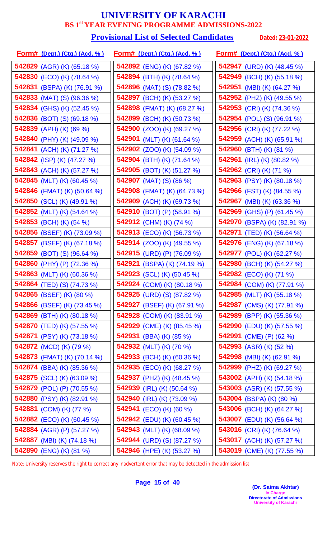#### **Provisional List of Selected Candidates** Dated: 23-01-2022

| <u>Form# (Dept.) (Ctg.) (Acd. % )</u> | <u>Form# (Dept.) (Ctg.) (Acd. %)</u> | <u>Form# (Dept.) (Ctg.) (Acd. % )</u> |
|---------------------------------------|--------------------------------------|---------------------------------------|
| <b>542829</b> (AGR) (K) (65.18 %)     | <b>542892</b> (ENG) (K) (67.82 %)    | <b>542947</b> (URD) (K) (48.45 %)     |
| 542830 (ECO) (K) (78.64 %)            | 542894 (BTH) (K) (78.64 %)           | 542949 (BCH) (K) (55.18 %)            |
| 542831 (BSPA) (K) (76.91 %)           | <b>542896</b> (MAT) (S) (78.82 %)    | 542951 (MBI) (K) (64.27 %)            |
| <b>542833</b> (MAT) (S) (96.36 %)     | <b>542897</b> (BCH) (K) (53.27 %)    | <b>542952</b> (PHZ) (K) (49.55 %)     |
| <b>542834</b> (GHS) (K) (52.45 %)     | 542898 (FMAT) (K) (68.27 %)          | 542953 (CRI) (K) (74.36 %)            |
| <b>542836</b> (BOT) (S) (69.18 %)     | 542899 (BCH) (K) (50.73 %)           | <b>542954</b> (POL) (S) (96.91 %)     |
| 542839 (APH) (K) (69 %)               | 542900 (ZOO) (K) (69.27 %)           | 542956 (CRI) (K) (77.22 %)            |
| 542840 (PHY) (K) (49.09 %)            | 542901 (MLT) (K) (61.64 %)           | 542959 (ACH) (K) (65.91 %)            |
| 542841 (ACH) (K) (71.27 %)            | <b>542902</b> (ZOO) (K) (54.09 %)    | 542960 (BTH) (K) (81 %)               |
| <b>542842</b> (ISP) (K) (47.27 %)     | 542904 (BTH) (K) (71.64 %)           | 542961 (IRL) (K) (80.82 %)            |
| 542843 (ACH) (K) (57.27 %)            | 542905 (BOT) (K) (51.27 %)           | 542962 (CRI) (K) (71 %)               |
| <b>542845</b> (MLT) (K) (60.45 %)     | <b>542907</b> (MAT) (S) (86 %)       | <b>542963</b> (PSY) (K) (80.18 %)     |
| 542846 (FMAT) (K) (50.64 %)           | 542908 (FMAT) (K) (64.73 %)          | 542966 (FST) (K) (84.55 %)            |
| 542850 (SCL) (K) (49.91 %)            | 542909 (ACH) (K) (69.73 %)           | <b>542967</b> (MBI) (K) (63.36 %)     |
| 542852 (MLT) (K) (54.64 %)            | 542910 (BOT) (P) (58.91 %)           | 542969 (GHS) (P) (61.45 %)            |
| 542853 (BCH) (K) (54 %)               | 542912 (CHM) (K) (74 %)              | 542970 (BSPA) (K) (82.91 %)           |
| 542856 (BSEF) (K) (73.09 %)           | <b>542913</b> (ECO) (K) (56.73 %)    | <b>542971</b> (TED) (K) (56.64 %)     |
| 542857 (BSEF) (K) (67.18 %)           | <b>542914</b> (ZOO) (K) (49.55 %)    | <b>542976</b> (ENG) (K) (67.18 %)     |
| 542859 (BOT) (S) (96.64 %)            | 542915 (URD) (P) (76.09 %)           | <b>542977</b> (POL) (K) (62.27 %)     |
| 542860 (PHY) (P) (72.36 %)            | <b>542921</b> (BSPA) (K) (74.19 %)   | 542980 (BCH) (K) (54.27 %)            |
| 542863 (MLT) (K) (60.36 %)            | <b>542923</b> (SCL) (K) (50.45 %)    | 542982 (ECO) (K) (71 %)               |
| <b>542864</b> (TED) (S) (74.73 %)     | 542924 (COM) (K) (80.18 %)           | <b>542984</b> (COM) (K) (77.91 %)     |
| <b>542865</b> (BSEF) (K) (80 %)       | 542925 (URD) (S) (87.82 %)           | <b>542985</b> (MLT) (K) (55.18 %)     |
| <b>542866</b> (BSEF) (K) (73.45 %)    | <b>542927</b> (BSEF) (K) (67.91 %)   | 542987 (CMS) (K) (77.91 %)            |
| <b>542869</b> (BTH) (K) (80.18 %)     | <b>542928</b> (COM) (K) (83.91 %)    | <b>542989</b> (BPP) (K) (55.36 %)     |
| <b>542870</b> (TED) (K) (57.55 %)     | <b>542929</b> (CME) (K) (85.45 %)    | <b>542990</b> (EDU) (K) (57.55 %)     |
| <b>542871</b> (PSY) (K) (73.18 %)     | <b>542931</b> (BBA) (K) (85 %)       | 542991 (CME) (P) (62 %)               |
| 542872 (MCD) (K) (79 %)               | 542932 (MLT) (K) (70 %)              | <b>542993</b> (ASR) (K) (52 %)        |
| <b>542873</b> (FMAT) (K) (70.14 %)    | <b>542933</b> (BCH) (K) (60.36 %)    | <b>542998</b> (MBI) (K) (62.91 %)     |
| <b>542874</b> (BBA) (K) (85.36 %)     | <b>542935</b> (ECO) (K) (68.27 %)    | <b>542999</b> (PHZ) (K) (69.27 %)     |
| 542875 (SCL) (K) (63.09 %)            | 542937 (PHZ) (K) (48.45 %)           | 543002 (APH) (K) (54.18 %)            |
| 542879 (POL) (P) (70.55 %)            | <b>542939</b> (IRL) (K) (50.64 %)    | <b>543003</b> (ASR) (K) (57.55 %)     |
| 542880 (PSY) (K) (82.91 %)            | 542940 (IRL) (K) (73.09 %)           | <b>543004</b> (BSPA) (K) (80 %)       |
| 542881 (COM) (K) (77 %)               | <b>542941</b> (ECO) (K) (60 %)       | 543006 (BCH) (K) (64.27 %)            |
| <b>542882</b> (ECO) (K) (60.45 %)     | <b>542942</b> (EDU) (K) (60.45 %)    | <b>543007</b> (EDU) (K) (56.64 %)     |
| <b>542884</b> (AGR) (P) (57.27 %)     | 542943 (MLT) (K) (68.09 %)           | 543016 (CRI) (K) (76.64 %)            |
| 542887 (MBI) (K) (74.18 %)            | <b>542944</b> (URD) (S) (87.27 %)    | 543017 (ACH) (K) (57.27 %)            |
| 542890 (ENG) (K) (81 %)               | 542946 (HPE) (K) (53.27 %)           | 543019 (CME) (K) (77.55 %)            |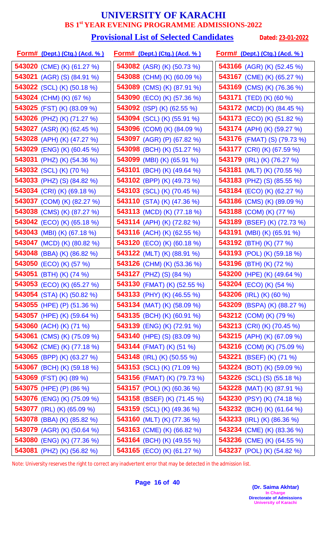#### **Provisional List of Selected Candidates** Dated: 23-01-2022

| <u>Form# (Dept.) (Ctg.) (Acd. %)</u> | <u>Form# (Dept.) (Ctg.) (Acd. %)</u> | <u>Form# (Dept.) (Ctg.) (Acd. % )</u> |
|--------------------------------------|--------------------------------------|---------------------------------------|
| 543020 (CME) (K) (61.27 %)           | <b>543082</b> (ASR) (K) (50.73 %)    | 543166 (AGR) (K) (52.45 %)            |
| <b>543021</b> (AGR) (S) (84.91 %)    | 543088 (CHM) (K) (60.09 %)           | 543167 (CME) (K) (65.27 %)            |
| 543022 (SCL) (K) (50.18 %)           | 543089 (CMS) (K) (87.91 %)           | <b>543169</b> (CMS) (K) (76.36 %)     |
| 543024 (CHM) (K) (67 %)              | <b>543090</b> (ECO) (K) (57.36 %)    | <b>543171</b> (TED) (K) (60 %)        |
| 543025 (FST) (K) (83.09 %)           | 543092 (ISP) (K) (62.55 %)           | <b>543172</b> (MCD) (K) (84.45 %)     |
| 543026 (PHZ) (K) (71.27 %)           | <b>543094</b> (SCL) (K) (55.91 %)    | <b>543173</b> (ECO) (K) (51.82 %)     |
| 543027 (ASR) (K) (62.45 %)           | 543096 (COM) (K) (84.09 %)           | 543174 (APH) (K) (59.27 %)            |
| 543028 (APH) (K) (47.27 %)           | 543097 (AGR) (P) (67.82 %)           | <b>543176</b> (FMAT) (S) (79.73 %)    |
| <b>543029</b> (ENG) (K) (60.45 %)    | 543098 (BCH) (K) (51.27 %)           | <b>543177</b> (CRI) (K) (67.59 %)     |
| 543031 (PHZ) (K) (54.36 %)           | 543099 (MBI) (K) (65.91 %)           | 543179 (IRL) (K) (76.27 %)            |
| 543032 (SCL) (K) (70 %)              | 543101 (BCH) (K) (49.64 %)           | 543181 (MLT) (K) (70.55 %)            |
| <b>543033</b> (PHZ) (S) (84.82 %)    | <b>543102</b> (BPP) (K) (49.73 %)    | <b>543183</b> (PHZ) (S) (85.55 %)     |
| 543034 (CRI) (K) (69.18 %)           | 543103 (SCL) (K) (70.45 %)           | 543184 (ECO) (K) (62.27 %)            |
| 543037 (COM) (K) (82.27 %)           | 543110 (STA) (K) (47.36 %)           | <b>543186</b> (CMS) (K) (89.09 %)     |
| 543038 (CMS) (K) (87.27 %)           | 543113 (MCD) (K) (77.18 %)           | 543188 (COM) (K) (77 %)               |
| <b>543042</b> (ECO) (K) (65.18 %)    | 543114 (APH) (K) (72.82 %)           | 543189 (BSEF) (K) (72.73 %)           |
| 543043 (MBI) (K) (67.18 %)           | <b>543116</b> (ACH) (K) (62.55 %)    | <b>543191</b> (MBI) (K) (65.91 %)     |
| 543047 (MCD) (K) (80.82 %)           | <b>543120</b> (ECO) (K) (60.18 %)    | 543192 (BTH) (K) (77 %)               |
| 543048 (BBA) (K) (86.82 %)           | <b>543122</b> (MLT) (K) (88.91 %)    | <b>543193</b> (POL) (K) (59.18 %)     |
| 543050 (ECO) (K) (57 %)              | <b>543126</b> (CHM) (K) (53.36 %)    | 543196 (BTH) (K) (72 %)               |
| 543051 (BTH) (K) (74 %)              | <b>543127</b> (PHZ) (S) (84 %)       | 543200 (HPE) (K) (49.64 %)            |
| <b>543053</b> (ECO) (K) (65.27 %)    | 543130 (FMAT) (K) (52.55 %)          | 543204 (ECO) (K) (54 %)               |
| <b>543054</b> (STA) (K) (50.82 %)    | <b>543133</b> (PHY) (K) (46.55 %)    | <b>543206</b> (IRL) (K) (60 %)        |
| <b>543055</b> (HPE) (P) (51.36 %)    | <b>543134</b> (MAT) (K) (58.09 %)    | <b>543209</b> (BSPA) (K) (88.27 %)    |
| 543057 (HPE) (K) (59.64 %)           | 543135 (BCH) (K) (60.91 %)           | 543212 (COM) (K) (79 %)               |
| 543060 (ACH) (K) (71 %)              | <b>543139</b> (ENG) (K) (72.91 %)    | <b>543213</b> (CRI) (K) (70.45 %)     |
| <b>543061</b> (CMS) (K) (75.09 %)    | <b>543140</b> (HPE) (S) (83.09 %)    | 543215 (APH) (K) (67.09 %)            |
| 543062 (CME) (K) (77.18 %)           | <b>543144</b> (FMAT) (K) (51 %)      | 543216 (COM) (K) (75.09 %)            |
| 543065 (BPP) (K) (63.27 %)           | <b>543148</b> (IRL) (K) (50.55 %)    | <b>543221</b> (BSEF) (K) (71 %)       |
| 543067 (BCH) (K) (59.18 %)           | 543153 (SCL) (K) (71.09 %)           | <b>543224</b> (BOT) (K) (59.09 %)     |
| 543069 (FST) (K) (89 %)              | <b>543156</b> (FMAT) (K) (79.73 %)   | <b>543226</b> (SCL) (S) (55.18 %)     |
| 543075 (HPE) (P) (86 %)              | 543157 (POL) (K) (60.36 %)           | <b>543228</b> (MAT) (K) (87.91 %)     |
| 543076 (ENG) (K) (75.09 %)           | 543158 (BSEF) (K) (71.45 %)          | 543230 (PSY) (K) (74.18 %)            |
| <b>543077</b> (IRL) (K) (65.09 %)    | <b>543159</b> (SCL) (K) (49.36 %)    | 543232 (BCH) (K) (61.64 %)            |
| <b>543078</b> (BBA) (K) (85.82 %)    | <b>543160</b> (MLT) (K) (77.36 %)    | <b>543233</b> (IRL) (K) (86.36 %)     |
| 543079 (AGR) (K) (50.64 %)           | 543163 (CME) (K) (66.82 %)           | <b>543234</b> (CME) (K) (83.36 %)     |
| 543080 (ENG) (K) (77.36 %)           | <b>543164</b> (BCH) (K) (49.55 %)    | 543236 (CME) (K) (64.55 %)            |
| 543081 (PHZ) (K) (56.82 %)           | 543165 (ECO) (K) (61.27 %)           | 543237 (POL) (K) (54.82 %)            |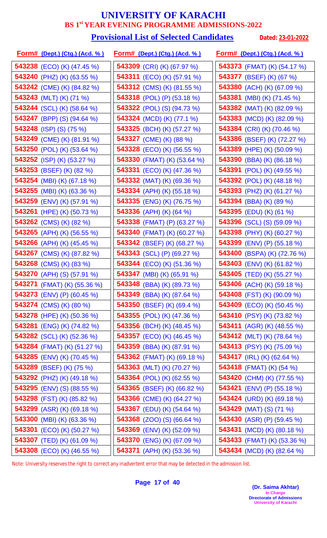#### **Provisional List of Selected Candidates** Dated: 23-01-2022

| <u>Form# (Dept.) (Ctg.) (Acd. % )</u> | <u>Form# (Dept.) (Ctg.) (Acd. %)</u> | <u>Form# (Dept.) (Ctg.) (Acd. % )</u> |
|---------------------------------------|--------------------------------------|---------------------------------------|
| <b>543238</b> (ECO) (K) (47.45 %)     | <b>543309</b> (CRI) (K) (67.97 %)    | 543373 (FMAT) (K) (54.17 %)           |
| <b>543240</b> (PHZ) (K) (63.55 %)     | <b>543311</b> (ECO) (K) (57.91 %)    | 543377 (BSEF) (K) (67 %)              |
| 543242 (CME) (K) (84.82 %)            | 543312 (CMS) (K) (81.55 %)           | 543380 (ACH) (K) (67.09 %)            |
| 543243 (MLT) (K) (71 %)               | <b>543318</b> (POL) (P) (53.18 %)    | <b>543381</b> (MBI) (K) (71.45 %)     |
| 543244 (SCL) (K) (58.64 %)            | <b>543322</b> (POL) (S) (94.73 %)    | 543382 (MAT) (K) (82.09 %)            |
| <b>543247</b> (BPP) (S) (94.64 %)     | <b>543324</b> (MCD) (K) (77.1 %)     | <b>543383</b> (MCD) (K) (82.09 %)     |
| 543248 (ISP) (S) (75 %)               | 543325 (BCH) (K) (57.27 %)           | 543384 (CRI) (K) (70.46 %)            |
| 543249 (CME) (K) (81.91 %)            | 543327 (CME) (K) (88 %)              | 543386 (BSEF) (K) (72.27 %)           |
| 543250 (POL) (K) (53.64 %)            | <b>543328</b> (ECO) (K) (56.55 %)    | 543389 (HPE) (K) (50.09 %)            |
| 543252 (ISP) (K) (53.27 %)            | 543330 (FMAT) (K) (53.64 %)          | <b>543390</b> (BBA) (K) (86.18 %)     |
| 543253 (BSEF) (K) (82 %)              | <b>543331</b> (ECO) (K) (47.36 %)    | <b>543391</b> (POL) (K) (49.55 %)     |
| <b>543254</b> (MBI) (K) (67.18 %)     | <b>543332</b> (MAT) (K) (69.36 %)    | <b>543392</b> (POL) (K) (48.18 %)     |
| 543255 (MBI) (K) (63.36 %)            | 543334 (APH) (K) (55.18 %)           | 543393 (PHZ) (K) (61.27 %)            |
| <b>543259</b> (ENV) (K) (57.91 %)     | 543335 (ENG) (K) (76.75 %)           | <b>543394</b> (BBA) (K) (89 %)        |
| 543261 (HPE) (K) (50.73 %)            | 543336 (APH) (K) (64 %)              | 543395 (EDU) (K) (61 %)               |
| 543262 (CMS) (K) (82 %)               | 543338 (FMAT) (P) (63.27 %)          | <b>543396</b> (SCL) (S) (59.09 %)     |
| 543265 (APH) (K) (56.55 %)            | 543340 (FMAT) (K) (60.27 %)          | 543398 (PHY) (K) (60.27 %)            |
| 543266 (APH) (K) (45.45 %)            | 543342 (BSEF) (K) (68.27 %)          | <b>543399</b> (ENV) (P) (55.18 %)     |
| 543267 (CMS) (K) (87.82 %)            | <b>543343</b> (SCL) (P) (69.27 %)    | 543400 (BSPA) (K) (72.76 %)           |
| 543268 (CMS) (K) (83 %)               | <b>543344</b> (ECO) (K) (51.36 %)    | 543403 (ENV) (K) (61.82 %)            |
| 543270 (APH) (S) (57.91 %)            | <b>543347</b> (MBI) (K) (65.91 %)    | 543405 (TED) (K) (55.27 %)            |
| <b>543271</b> (FMAT) (K) (55.36 %)    | 543348 (BBA) (K) (89.73 %)           | 543406 (ACH) (K) (59.18 %)            |
| 543273 (ENV) (P) (60.45 %)            | 543349 (BBA) (K) (87.64 %)           | <b>543408</b> (FST) (K) (90.09 %)     |
| <b>543274</b> (CMS) (K) (80 %)        | <b>543350</b> (BSEF) (K) (69.4 %)    | <b>543409</b> (ECO) (K) (50.45 %)     |
| 543278 (HPE) (K) (50.36 %)            | <b>543355</b> (POL) (K) (47.36 %)    | 543410 (PSY) (K) (73.82 %)            |
| <b>543281</b> (ENG) (K) (74.82 %)     | <b>543356</b> (BCH) (K) (48.45 %)    | <b>543411</b> (AGR) (K) (48.55 %)     |
| <b>543282</b> (SCL) (K) (52.36 %)     | <b>543357</b> (ECO) (K) (46.45 %)    | <b>543412</b> (MLT) (K) (78.64 %)     |
| 543284 (FMAT) (K) (51.27 %)           | <b>543359</b> (BBA) (K) (87.91 %)    | 543413 (PSY) (K) (75.09 %)            |
| <b>543285</b> (ENV) (K) (70.45 %)     | <b>543362</b> (FMAT) (K) (69.18 %)   | <b>543417</b> (IRL) (K) (62.64 %)     |
| 543289 (BSEF) (K) (75 %)              | 543363 (MLT) (K) (70.27 %)           | 543418 (FMAT) (K) (54 %)              |
| <b>543292</b> (PHZ) (K) (49.18 %)     | 543364 (POL) (K) (62.55 %)           | 543420 (CHM) (K) (77.55 %)            |
| <b>543295</b> (ENV) (S) (88.55 %)     | 543365 (BSEF) (K) (66.82 %)          | <b>543421</b> (ENV) (P) (55.18 %)     |
| 543298 (FST) (K) (85.82 %)            | 543366 (CME) (K) (64.27 %)           | 543424 (URD) (K) (69.18 %)            |
| <b>543299</b> (ASR) (K) (69.18 %)     | 543367 (EDU) (K) (54.64 %)           | <b>543429</b> (MAT) (S) (71 %)        |
| 543300 (MBI) (K) (63.36 %)            | <b>543368</b> (ZOO) (S) (66.64 %)    | <b>543430</b> (ASR) (P) (59.45 %)     |
| 543301 (ECO) (K) (50.27 %)            | 543369 (ENV) (K) (52.09 %)           | <b>543431</b> (MCD) (K) (80.18 %)     |
| 543307 (TED) (K) (61.09 %)            | 543370 (ENG) (K) (67.09 %)           | <b>543433</b> (FMAT) (K) (53.36 %)    |
| 543308 (ECO) (K) (46.55 %)            | 543371 (APH) (K) (53.36 %)           | 543434 (MCD) (K) (82.64 %)            |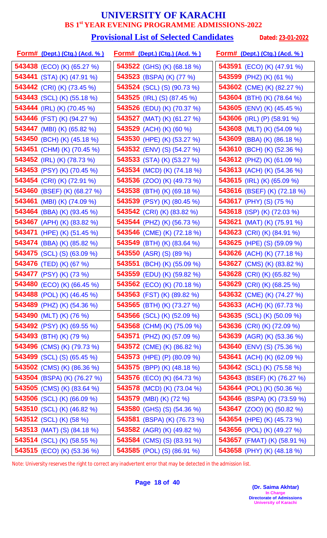#### **Provisional List of Selected Candidates** Dated: 23-01-2022

| <u>Form# (Dept.) (Ctg.) (Acd. %)</u> | <u>Form# (Dept.) (Ctg.) (Acd. %)</u> | <u>Form# (Dept.) (Ctg.) (Acd. %)</u> |
|--------------------------------------|--------------------------------------|--------------------------------------|
| 543438 (ECO) (K) (65.27 %)           | <b>543522</b> (GHS) (K) (68.18 %)    | <b>543591</b> (ECO) (K) (47.91 %)    |
| 543441 (STA) (K) (47.91 %)           | 543523 (BSPA) (K) (77 %)             | 543599 (PHZ) (K) (61 %)              |
| 543442 (CRI) (K) (73.45 %)           | <b>543524</b> (SCL) (S) (90.73 %)    | 543602 (CME) (K) (82.27 %)           |
| 543443 (SCL) (K) (55.18 %)           | <b>543525</b> (IRL) (S) (87.45 %)    | 543604 (BTH) (K) (78.64 %)           |
| 543444 (IRL) (K) (70.45 %)           | 543526 (EDU) (K) (70.37 %)           | 543605 (ENV) (K) (45.45 %)           |
| 543446 (FST) (K) (94.27 %)           | <b>543527</b> (MAT) (K) (61.27 %)    | 543606 (IRL) (P) $(58.91\%)$         |
| 543447 (MBI) (K) (65.82 %)           | 543529 (ACH) (K) (60 %)              | 543608 (MLT) (K) (54.09 %)           |
| 543450 (BCH) (K) (45.18 %)           | 543530 (HPE) (K) (53.27 %)           | 543609 (BBA) (K) (86.18 %)           |
| 543451 (CHM) (K) (70.45 %)           | <b>543532</b> (ENV) (S) (54.27 %)    | 543610 (BCH) (K) (52.36 %)           |
| 543452 (IRL) (K) (78.73 %)           | 543533 (STA) (K) (53.27 %)           | 543612 (PHZ) (K) (61.09 %)           |
| 543453 (PSY) (K) (70.45 %)           | 543534 (MCD) (K) (74.18 %)           | <b>543613</b> (ACH) (K) (54.36 %)    |
| 543454 (CRI) (K) (72.91 %)           | <b>543536</b> (ZOO) (K) (49.73 %)    | 543615 (IRL) (K) (65.09 %)           |
| 543460 (BSEF) (K) (68.27 %)          | 543538 (BTH) (K) (69.18 %)           | 543616 (BSEF) (K) (72.18 %)          |
| 543461 (MBI) (K) (74.09 %)           | 543539 (PSY) (K) (80.45 %)           | <b>543617</b> (PHY) (S) (75 %)       |
| 543464 (BBA) (K) (93.45 %)           | 543542 (CRI) (K) (83.82 %)           | 543618 (ISP) (K) (72.03 %)           |
| 543467 (APH) (K) (83.82 %)           | 543544 (PHZ) (K) (56.73 %)           | <b>543621</b> (MAT) (K) (75.91 %)    |
| <b>543471</b> (HPE) (K) (51.45 %)    | 543546 (CME) (K) (72.18 %)           | <b>543623</b> (CRI) (K) (84.91 %)    |
| <b>543474</b> (BBA) (K) (85.82 %)    | 543549 (BTH) (K) (83.64 %)           | <b>543625</b> (HPE) (S) (59.09 %)    |
| <b>543475</b> (SCL) (S) (63.09 %)    | 543550 (ASR) (S) (89 %)              | 543626 (ACH) (K) (77.18 %)           |
| 543476 (TED) (K) (67 %)              | 543551 (BCH) (K) (55.09 %)           | <b>543627</b> (CMS) (K) (83.82 %)    |
| 543477 (PSY) (K) (73 %)              | 543559 (EDU) (K) (59.82 %)           | 543628 (CRI) (K) (65.82 %)           |
| 543480 (ECO) (K) (66.45 %)           | 543562 (ECO) (K) (70.18 %)           | 543629 (CRI) (K) (68.25 %)           |
| <b>543488</b> (POL) (K) (46.45 %)    | <b>543563</b> (FST) (K) (89.82 %)    | <b>543632</b> (CME) (K) (74.27 %)    |
| <b>543489</b> (PHZ) (K) (54.36 %)    | <b>543565</b> (BTH) (K) (73.27 %)    | <b>543633</b> (ACH) (K) (67.73 %)    |
| 543490 (MLT) (K) (76 %)              | <b>543566</b> (SCL) (K) (52.09 %)    | 543635 (SCL) (K) (50.09 %)           |
| <b>543492</b> (PSY) (K) (69.55 %)    | 543568 (CHM) (K) (75.09 %)           | 543636 (CRI) (K) (72.09 %)           |
| 543493 (BTH) (K) (79 %)              | 543571 (PHZ) (K) (57.09 %)           | 543639 (AGR) (K) (53.36 %)           |
| 543496 (CMS) (K) (79.73 %)           | <b>543572</b> (CME) (K) (86.82 %)    | <b>543640</b> (ENV) (S) (75.36 %)    |
| <b>543499</b> (SCL) (S) (65.45 %)    | 543573 (HPE) (P) $(80.09\%)$         | <b>543641</b> (ACH) (K) (62.09 %)    |
| 543502 (CMS) (K) (86.36 %)           | <b>543575</b> (BPP) (K) (48.18 %)    | <b>543642</b> (SCL) (K) (75.58 %)    |
| 543504 (BSPA) (K) (76.27 %)          | 543576 (ECO) (K) (64.73 %)           | 543643 (BSEF) (K) (76.27 %)          |
| 543505 (CMS) (K) (83.64 %)           | 543578 (MCD) (K) (73.04 %)           | <b>543644</b> (POL) (K) (50.36 %)    |
| 543506 (SCL) (K) (66.09 %)           | 543579 (MBI) (K) (72 %)              | 543646 (BSPA) (K) (73.59 %)          |
| 543510 (SCL) (K) (46.82 %)           | <b>543580</b> (GHS) (S) (54.36 %)    | <b>543647</b> (ZOO) (K) (50.82 %)    |
| <b>543512</b> (SCL) (K) (58 %)       | <b>543581</b> (BSPA) (K) (76.73 %)   | <b>543654</b> (HPE) (K) (45.73 %)    |
| <b>543513</b> (MAT) (S) (84.18 %)    | 543582 (AGR) (K) (49.82 %)           | 543656 (POL) (K) (49.27 %)           |
| <b>543514</b> (SCL) (K) (58.55 %)    | <b>543584</b> (CMS) (S) (83.91 %)    | 543657 (FMAT) (K) (58.91 %)          |
| <b>543515</b> (ECO) (K) (53.36 %)    | 543585 (POL) (S) (86.91 %)           | 543658 (PHY) (K) (48.18 %)           |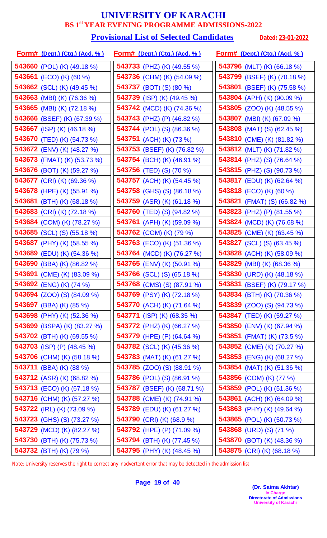#### **Provisional List of Selected Candidates** Dated: 23-01-2022

| <u>Form# (Dept.) (Ctg.) (Acd. %)</u> | <u>Form# (Dept.) (Ctg.) (Acd. %)</u> | <u> Form# (Dept.) (Ctg.) (Acd. % )</u> |
|--------------------------------------|--------------------------------------|----------------------------------------|
| <b>543660</b> (POL) (K) (49.18 %)    | <b>543733</b> (PHZ) (K) (49.55 %)    | 543796 (MLT) (K) (66.18 %)             |
| 543661 (ECO) (K) (60 %)              | 543736 (CHM) (K) (54.09 %)           | 543799 (BSEF) (K) (70.18 %)            |
| 543662 (SCL) (K) (49.45 %)           | <b>543737</b> (BOT) (S) (80 %)       | 543801 (BSEF) (K) (75.58 %)            |
| 543663 (MBI) (K) (76.36 %)           | <b>543739</b> (ISP) (K) (49.45 %)    | <b>543804</b> (APH) (K) (90.09 %)      |
| 543665 (MBI) (K) (72.18 %)           | 543742 (MCD) (K) (74.36 %)           | 543805 (ZOO) (K) (48.55 %)             |
| <b>543666</b> (BSEF) (K) (67.39 %)   | 543743 (PHZ) (P) (46.82 %)           | <b>543807</b> (MBI) (K) (67.09 %)      |
| 543667 (ISP) (K) (46.18 %)           | <b>543744</b> (POL) (S) (86.36 %)    | <b>543808</b> (MAT) (S) (62.45 %)      |
| 543670 (TED) (K) (54.73 %)           | 543751 (ACH) (K) (73 %)              | 543810 (CME) (K) (81.82 %)             |
| <b>543672</b> (ENV) (K) (48.27 %)    | 543753 (BSEF) (K) (76.82 %)          | 543812 (MLT) (K) (71.82 %)             |
| 543673 (FMAT) (K) (53.73 %)          | 543754 (BCH) (K) (46.91 %)           | <b>543814</b> (PHZ) (S) (76.64 %)      |
| 543676 (BOT) (K) (59.27 %)           | <b>543756</b> (TED) (S) (70 %)       | 543815 (PHZ) (S) (90.73 %)             |
| <b>543677</b> (CRI) (K) (69.36 %)    | <b>543757</b> (ACH) (K) (54.45 %)    | <b>543817</b> (EDU) (K) (62.64 %)      |
| 543678 (HPE) (K) (55.91 %)           | <b>543758</b> (GHS) (S) (86.18 %)    | 543818 (ECO) (K) (60 %)                |
| 543681 (BTH) (K) $(68.18\%)$         | <b>543759</b> (ASR) (K) (61.18 %)    | <b>543821</b> (FMAT) (S) (66.82 %)     |
| 543683 (CRI) (K) (72.18 %)           | 543760 (TED) (S) (94.82 %)           | 543823 (PHZ) (P) (81.55 %)             |
| 543684 (COM) (K) (78.27 %)           | 543761 (APH) (K) (59.09 %)           | <b>543824</b> (MCD) (K) (76.68 %)      |
| <b>543685</b> (SCL) (S) (55.18 %)    | <b>543762</b> (COM) (K) (79 %)       | 543825 (CME) (K) (63.45 %)             |
| 543687 (PHY) (K) (58.55 %)           | <b>543763</b> (ECO) (K) (51.36 %)    | <b>543827</b> (SCL) (S) (63.45 %)      |
| 543689 (EDU) (K) (54.36 %)           | 543764 (MCD) (K) (76.27 %)           | <b>543828</b> (ACH) (K) (58.09 %)      |
| 543690 (BBA) (K) (86.82 %)           | <b>543765</b> (ENV) (K) (50.91 %)    | <b>543829</b> (MBI) (K) (68.36 %)      |
| 543691 (CME) (K) (83.09 %)           | <b>543766</b> (SCL) (S) (65.18 %)    | 543830 (URD) (K) (48.18 %)             |
| 543692 (ENG) (K) (74 %)              | <b>543768</b> (CMS) (S) (87.91 %)    | 543831 (BSEF) (K) (79.17 %)            |
| <b>543694</b> (ZOO) (S) (84.09 %)    | 543769 (PSY) (K) (72.18 %)           | 543834 (BTH) (K) (70.36 %)             |
| 543697 (BBA) (K) (85 %)              | <b>543770</b> (ACH) (K) (71.64 %)    | <b>543839</b> (ZOO) (S) (94.73 %)      |
| <b>543698</b> (PHY) (K) (52.36 %)    | <b>543771</b> (ISP) (K) (68.35 %)    | <b>543847</b> (TED) (K) (59.27 %)      |
| 543699 (BSPA) (K) (83.27 %)          | <b>543772</b> (PHZ) (K) (66.27 %)    | <b>543850</b> (ENV) (K) (67.94 %)      |
| <b>543702</b> (BTH) (K) (69.55 %)    | <b>543779</b> (HPE) (P) (64.64 %)    | <b>543851</b> (FMAT) (K) (73.5 %)      |
| 543703 (ISP) (P) (48.45 %)           | <b>543782</b> (SCL) (K) (45.36 %)    | <b>543852</b> (CME) (K) (70.27 %)      |
| 543706 (CHM) (K) (58.18 %)           | 543783 (MAT) (K) $(61.27%)$          | <b>543853</b> (ENG) (K) (68.27 %)      |
| <b>543711</b> (BBA) (K) (88 %)       | <b>543785</b> (ZOO) (S) (88.91 %)    | <b>543854</b> (MAT) (K) (51.36 %)      |
| <b>543712</b> (ASR) (K) (68.82 %)    | <b>543786</b> (POL) (S) (86.91 %)    | <b>543856</b> (COM) (K) (77 %)         |
| <b>543713</b> (ECO) (K) (67.18 %)    | 543787 (BSEF) (K) (68.71 %)          | 543859 (POL) (K) (51.36 %)             |
| 543716 (CHM) (K) (57.27 %)           | 543788 (CME) (K) (74.91 %)           | <b>543861</b> (ACH) (K) (64.09 %)      |
| 543722 (IRL) (K) (73.09 %)           | 543789 (EDU) (K) (61.27 %)           | 543863 (PHY) (K) (49.64 %)             |
| <b>543723</b> (GHS) (S) (73.27 %)    | 543790 (CRI) (K) (68.9 %)            | <b>543865</b> (POL) (K) (50.73 %)      |
| 543729 (MCD) (K) (82.27 %)           | 543792 (HPE) (P) (71.09 %)           | 543868 (URD) (S) (71 %)                |
| 543730 (BTH) (K) (75.73 %)           | 543794 (BTH) (K) (77.45 %)           | 543870 (BOT) (K) (48.36 %)             |
| <b>543732</b> (BTH) (K) (79 %)       | 543795 (PHY) (K) (48.45 %)           | 543875 (CRI) (K) (68.18 %)             |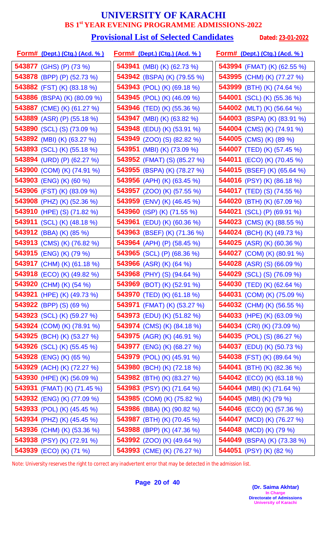#### **Provisional List of Selected Candidates** Dated: 23-01-2022

| <u>Form# (Dept.) (Ctg.) (Acd. % )</u> | <u>Form# (Dept.) (Ctg.) (Acd. %)</u> | <u> Form# (Dept.) (Ctg.) (Acd. % )</u> |
|---------------------------------------|--------------------------------------|----------------------------------------|
| <b>543877</b> (GHS) (P) (73 %)        | 543941 (MBI) (K) (62.73 %)           | 543994 (FMAT) (K) (62.55 %)            |
| 543878 (BPP) (P) (52.73 %)            | 543942 (BSPA) (K) (79.55 %)          | 543995 (CHM) (K) (77.27 %)             |
| 543882 (FST) (K) (83.18 %)            | 543943 (POL) (K) (69.18 %)           | 543999 (BTH) (K) (74.64 %)             |
| <b>543886</b> (BSPA) (K) (80.09 %)    | <b>543945</b> (POL) (K) (46.09 %)    | <b>544001</b> (SCL) (K) (55.36 %)      |
| 543887 (CME) (K) (61.27 %)            | 543946 (TED) (K) (55.36 %)           | 544002 (MLT) (K) (56.64 %)             |
| 543889 (ASR) (P) (55.18 %)            | <b>543947</b> (MBI) (K) (63.82 %)    | <b>544003</b> (BSPA) (K) (83.91 %)     |
| 543890 (SCL) (S) (73.09 %)            | 543948 (EDU) (K) (53.91 %)           | <b>544004</b> (CMS) (K) (74.91 %)      |
| 543892 (MBI) (K) (63.27 %)            | <b>543949</b> (ZOO) (S) (82.82 %)    | 544005 (CMS) (K) (89 %)                |
| 543893 (SCL) (K) (55.18 %)            | 543951 (MBI) (K) (73.09 %)           | <b>544007</b> (TED) (K) (57.45 %)      |
| 543894 (URD) (P) (62.27 %)            | <b>543952</b> (FMAT) (S) (85.27 %)   | <b>544011</b> (ECO) (K) (70.45 %)      |
| 543900 (COM) (K) (74.91 %)            | 543955 (BSPA) (K) (78.27 %)          | <b>544015</b> (BSEF) (K) (65.64 %)     |
| 543903 (ENG) (K) (60 %)               | 543956 (APH) (K) (63.45 %)           | <b>544016</b> (PSY) (K) (86.18 %)      |
| 543906 (FST) (K) (83.09 %)            | <b>543957</b> (ZOO) (K) (57.55 %)    | <b>544017</b> (TED) (S) (74.55 %)      |
| 543908 (PHZ) (K) (52.36 %)            | 543959 (ENV) (K) (46.45 %)           | 544020 (BTH) (K) (67.09 %)             |
| 543910 (HPE) (S) (71.82 %)            | 543960 (ISP) (K) (71.55 %)           | <b>544021</b> (SCL) (P) (69.91 %)      |
| 543911 (SCL) (K) (48.18 %)            | <b>543961</b> (EDU) (K) (60.36 %)    | <b>544023</b> (CMS) (K) (88.55 %)      |
| <b>543912</b> (BBA) (K) (85 %)        | 543963 (BSEF) (K) (71.36 %)          | <b>544024</b> (BCH) (K) (49.73 %)      |
| 543913 (CMS) (K) (76.82 %)            | 543964 (APH) (P) (58.45 %)           | <b>544025</b> (ASR) (K) (60.36 %)      |
| 543915 (ENG) (K) (79 %)               | 543965 (SCL) (P) (68.36 %)           | 544027 (COM) (K) (80.91 %)             |
| 543917 (CHM) (K) (61.18 %)            | 543966 (ASR) (K) (64 %)              | <b>544028</b> (ASR) (S) (66.09 %)      |
| <b>543918</b> (ECO) (K) (49.82 %)     | <b>543968</b> (PHY) (S) (94.64 %)    | <b>544029</b> (SCL) (S) (76.09 %)      |
| 543920 (CHM) (K) (54 %)               | 543969 (BOT) (K) (52.91 %)           | 544030 (TED) (K) (62.64 %)             |
| 543921 (HPE) (K) (49.73 %)            | 543970 (TED) (K) (61.18 %)           | 544031 (COM) (K) (75.09 %)             |
| 543922 (BPP) (S) (69 %)               | <b>543971</b> (FMAT) (K) (53.27 %)   | 544032 (CHM) (K) (56.55 %)             |
| 543923 (SCL) (K) (59.27 %)            | <b>543973</b> (EDU) (K) (51.82 %)    | <b>544033</b> (HPE) (K) (63.09 %)      |
| <b>543924</b> (COM) (K) (78.91 %)     | <b>543974</b> (CMS) (K) (84.18 %)    | 544034 (CRI) (K) (73.09 %)             |
| <b>543925</b> (BCH) (K) (53.27 %)     | <b>543975</b> (AGR) (K) (46.91 %)    | <b>544035</b> (POL) (S) (86.27 %)      |
| <b>543926</b> (SCL) (K) (55.45 %)     | <b>543977</b> (ENG) (K) (68.27 %)    | <b>544037</b> (EDU) (K) (50.73 %)      |
| <b>543928</b> (ENG) (K) (65 %)        | <b>543979</b> (POL) (K) (45.91 %)    | <b>544038</b> (FST) (K) (89.64 %)      |
| 543929 (ACH) (K) (72.27 %)            | 543980 (BCH) (K) (72.18 %)           | <b>544041</b> (BTH) (K) (82.36 %)      |
| 543930 (HPE) (K) (56.09 %)            | 543982 (BTH) (K) (83.27 %)           | <b>544042</b> (ECO) (K) (63.18 %)      |
| <b>543931</b> (FMAT) (K) (71.45 %)    | 543983 (PSY) (K) (71.64 %)           | <b>544044</b> (MBI) (K) (71.64 %)      |
| 543932 (ENG) (K) (77.09 %)            | 543985 (COM) (K) (75.82 %)           | 544045 (MBI) (K) (79 %)                |
| <b>543933</b> (POL) (K) (45.45 %)     | <b>543986</b> (BBA) (K) (90.82 %)    | <b>544046</b> (ECO) (K) (57.36 %)      |
| <b>543934</b> (PHZ) (K) (45.45 %)     | 543987 (BTH) (K) (70.45 %)           | 544047 (MCD) (K) (76.27 %)             |
| 543936 (CHM) (K) (53.36 %)            | 543988 (BPP) (K) (47.36 %)           | 544048 (MCD) (K) (79 %)                |
| 543938 (PSY) (K) (72.91 %)            | <b>543992</b> (ZOO) (K) (49.64 %)    | 544049 (BSPA) (K) (73.38 %)            |
| 543939 (ECO) (K) (71 %)               | 543993 (CME) (K) (76.27 %)           | 544051 (PSY) (K) (82 %)                |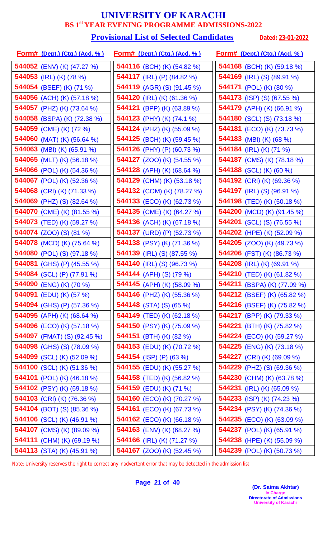# **Provisional List of Selected Candidates** Dated: 23-01-2022

| <u>Form# (Dept.) (Ctg.) (Acd. % )</u> | <u>Form# (Dept.) (Ctg.) (Acd. %)</u> | <u>Form# (Dept.) (Ctg.) (Acd. %)</u> |
|---------------------------------------|--------------------------------------|--------------------------------------|
| <b>544052</b> (ENV) (K) (47.27 %)     | 544116 (BCH) (K) (54.82 %)           | 544168 (BCH) (K) (59.18 %)           |
| 544053 (IRL) (K) (78 %)               | 544117 (IRL) (P) (84.82 %)           | <b>544169</b> (IRL) (S) (89.91 %)    |
| 544054 (BSEF) (K) (71 %)              | <b>544119</b> (AGR) (S) (91.45 %)    | <b>544171</b> (POL) (K) (80 %)       |
| 544056 (ACH) (K) (57.18 %)            | <b>544120</b> (IRL) (K) (61.36 %)    | <b>544173</b> (ISP) (S) (67.55 %)    |
| 544057 (PHZ) (K) (73.64 %)            | 544121 (BPP) (K) (63.89 %)           | 544179 (APH) (K) (66.91 %)           |
| <b>544058</b> (BSPA) (K) (72.38 %)    | <b>544123</b> (PHY) (K) (74.1 %)     | <b>544180</b> (SCL) (S) (73.18 %)    |
| 544059 (CME) (K) (72 %)               | 544124 (PHZ) (K) (55.09 %)           | <b>544181</b> (ECO) (K) (73.73 %)    |
| 544060 (MAT) (K) (56.64 %)            | 544125 (BCH) (K) (59.45 %)           | 544183 (MBI) (K) (68 %)              |
| 544063 (MBI) (K) (65.91 %)            | 544126 (PHY) (P) (60.73 %)           | 544184 (IRL) (K) (71 %)              |
| 544065 (MLT) (K) (56.18 %)            | <b>544127</b> (ZOO) (K) (54.55 %)    | 544187 (CMS) (K) (78.18 %)           |
| 544066 (POL) (K) (54.36 %)            | <b>544128</b> (APH) (K) (68.64 %)    | 544188 (SCL) (K) (60 %)              |
| 544067 (POL) (K) (52.36 %)            | 544129 (CHM) (K) (53.18 %)           | 544192 (CRI) (K) (69.36 %)           |
| 544068 (CRI) (K) (71.33 %)            | 544132 (COM) (K) (78.27 %)           | <b>544197</b> (IRL) (S) (96.91 %)    |
| <b>544069</b> (PHZ) (S) (82.64 %)     | <b>544133</b> (ECO) (K) (62.73 %)    | <b>544198</b> (TED) (K) (50.18 %)    |
| 544070 (CME) (K) (81.55 %)            | 544135 (CME) (K) (64.27 %)           | 544200 (MCD) (K) (91.45 %)           |
| 544073 (TED) (K) (59.27 %)            | 544136 (ACH) (K) (67.18 %)           | <b>544201</b> (SCL) (S) (76.55 %)    |
| <b>544074</b> (ZOO) (S) (81 %)        | <b>544137</b> (URD) (P) (52.73 %)    | 544202 (HPE) (K) (52.09 %)           |
| 544078 (MCD) (K) (75.64 %)            | 544138 (PSY) (K) (71.36 %)           | <b>544205</b> (ZOO) (K) (49.73 %)    |
| <b>544080</b> (POL) (S) (97.18 %)     | 544139 (IRL) (S) (87.55 %)           | 544206 (FST) (K) (86.73 %)           |
| 544081 (GHS) (P) (45.55 %)            | <b>544140</b> (IRL) (S) (96.73 %)    | 544208 (IRL) (K) (69.91 %)           |
| 544084 (SCL) (P) (77.91 %)            | 544144 (APH) (S) (79 %)              | 544210 (TED) (K) (61.82 %)           |
| 544090 (ENG) (K) (70 %)               | <b>544145</b> (APH) (K) (58.09 %)    | 544211 (BSPA) (K) (77.09 %)          |
| 544091 (EDU) (K) (57 %)               | <b>544146</b> (PHZ) (K) (55.36 %)    | <b>544212</b> (BSEF) (K) (65.82 %)   |
| <b>544094</b> (GHS) (P) (57.36 %)     | 544148 $(STA)$ $(S)$ $(65\%)$        | <b>544216</b> (BSEF) (K) (75.82 %)   |
| 544095 (APH) (K) (68.64 %)            | <b>544149</b> (TED) (K) (62.18 %)    | <b>544217</b> (BPP) (K) (79.33 %)    |
| <b>544096</b> (ECO) (K) (57.18 %)     | 544150 (PSY) (K) (75.09 %)           | 544221 (BTH) (K) $(75.82\%)$         |
| <b>544097</b> (FMAT) (S) (92.45 %)    | 544151 (BTH) $(K)$ (82 %)            | <b>544224</b> (ECO) (K) (59.27 %)    |
| <b>544098</b> (GHS) (S) (78.09 %)     | <b>544153</b> (EDU) (K) (70.72 %)    | <b>544225</b> (ENG) (K) (73.18 %)    |
| <b>544099</b> (SCL) (K) (52.09 %)     | 544154 (ISP) (P) (63 %)              | <b>544227</b> (CRI) (K) (69.09 %)    |
| 544100 (SCL) (K) (51.36 %)            | <b>544155</b> (EDU) (K) (55.27 %)    | <b>544229</b> (PHZ) (S) (69.36 %)    |
| <b>544101</b> (POL) (K) (46.18 %)     | <b>544158</b> (TED) (K) (56.82 %)    | <b>544230</b> (CHM) (K) (63.78 %)    |
| <b>544102</b> (PSY) (K) (69.18 %)     | 544159 (EDU) (K) (71 %)              | <b>544231</b> (IRL) (K) (65.09 %)    |
| 544103 (CRI) (K) (76.36 %)            | 544160 (ECO) (K) (70.27 %)           | <b>544233</b> (ISP) (K) (74.23 %)    |
| <b>544104</b> (BOT) (S) (85.36 %)     | <b>544161</b> (ECO) (K) (67.73 %)    | 544234 (PSY) (K) (74.36 %)           |
| <b>544106</b> (SCL) (K) (46.91 %)     | <b>544162</b> (ECO) (K) (66.18 %)    | <b>544235</b> (ECO) (K) (63.09 %)    |
| 544107 (CMS) (K) (89.09 %)            | 544163 (ENV) (K) (68.27 %)           | 544237 (POL) (K) (65.91 %)           |
| 544111 (CHM) (K) (69.19 %)            | <b>544166</b> (IRL) (K) (71.27 %)    | 544238 (HPE) (K) (55.09 %)           |
| 544113 (STA) (K) (45.91 %)            | <b>544167</b> (ZOO) (K) (52.45 %)    | 544239 (POL) (K) (50.73 %)           |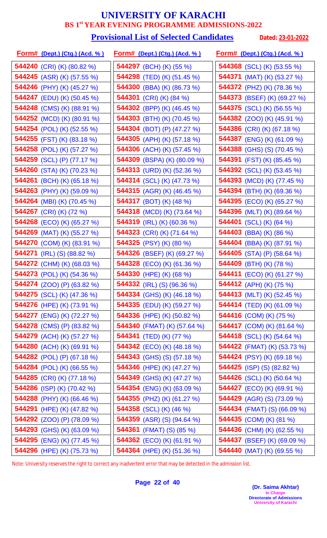#### **Provisional List of Selected Candidates** Dated: 23-01-2022

| <u>Form# (Dept.) (Ctg.) (Acd. % )</u> | <u>Form# (Dept.) (Ctg.) (Acd. %)</u> | <u>Form# (Dept.) (Ctg.) (Acd. % )</u> |
|---------------------------------------|--------------------------------------|---------------------------------------|
| 544240 (CRI) (K) (80.82 %)            | 544297 (BCH) (K) (55 %)              | <b>544368</b> (SCL) (K) (53.55 %)     |
| <b>544245</b> (ASR) (K) (57.55 %)     | 544298 (TED) (K) (51.45 %)           | <b>544371</b> (MAT) (K) (53.27 %)     |
| 544246 (PHY) (K) (45.27 %)            | 544300 (BBA) (K) (86.73 %)           | <b>544372</b> (PHZ) (K) (78.36 %)     |
| <b>544247</b> (EDU) (K) (50.45 %)     | 544301 (CRI) (K) (84 %)              | 544373 (BSEF) (K) (69.27 %)           |
| 544248 (CMS) (K) (88.91 %)            | 544302 (BPP) (K) (46.45 %)           | <b>544375</b> (SCL) (K) (56.55 %)     |
| 544252 (MCD) (K) (80.91 %)            | 544303 (BTH) (K) (70.45 %)           | <b>544382</b> (ZOO) (K) (45.91 %)     |
| 544254 (POL) (K) (52.55 %)            | 544304 (BOT) (P) (47.27 %)           | 544386 (CRI) (K) (67.18 %)            |
| 544255 (FST) (K) (83.18 %)            | 544305 (APH) (K) (57.18 %)           | 544387 (ENG) (K) (61.09 %)            |
| 544258 (POL) (K) (57.27 %)            | <b>544306</b> (ACH) (K) (57.45 %)    | 544388 (GHS) (S) (70.45 %)            |
| 544259 (SCL) (P) (77.17 %)            | 544309 (BSPA) (K) (80.09 %)          | <b>544391</b> (FST) (K) (85.45 %)     |
| 544260 (STA) (K) (70.23 %)            | 544313 (URD) (K) (52.36 %)           | <b>544392</b> (SCL) (K) (53.45 %)     |
| <b>544261</b> (BCH) (K) (65.18 %)     | <b>544314</b> (SCL) (K) (47.73 %)    | <b>544393</b> (MCD) (K) (77.45 %)     |
| 544263 (PHY) (K) (59.09 %)            | <b>544315</b> (AGR) (K) (46.45 %)    | 544394 (BTH) (K) (69.36 %)            |
| <b>544264</b> (MBI) (K) (70.45 %)     | <b>544317</b> (BOT) (K) (48 %)       | <b>544395</b> (ECO) (K) (65.27 %)     |
| 544267 (CRI) (K) (72 %)               | 544318 (MCD) (K) (73.64 %)           | 544396 (MLT) (K) (89.64 %)            |
| 544268 (ECO) (K) (65.27 %)            | 544319 (IRL) (K) (60.36 %)           | 544401 (SCL) (K) (64 %)               |
| 544269 (MAT) (K) (55.27 %)            | 544323 (CRI) (K) (71.64 %)           | <b>544403</b> (BBA) (K) (86 %)        |
| 544270 (COM) (K) (83.91 %)            | 544325 (PSY) (K) (80 %)              | <b>544404</b> (BBA) (K) (87.91 %)     |
| <b>544271</b> (IRL) (S) (88.82 %)     | <b>544326</b> (BSEF) (K) (69.27 %)   | 544405 (STA) (P) $(58.64\%)$          |
| 544272 (CHM) (K) (68.03 %)            | 544328 (ECO) (K) (61.36 %)           | 544409 (BTH) (K) (78 %)               |
| 544273 (POL) (K) (54.36 %)            | 544330 (HPE) (K) (68 %)              | <b>544411</b> (ECO) (K) (61.27 %)     |
| <b>544274</b> (ZOO) (P) (63.82 %)     | <b>544332</b> (IRL) (S) (96.36 %)    | 544412 (APH) (K) (75 %)               |
| 544275 (SCL) (K) (47.36 %)            | 544334 (GHS) (K) (46.18 %)           | 544413 (MLT) (K) (52.45 %)            |
| <b>544276</b> (HPE) (K) (73.91 %)     | 544335 (EDU) (K) (59.27 %)           | <b>544414</b> (TED) (K) (61.09 %)     |
| 544277 (ENG) (K) (72.27 %)            | 544336 (HPE) (K) (50.82 %)           | 544416 (COM) (K) (75 %)               |
| <b>544278</b> (CMS) (P) (83.82 %)     | <b>544340</b> (FMAT) (K) (57.64 %)   | <b>544417</b> (COM) (K) (81.64 %)     |
| 544279 (ACH) (K) (57.27 %)            | 544341 (TED) (K) (77 %)              | <b>544418</b> (SCL) (K) (54.64 %)     |
| 544280 (ACH) (K) (69.91 %)            | <b>544342</b> (ECO) (K) (48.18 %)    | 544422 (FMAT) (K) (53.73 %)           |
| <b>544282</b> (POL) (P) (67.18 %)     | <b>544343</b> (GHS) (S) (57.18 %)    | <b>544424</b> (PSY) (K) (69.18 %)     |
| 544284 (POL) (K) (66.55 %)            | 544346 (HPE) (K) (47.27 %)           | <b>544425</b> (ISP) (S) (82.82 %)     |
| 544285 (CRI) (K) (77.18 %)            | 544349 (GHS) (K) (47.27 %)           | <b>544426</b> (SCL) (K) (50.64 %)     |
| 544286 (ISP) (K) (70.42 %)            | 544354 (ENG) (K) (63.09 %)           | 544427 (ECO) (K) (69.91 %)            |
| 544288 (PHY) (K) (66.46 %)            | 544355 (PHZ) (K) (61.27 %)           | <b>544429</b> (AGR) (S) (73.09 %)     |
| 544291 (HPE) (K) (47.82 %)            | <b>544358</b> (SCL) (K) (46 %)       | <b>544434</b> (FMAT) (S) (66.09 %)    |
| <b>544292</b> (ZOO) (P) (78.09 %)     | <b>544359</b> (ASR) (S) (94.64 %)    | <b>544435</b> (COM) (K) (81 %)        |
| 544293 (GHS) (K) (63.09 %)            | 544361 (FMAT) (S) (85 %)             | 544436 (CHM) (K) (62.55 %)            |
| 544295 (ENG) (K) (77.45 %)            | 544362 (ECO) (K) (61.91 %)           | 544437 (BSEF) (K) (69.09 %)           |
| 544296 (HPE) (K) (75.73 %)            | 544364 (HPE) (K) (51.36 %)           | 544440 (MAT) (K) (69.55 %)            |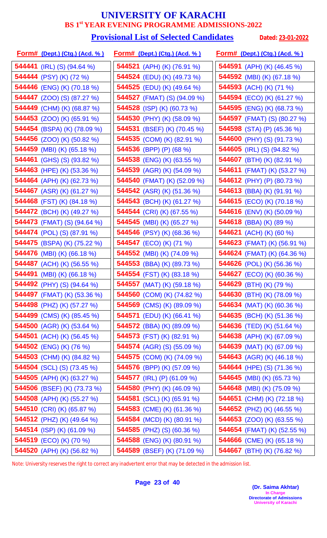#### **Provisional List of Selected Candidates** Dated: 23-01-2022

| <u>Form# (Dept.) (Ctg.) (Acd. % )</u> | <u>Form# (Dept.) (Ctg.) (Acd. %)</u> | <u>Form# (Dept.) (Ctg.) (Acd. %)</u> |
|---------------------------------------|--------------------------------------|--------------------------------------|
| 544441 (IRL) (S) (94.64 %)            | 544521 (APH) (K) (76.91 %)           | 544591 (APH) (K) $(46.45\%)$         |
| 544444 (PSY) (K) (72 %)               | 544524 (EDU) (K) (49.73 %)           | <b>544592</b> (MBI) (K) (67.18 %)    |
| 544446 (ENG) (K) (70.18 %)            | <b>544525</b> (EDU) (K) (49.64 %)    | 544593 (ACH) (K) (71 %)              |
| <b>544447</b> (ZOO) (S) (87.27 %)     | <b>544527</b> (FMAT) (S) (94.09 %)   | 544594 (ECO) (K) (61.27 %)           |
| 544449 (CHM) (K) (68.87 %)            | 544528 (ISP) (K) (60.73 %)           | 544595 (ENG) (K) (68.73 %)           |
| <b>544453</b> (ZOO) (K) (65.91 %)     | <b>544530</b> (PHY) (K) (58.09 %)    | <b>544597</b> (FMAT) (S) (80.27 %)   |
| 544454 (BSPA) (K) (78.09 %)           | 544531 (BSEF) (K) (70.45 %)          | 544598 (STA) (P) (45.36 %)           |
| 544456 (ZOO) (K) (50.82 %)            | 544535 (COM) (K) (82.91 %)           | 544600 (PHY) (S) (91.73 %)           |
| 544459 (MBI) (K) (65.18 %)            | 544536 (BPP) (P) (68 %)              | <b>544605</b> (IRL) (S) (94.82 %)    |
| <b>544461</b> (GHS) (S) (93.82 %)     | 544538 (ENG) (K) (63.55 %)           | 544607 (BTH) (K) (82.91 %)           |
| 544463 (HPE) (K) (53.36 %)            | 544539 (AGR) (K) (54.09 %)           | <b>544611</b> (FMAT) (K) (53.27 %)   |
| 544464 (APH) (K) (62.73 %)            | 544540 (FMAT) (K) (52.09 %)          | <b>544612</b> (PHY) (P) (80.73 %)    |
| 544467 (ASR) (K) (61.27 %)            | 544542 (ASR) (K) (51.36 %)           | 544613 (BBA) (K) (91.91 %)           |
| 544468 (FST) (K) (84.18 %)            | 544543 (BCH) (K) (61.27 %)           | <b>544615</b> (ECO) (K) (70.18 %)    |
| 544472 (BCH) (K) (49.27 %)            | 544544 (CRI) (K) (67.55 %)           | 544616 (ENV) (K) (50.09 %)           |
| <b>544473</b> (FMAT) (S) (94.64 %)    | 544545 (MBI) (K) (65.27 %)           | 544618 (BBA) (K) (89 %)              |
| <b>544474</b> (POL) (S) (87.91 %)     | 544546 (PSY) (K) (68.36 %)           | <b>544621</b> (ACH) (K) (60 %)       |
| 544475 (BSPA) (K) (75.22 %)           | <b>544547</b> (ECO) (K) (71 %)       | <b>544623</b> (FMAT) (K) (56.91 %)   |
| 544476 (MBI) (K) (66.18 %)            | 544552 (MBI) (K) (74.09 %)           | 544624 (FMAT) (K) (64.36 %)          |
| 544487 (ACH) (K) (56.55 %)            | 544553 (BBA) (K) (89.73 %)           | 544626 (POL) (K) (56.36 %)           |
| <b>544491</b> (MBI) (K) (66.18 %)     | <b>544554</b> (FST) (K) (83.18 %)    | <b>544627</b> (ECO) (K) (60.36 %)    |
| 544492 (PHY) (S) (94.64 %)            | <b>544557</b> (MAT) (K) (59.18 %)    | 544629 (BTH) (K) (79 %)              |
| <b>544497</b> (FMAT) (K) (53.36 %)    | 544560 (COM) (K) (74.82 %)           | 544630 (BTH) (K) (78.09 %)           |
| <b>544498</b> (PHZ) (K) (57.27 %)     | 544569 (CMS) (K) (89.09 %)           | <b>544634</b> (MAT) (K) (60.36 %)    |
| <b>544499</b> (CMS) (K) (85.45 %)     | <b>544571</b> (EDU) (K) (66.41 %)    | <b>544635</b> (BCH) (K) (51.36 %)    |
| <b>544500</b> (AGR) (K) (53.64 %)     | <b>544572</b> (BBA) (K) (89.09 %)    | <b>544636</b> (TED) (K) (51.64 %)    |
| <b>544501</b> (ACH) (K) (56.45 %)     | 544573 (FST) (K) (82.91 %)           | 544638 (APH) (K) (67.09 %)           |
| 544502 (ENG) (K) (76 %)               | <b>544574</b> (AGR) (S) (55.09 %)    | <b>544639</b> (MAT) (K) (67.09 %)    |
| <b>544503</b> (CHM) (K) (84.82 %)     | <b>544575</b> (COM) (K) (74.09 %)    | <b>544643</b> (AGR) (K) (46.18 %)    |
| <b>544504</b> (SCL) (S) (73.45 %)     | 544576 (BPP) (K) (57.09 %)           | 544644 (HPE) (S) (71.36 %)           |
| 544505 (APH) (K) (63.27 %)            | 544577 (IRL) (P) (61.09 %)           | <b>544645</b> (MBI) (K) (65.73 %)    |
| 544506 (BSEF) (K) (73.73 %)           | 544580 (PHY) (K) (46.09 %)           | <b>544648</b> (MBI) (K) (75.09 %)    |
| 544508 (APH) (K) (55.27 %)            | 544581 (SCL) (K) (65.91 %)           | 544651 (CHM) (K) (72.18 %)           |
| 544510 (CRI) (K) (65.87 %)            | 544583 (CME) (K) (61.36 %)           | 544652 (PHZ) (K) $(46.55\%)$         |
| <b>544512</b> (PHZ) (K) (49.64 %)     | 544584 (MCD) (K) (80.91 %)           | 544653 (ZOO) (K) (63.55 %)           |
| 544514 (ISP) (K) (61.09 %)            | 544585 (PHZ) (S) (60.36 %)           | 544654 (FMAT) (K) (52.55 %)          |
| 544519 (ECO) (K) (70 %)               | 544588 (ENG) (K) (80.91 %)           | <b>544666</b> (CME) (K) (65.18 %)    |
| 544520 (APH) (K) (56.82 %)            | 544589 (BSEF) (K) (71.09 %)          | 544667 (BTH) (K) (76.82 %)           |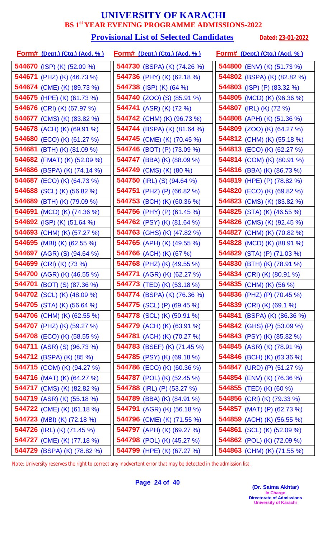#### **Provisional List of Selected Candidates** Dated: 23-01-2022

| <u>Form# (Dept.) (Ctg.) (Acd. % )</u> | <u>Form# (Dept.) (Ctg.) (Acd. %)</u> | <u>Form# (Dept.) (Ctg.) (Acd. %)</u> |
|---------------------------------------|--------------------------------------|--------------------------------------|
| 544670 (ISP) (K) (52.09 %)            | 544730 (BSPA) (K) (74.26 %)          | 544800 (ENV) (K) (51.73 %)           |
| 544671 (PHZ) (K) (46.73 %)            | <b>544736</b> (PHY) (K) (62.18 %)    | 544802 (BSPA) (K) (82.82 %)          |
| 544674 (CME) (K) (89.73 %)            | 544738 (ISP) (K) (64 %)              | 544803 (ISP) (P) (83.32 %)           |
| 544675 (HPE) (K) (61.73 %)            | <b>544740</b> (ZOO) (S) (85.91 %)    | <b>544805</b> (MCD) (K) (96.36 %)    |
| 544676 (CRI) (K) (67.97 %)            | 544741 (ASR) (K) (72 %)              | 544807 (IRL) (K) (72 %)              |
| 544677 (CMS) (K) (83.82 %)            | <b>544742</b> (CHM) (K) (96.73 %)    | 544808 (APH) (K) (51.36 %)           |
| 544678 (ACH) (K) (69.91 %)            | 544744 (BSPA) (K) (81.64 %)          | 544809 (ZOO) (K) (64.27 %)           |
| 544680 (ECO) (K) (61.27 %)            | <b>544745</b> (CME) (K) (70.45 %)    | 544812 (CHM) (K) (55.18 %)           |
| <b>544681</b> (BTH) (K) (81.09 %)     | <b>544746</b> (BOT) (P) (73.09 %)    | 544813 (ECO) (K) (62.27 %)           |
| <b>544682</b> (FMAT) (K) (52.09 %)    | 544747 (BBA) (K) (88.09 %)           | 544814 (COM) (K) (80.91 %)           |
| 544686 (BSPA) (K) (74.14 %)           | 544749 (CMS) (K) (80 %)              | 544816 (BBA) (K) (86.73 %)           |
| <b>544687</b> (ECO) (K) (64.73 %)     | <b>544750</b> (IRL) (S) (94.64 %)    | 544819 (HPE) (P) (78.82 %)           |
| 544688 (SCL) (K) (56.82 %)            | 544751 (PHZ) (P) (66.82 %)           | 544820 (ECO) (K) (69.82 %)           |
| 544689 (BTH) (K) (79.09 %)            | 544753 (BCH) (K) (60.36 %)           | <b>544823</b> (CMS) (K) (83.82 %)    |
| 544691 (MCD) (K) (74.36 %)            | 544756 (PHY) (P) (61.45 %)           | <b>544825</b> (STA) (K) (46.55 %)    |
| 544692 (ISP) (K) (51.64 %)            | 544762 (PSY) (K) (81.64 %)           | <b>544826</b> (CMS) (K) (92.45 %)    |
| 544693 (CHM) (K) (57.27 %)            | <b>544763</b> (GHS) (K) (47.82 %)    | 544827 (CHM) (K) (70.82 %)           |
| 544695 (MBI) (K) (62.55 %)            | <b>544765</b> (APH) (K) (49.55 %)    | <b>544828</b> (MCD) (K) (88.91 %)    |
| 544697 (AGR) (S) (94.64 %)            | 544766 (ACH) (K) (67 %)              | 544829 (STA) (P) (71.03 %)           |
| 544699 (CRI) (K) (73 %)               | 544768 (PHZ) (K) (49.55 %)           | 544830 (BTH) (K) (78.91 %)           |
| 544700 (AGR) (K) (46.55 %)            | <b>544771</b> (AGR) (K) (62.27 %)    | 544834 (CRI) (K) (80.91 %)           |
| <b>544701</b> (BOT) (S) (87.36 %)     | 544773 (TED) (K) (53.18 %)           | 544835 (CHM) (K) (56 %)              |
| 544702 (SCL) (K) (48.09 %)            | 544774 (BSPA) (K) (76.36 %)          | 544836 (PHZ) (P) $(70.45\%)$         |
| <b>544705</b> (STA) (K) (56.64 %)     | <b>544775</b> (SCL) (P) (69.45 %)    | 544839 (CRI) (K) (69.1 %)            |
| 544706 (CHM) (K) (62.55 %)            | <b>544778</b> (SCL) (K) (50.91 %)    | <b>544841</b> (BSPA) (K) (86.36 %)   |
| <b>544707</b> (PHZ) (K) (59.27 %)     | <b>544779</b> (ACH) (K) (63.91 %)    | <b>544842</b> (GHS) (P) (53.09 %)    |
| <b>544708</b> (ECO) (K) (58.55 %)     | <b>544781</b> (ACH) (K) (70.27 %)    | <b>544843</b> (PSY) (K) (85.82 %)    |
| 544711 (ASR) (S) (96.73 %)            | 544783 (BSEF) (K) (71.45 %)          | 544845 (ASR) (K) (78.91 %)           |
| <b>544712</b> (BSPA) (K) (85 %)       | <b>544785</b> (PSY) (K) (69.18 %)    | 544846 (BCH) (K) (63.36 %)           |
| <b>544715</b> (COM) (K) (94.27 %)     | <b>544786</b> (ECO) (K) (60.36 %)    | <b>544847</b> (URD) (P) (51.27 %)    |
| <b>544716</b> (MAT) (K) (64.27 %)     | 544787 (POL) (K) (52.45 %)           | <b>544854</b> (ENV) (K) (76.36 %)    |
| 544717 (CMS) (K) (82.82 %)            | 544788 (IRL) (P) $(53.27\%)$         | 544855 (TED) (K) (60 %)              |
| 544719 (ASR) (K) (55.18 %)            | <b>544789</b> (BBA) (K) (84.91 %)    | 544856 (CRI) (K) (79.33 %)           |
| <b>544722</b> (CME) (K) (61.18 %)     | <b>544791</b> (AGR) (K) (56.18 %)    | <b>544857</b> (MAT) (P) (62.73 %)    |
| <b>544723</b> (MBI) (K) (72.18 %)     | <b>544796</b> (CME) (K) (71.55 %)    | 544859 (ACH) (K) (56.55 %)           |
| 544726 (IRL) (K) (71.45 %)            | 544797 (APH) (K) (69.27 %)           | <b>544861</b> (SCL) (K) (52.09 %)    |
| <b>544727</b> (CME) (K) (77.18 %)     | <b>544798</b> (POL) (K) (45.27 %)    | 544862 (POL) (K) (72.09 %)           |
| 544729 (BSPA) (K) (78.82 %)           | 544799 (HPE) (K) (67.27 %)           | 544863 (CHM) (K) (71.55 %)           |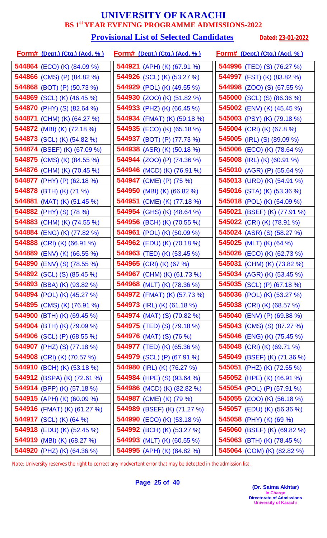#### **Provisional List of Selected Candidates** Dated: 23-01-2022

| <u>Form# (Dept.) (Ctg.) (Acd. %)</u> | <u>Form# (Dept.) (Ctg.) (Acd. %)</u> | <u>Form# (Dept.) (Ctg.) (Acd. % )</u> |
|--------------------------------------|--------------------------------------|---------------------------------------|
| <b>544864</b> (ECO) (K) (84.09 %)    | 544921 (APH) (K) (67.91 %)           | <b>544996</b> (TED) (S) (76.27 %)     |
| 544866 (CMS) (P) (84.82 %)           | 544926 (SCL) (K) (53.27 %)           | <b>544997</b> (FST) (K) (83.82 %)     |
| 544868 (BOT) (P) (50.73 %)           | 544929 (POL) (K) (49.55 %)           | <b>544998</b> (ZOO) (S) (67.55 %)     |
| 544869 (SCL) (K) (46.45 %)           | <b>544930</b> (ZOO) (K) (51.82 %)    | <b>545000</b> (SCL) (S) (86.36 %)     |
| 544870 (PHY) (S) (82.64 %)           | 544933 (PHZ) (K) (66.45 %)           | 545002 (ENV) (K) (45.45 %)            |
| 544871 (CHM) (K) (64.27 %)           | 544934 (FMAT) (K) (59.18 %)          | <b>545003</b> (PSY) (K) (79.18 %)     |
| 544872 (MBI) (K) (72.18 %)           | 544935 (ECO) (K) (65.18 %)           | 545004 (CRI) (K) (67.8 %)             |
| 544873 (SCL) (K) (54.82 %)           | 544937 (BOT) (P) (77.73 %)           | <b>545005</b> (IRL) (S) (89.09 %)     |
| 544874 (BSEF) (K) (67.09 %)          | 544938 (ASR) (K) (50.18 %)           | 545006 (ECO) (K) (78.64 %)            |
| 544875 (CMS) (K) (84.55 %)           | 544944 (ZOO) (P) (74.36 %)           | 545008 (IRL) (K) (60.91 %)            |
| 544876 (CHM) (K) (70.45 %)           | 544946 (MCD) (K) (76.91 %)           | 545010 (AGR) (P) (55.64 %)            |
| 544877 (PHY) (P) (62.18 %)           | 544947 (CME) (P) (75 %)              | 545013 (URD) (K) (54.91 %)            |
| 544878 (BTH) (K) (71 %)              | 544950 (MBI) (K) (66.82 %)           | <b>545016</b> (STA) (K) (53.36 %)     |
| 544881 (MAT) (K) (51.45 %)           | 544951 (CME) (K) (77.18 %)           | <b>545018</b> (POL) (K) (54.09 %)     |
| 544882 (PHY) (S) (78 %)              | 544954 (GHS) (K) (48.64 %)           | 545021 (BSEF) (K) (77.91 %)           |
| 544883 (CHM) (K) (74.55 %)           | 544956 (BCH) (K) (70.55 %)           | 545022 (CRI) (K) (78.91 %)            |
| 544884 (ENG) (K) (77.82 %)           | 544961 (POL) (K) (50.09 %)           | <b>545024</b> (ASR) (S) (58.27 %)     |
| 544888 (CRI) (K) (66.91 %)           | <b>544962</b> (EDU) (K) (70.18 %)    | 545025 (MLT) (K) $(64 \%)$            |
| 544889 (ENV) (K) (66.55 %)           | 544963 (TED) (K) (53.45 %)           | <b>545026</b> (ECO) (K) (62.73 %)     |
| 544890 (ENV) (S) (78.55 %)           | 544965 (CRI) (K) (67 %)              | 545031 (CHM) (K) (73.82 %)            |
| 544892 (SCL) (S) (85.45 %)           | 544967 (CHM) (K) (61.73 %)           | 545034 (AGR) (K) (53.45 %)            |
| 544893 (BBA) (K) (93.82 %)           | 544968 (MLT) (K) (78.36 %)           | <b>545035</b> (SCL) (P) (67.18 %)     |
| 544894 (POL) (K) (45.27 %)           | <b>544972</b> (FMAT) (K) (57.73 %)   | 545036 (POL) (K) (53.27 %)            |
| <b>544895</b> (CMS) (K) (76.91 %)    | <b>544973</b> (IRL) (K) (61.18 %)    | 545038 (CRI) (K) (68.57 %)            |
| <b>544900</b> (BTH) (K) (69.45 %)    | <b>544974</b> (MAT) (S) (70.82 %)    | 545040 (ENV) (P) (69.88 %)            |
| <b>544904</b> (BTH) (K) (79.09 %)    | <b>544975</b> (TED) (S) (79.18 %)    | <b>545043</b> (CMS) (S) (87.27 %)     |
| 544906 (SCL) (P) (68.55 %)           | <b>544976</b> (MAT) (S) (76 %)       | <b>545046</b> (ENG) (K) (75.45 %)     |
| <b>544907</b> (PHZ) (S) (77.18 %)    | 544977 (TED) (K) (65.36 %)           | 545048 (CRI) (K) (69.71 %)            |
| <b>544908</b> (CRI) (K) (70.57 %)    | <b>544979</b> (SCL) (P) (67.91 %)    | <b>545049</b> (BSEF) (K) (71.36 %)    |
| 544910 (BCH) (K) (53.18 %)           | 544980 (IRL) (K) $(76.27\%)$         | 545051 (PHZ) (K) (72.55 %)            |
| 544912 (BSPA) (K) (72.61 %)          | <b>544984</b> (HPE) (S) (93.64 %)    | 545052 (HPE) (K) (46.91 %)            |
| 544914 (BPP) (K) (57.18 %)           | 544986 (MCD) (K) (82.82 %)           | <b>545054</b> (POL) (P) (57.91 %)     |
| 544915 (APH) (K) (60.09 %)           | 544987 (CME) (K) (79 %)              | <b>545055</b> (ZOO) (K) (56.18 %)     |
| 544916 (FMAT) (K) (61.27 %)          | 544989 (BSEF) (K) (71.27 %)          | <b>545057</b> (EDU) (K) (56.36 %)     |
| <b>544917</b> (SCL) (K) (64 %)       | 544990 (ECO) (K) (53.18 %)           | <b>545058</b> (PHY) (K) (69 %)        |
| <b>544918</b> (EDU) (K) (52.45 %)    | 544992 (BCH) (K) (53.27 %)           | <b>545060</b> (BSEF) (K) (69.82 %)    |
| 544919 (MBI) (K) (68.27 %)           | 544993 (MLT) (K) (60.55 %)           | 545063 (BTH) (K) (78.45 %)            |
| 544920 (PHZ) (K) (64.36 %)           | 544995 (APH) (K) (84.82 %)           | 545064 (COM) (K) (82.82 %)            |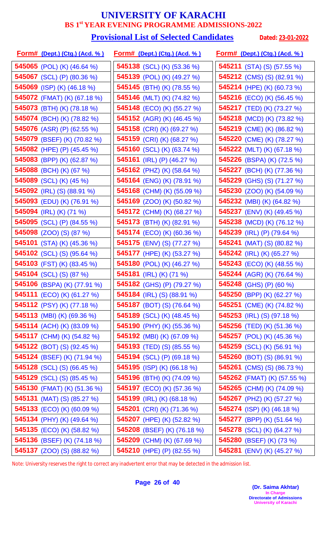#### **Provisional List of Selected Candidates** Dated: 23-01-2022

| <u>Form# (Dept.) (Ctg.) (Acd. %)</u> | <u>Form# (Dept.) (Ctg.) (Acd. %)</u> | <u>Form# (Dept.) (Ctg.) (Acd. % )</u> |
|--------------------------------------|--------------------------------------|---------------------------------------|
| 545065 (POL) (K) $(46.64\%)$         | 545138 (SCL) (K) (53.36 %)           | <b>545211</b> (STA) (S) (57.55 %)     |
| 545067 (SCL) (P) (80.36 %)           | 545139 (POL) (K) (49.27 %)           | <b>545212</b> (CMS) (S) (82.91 %)     |
| 545069 (ISP) (K) (46.18 %)           | 545145 (BTH) (K) (78.55 %)           | 545214 (HPE) (K) (60.73 %)            |
| 545072 (FMAT) (K) (67.18 %)          | 545146 (MLT) (K) (74.82 %)           | 545216 (ECO) (K) (56.45 %)            |
| <b>545073</b> (BTH) (K) (78.18 %)    | 545148 (ECO) (K) (55.27 %)           | 545217 (TED) (K) (73.27 %)            |
| 545074 (BCH) (K) (78.82 %)           | <b>545152</b> (AGR) (K) (46.45 %)    | <b>545218</b> (MCD) (K) (73.82 %)     |
| 545076 (ASR) (P) (62.55 %)           | 545158 (CRI) (K) (69.27 %)           | 545219 (CME) (K) (86.82 %)            |
| 545079 (BSEF) (K) (70.82 %)          | 545159 (CRI) (K) (68.27 %)           | 545220 (CME) (K) (78.27 %)            |
| 545082 (HPE) (P) (45.45 %)           | 545160 (SCL) (K) (63.74 %)           | <b>545222</b> (MLT) (K) (67.18 %)     |
| 545083 (BPP) (K) (62.87 %)           | 545161 (IRL) (P) $(46.27\%)$         | <b>545226</b> (BSPA) (K) (72.5 %)     |
| 545088 (BCH) (K) (67 %)              | 545162 (PHZ) (K) (58.64 %)           | 545227 (BCH) (K) (77.36 %)            |
| 545089 (SCL) (K) (45 %)              | 545164 (ENG) (K) (78.91 %)           | <b>545229</b> (GHS) (S) (71.27 %)     |
| 545092 (IRL) (S) (88.91 %)           | 545168 (CHM) (K) (55.09 %)           | <b>545230</b> (ZOO) (K) (54.09 %)     |
| 545093 (EDU) (K) (76.91 %)           | <b>545169</b> (ZOO) (K) (50.82 %)    | <b>545232</b> (MBI) (K) (64.82 %)     |
| 545094 (IRL) (K) (71 %)              | 545172 (CHM) (K) (68.27 %)           | 545237 (ENV) (K) (49.45 %)            |
| 545095 (SCL) (P) (84.55 %)           | 545173 (BTH) (K) (82.91 %)           | 545238 (MCD) (K) (76.12 %)            |
| <b>545098</b> (ZOO) (S) (87 %)       | <b>545174</b> (ECO) (K) (60.36 %)    | 545239 (IRL) (P) (79.64 %)            |
| <b>545101</b> (STA) (K) (45.36 %)    | <b>545175</b> (ENV) (S) (77.27 %)    | <b>545241</b> (MAT) (S) (80.82 %)     |
| 545102 (SCL) (S) (95.64 %)           | 545177 (HPE) (K) (53.27 %)           | 545242 (IRL) (K) (65.27 %)            |
| 545103 (FST) (K) (83.45 %)           | 545180 (POL) (K) (46.27 %)           | <b>545243</b> (ECO) (K) (48.55 %)     |
| <b>545104</b> (SCL) (S) (87 %)       | 545181 (IRL) (K) (71 %)              | 545244 (AGR) (K) (76.64 %)            |
| 545106 (BSPA) (K) (77.91 %)          | 545182 (GHS) (P) (79.27 %)           | 545248 (GHS) (P) (60 %)               |
| 545111 (ECO) (K) (61.27 %)           | <b>545184</b> (IRL) (S) (88.91 %)    | 545250 (BPP) (K) (62.27 %)            |
| <b>545112</b> (PSY) (K) (77.18 %)    | <b>545187</b> (BOT) (S) (76.64 %)    | <b>545251</b> (CME) (K) (74.82 %)     |
| <b>545113</b> (MBI) (K) (69.36 %)    | <b>545189</b> (SCL) (K) (48.45 %)    | <b>545253</b> (IRL) (S) (97.18 %)     |
| <b>545114</b> (ACH) (K) (83.09 %)    | <b>545190</b> (PHY) (K) (55.36 %)    | <b>545256</b> (TED) (K) (51.36 %)     |
| 545117 (CHM) (K) (54.82 %)           | <b>545192</b> (MBI) (K) (67.09 %)    | <b>545257</b> (POL) (K) (45.36 %)     |
| 545122 (BOT) (S) (92.45 %)           | 545193 (TED) (S) $(85.55\%)$         | <b>545259</b> (SCL) (K) (56.91 %)     |
| <b>545124</b> (BSEF) (K) (71.94 %)   | <b>545194</b> (SCL) (P) (69.18 %)    | 545260 (BOT) (S) $(86.91\%)$          |
| <b>545128</b> (SCL) (S) (66.45 %)    | <b>545195</b> (ISP) (K) (66.18 %)    | <b>545261</b> (CMS) (S) (86.73 %)     |
| <b>545129</b> (SCL) (S) (85.45 %)    | 545196 (BTH) (K) (74.09 %)           | 545262 (FMAT) (K) (57.55 %)           |
| <b>545130</b> (FMAT) (K) (51.36 %)   | <b>545197</b> (ECO) (K) (57.36 %)    | 545265 (CHM) (K) (74.09 %)            |
| <b>545131</b> (MAT) (S) (85.27 %)    | <b>545199</b> (IRL) (K) (68.18 %)    | 545267 (PHZ) (K) (57.27 %)            |
| <b>545133</b> (ECO) (K) (60.09 %)    | <b>545201</b> (CRI) (K) (71.36 %)    | <b>545274</b> (ISP) (K) (46.18 %)     |
| <b>545134</b> (PHY) (K) (49.64 %)    | 545207 (HPE) (K) (52.82 %)           | <b>545277</b> (BPP) (K) (51.64 %)     |
| 545135 (ECO) (K) (58.82 %)           | 545208 (BSEF) (K) (76.18 %)          | 545278 (SCL) (K) (64.27 %)            |
| <b>545136</b> (BSEF) (K) (74.18 %)   | 545209 (CHM) (K) (67.69 %)           | 545280 (BSEF) (K) (73 %)              |
| <b>545137</b> (ZOO) (S) (88.82 %)    | 545210 (HPE) (P) (82.55 %)           | 545281 (ENV) (K) (45.27 %)            |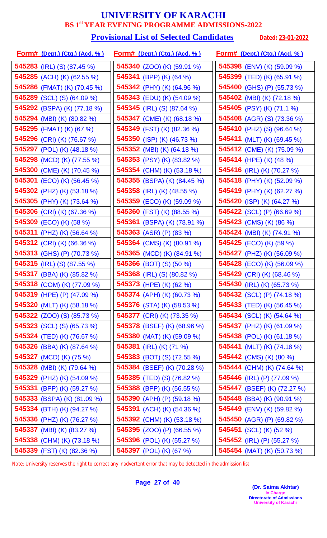#### **Provisional List of Selected Candidates** Dated: 23-01-2022

| <u>Form# (Dept.) (Ctg.) (Acd. % )</u> | <u>Form# (Dept.) (Ctg.) (Acd. %)</u> | <u>Form# (Dept.) (Ctg.) (Acd. %)</u> |
|---------------------------------------|--------------------------------------|--------------------------------------|
| <b>545283</b> (IRL) (S) (87.45 %)     | 545340 (ZOO) (K) (59.91 %)           | <b>545398</b> (ENV) (K) (59.09 %)    |
| <b>545285</b> (ACH) (K) (62.55 %)     | 545341 (BPP) (K) (64 %)              | 545399 (TED) (K) (65.91 %)           |
| 545286 (FMAT) (K) (70.45 %)           | <b>545342</b> (PHY) (K) (64.96 %)    | <b>545400</b> (GHS) (P) (55.73 %)    |
| <b>545289</b> (SCL) (S) (64.09 %)     | <b>545343</b> (EDU) (K) (54.09 %)    | 545402 (MBI) (K) (72.18 %)           |
| 545292 (BSPA) (K) (77.18 %)           | <b>545345</b> (IRL) (S) (87.64 %)    | 545405 (PSY) (K) (71.1 %)            |
| 545294 (MBI) (K) (80.82 %)            | <b>545347</b> (CME) (K) (68.18 %)    | <b>545408</b> (AGR) (S) (73.36 %)    |
| 545295 (FMAT) (K) (67 %)              | 545349 (FST) (K) (82.36 %)           | 545410 (PHZ) (S) (96.64 %)           |
| 545296 (CRI) (K) (76.67 %)            | 545350 (ISP) (K) (46.73 %)           | 545411 (MLT) (K) (69.45 %)           |
| 545297 (POL) (K) (48.18 %)            | <b>545352</b> (MBI) (K) (64.18 %)    | 545412 (CME) (K) (75.09 %)           |
| 545298 (MCD) (K) (77.55 %)            | 545353 (PSY) (K) (83.82 %)           | 545414 (HPE) (K) (48 %)              |
| 545300 (CME) (K) (70.45 %)            | 545354 (CHM) (K) (53.18 %)           | 545416 (IRL) (K) (70.27 %)           |
| <b>545301</b> (ECO) (K) (56.45 %)     | 545355 (BSPA) (K) (84.45 %)          | 545418 (PHY) (K) (52.09 %)           |
| 545302 (PHZ) (K) (53.18 %)            | 545358 (IRL) (K) (48.55 %)           | 545419 (PHY) (K) (62.27 %)           |
| 545305 (PHY) (K) (73.64 %)            | 545359 (ECO) (K) (59.09 %)           | <b>545420</b> (ISP) (K) (64.27 %)    |
| 545306 (CRI) (K) (67.36 %)            | 545360 (FST) (K) (88.55 %)           | 545422 (SCL) (P) (66.69 %)           |
| 545309 (ECO) (K) (58 %)               | 545361 (BSPA) (K) (78.91 %)          | 545423 (CMS) (K) (86 %)              |
| 545311 (PHZ) (K) (56.64 %)            | 545363 (ASR) (P) (83 %)              | <b>545424</b> (MBI) (K) (74.91 %)    |
| 545312 (CRI) (K) (66.36 %)            | <b>545364</b> (CMS) (K) (80.91 %)    | 545425 (ECO) (K) (59 %)              |
| 545313 (GHS) (P) (70.73 %)            | 545365 (MCD) (K) (84.91 %)           | 545427 (PHZ) (K) (56.09 %)           |
| <b>545315</b> (IRL) (S) (87.55 %)     | <b>545366</b> (BOT) (S) (50 %)       | <b>545428</b> (ECO) (K) (56.09 %)    |
| 545317 (BBA) (K) (85.82 %)            | 545368 (IRL) (S) (80.82 %)           | 545429 (CRI) (K) (68.46 %)           |
| 545318 (COM) (K) (77.09 %)            | 545373 (HPE) (K) (62 %)              | 545430 (IRL) (K) (65.73 %)           |
| 545319 (HPE) (P) (47.09 %)            | <b>545374</b> (APH) (K) (60.73 %)    | 545432 (SCL) (P) (74.18 %)           |
| 545320 (MLT) (K) (58.18 %)            | <b>545376</b> (STA) (K) (58.53 %)    | <b>545433</b> (TED) (K) (56.45 %)    |
| <b>545322</b> (ZOO) (S) (85.73 %)     | <b>545377</b> (CRI) (K) (73.35 %)    | <b>545434</b> (SCL) (K) (54.64 %)    |
| <b>545323</b> (SCL) (S) (65.73 %)     | <b>545378</b> (BSEF) (K) (68.96 %)   | <b>545437</b> (PHZ) (K) (61.09 %)    |
| <b>545324</b> (TED) (K) (76.67 %)     | 545380 (MAT) (K) (59.09 %)           | <b>545438</b> (POL) (K) (61.18 %)    |
| <b>545326</b> (BBA) (K) (87.64 %)     | 545381 (IRL) (K) (71 %)              | <b>545441</b> (MLT) (K) (74.18 %)    |
| <b>545327</b> (MCD) (K) (75 %)        | <b>545383</b> (BOT) (S) (72.55 %)    | <b>545442</b> (CMS) (K) (80 %)       |
| <b>545328</b> (MBI) (K) (79.64 %)     | 545384 (BSEF) (K) (70.28 %)          | <b>545444</b> (CHM) (K) (74.64 %)    |
| 545329 (PHZ) (K) (54.09 %)            | <b>545385</b> (TED) (S) (76.82 %)    | 545446 (IRL) (P) (77.09 %)           |
| 545331 (BPP) (K) (59.27 %)            | 545388 (BPP) (K) (56.55 %)           | 545447 (BSEF) (K) (72.27 %)          |
| 545333 (BSPA) (K) (81.09 %)           | 545390 (APH) (P) $(59.18\%)$         | <b>545448</b> (BBA) (K) (90.91 %)    |
| 545334 (BTH) (K) (94.27 %)            | 545391 (ACH) (K) (54.36 %)           | <b>545449</b> (ENV) (K) (59.82 %)    |
| 545336 (PHZ) (K) (76.27 %)            | 545392 (CHM) (K) (53.18 %)           | <b>545450</b> (AGR) (P) (69.82 %)    |
| 545337 (MBI) (K) (83.27 %)            | 545395 (ZOO) (P) (66.55 %)           | 545451 (SCL) (K) (52 %)              |
| 545338 (CHM) (K) (73.18 %)            | 545396 (POL) (K) (55.27 %)           | <b>545452</b> (IRL) (P) (55.27 %)    |
| 545339 (FST) (K) (82.36 %)            | 545397 (POL) (K) (67 %)              | 545454 (MAT) (K) (50.73 %)           |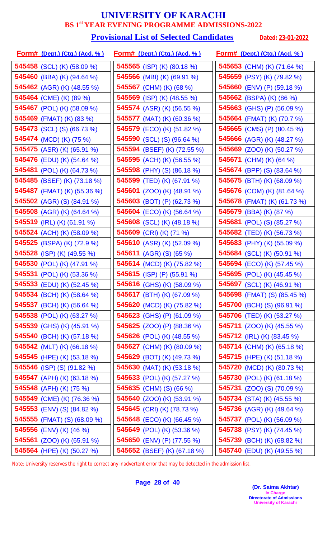#### **Provisional List of Selected Candidates** Dated: 23-01-2022

| <u>Form# (Dept.) (Ctg.) (Acd. %)</u> | <u>Form# (Dept.) (Ctg.) (Acd. %)</u> | <u>Form# (Dept.) (Ctg.) (Acd. %)</u> |
|--------------------------------------|--------------------------------------|--------------------------------------|
| 545458 (SCL) (K) (58.09 %)           | 545565 (ISP) (K) (80.18 %)           | 545653 (CHM) (K) (71.64 %)           |
| 545460 (BBA) (K) (94.64 %)           | 545566 (MBI) (K) (69.91 %)           | 545659 (PSY) (K) (79.82 %)           |
| <b>545462</b> (AGR) (K) (48.55 %)    | 545567 (CHM) (K) (68 %)              | 545660 (ENV) (P) (59.18 %)           |
| 545464 (CME) (K) (89 %)              | <b>545569</b> (ISP) (K) (48.55 %)    | <b>545662</b> (BSPA) (K) (86 %)      |
| <b>545467</b> (POL) (K) (58.09 %)    | <b>545574</b> (ASR) (K) (56.55 %)    | 545663 (GHS) (P) (56.09 %)           |
| 545469 (FMAT) (K) (83 %)             | 545577 (MAT) (K) (60.36 %)           | 545664 (FMAT) (K) (70.7 %)           |
| <b>545473</b> (SCL) (S) (66.73 %)    | 545579 (ECO) (K) (51.82 %)           | 545665 (CMS) (P) (80.45 %)           |
| 545474 (MCD) (K) (75 %)              | 545590 (SCL) (S) (96.64 %)           | 545666 (AGR) (K) (48.27 %)           |
| <b>545475</b> (ASR) (K) (65.91 %)    | 545594 (BSEF) (K) (72.55 %)          | 545669 (ZOO) (K) (50.27 %)           |
| 545476 (EDU) (K) (54.64 %)           | 545595 (ACH) (K) (56.55 %)           | 545671 (CHM) (K) (64 %)              |
| 545481 (POL) (K) (64.73 %)           | 545598 (PHY) (S) (86.18 %)           | <b>545674</b> (BPP) (S) (83.64 %)    |
| 545485 (BSEF) (K) (73.18 %)          | 545599 (TED) (K) (67.91 %)           | <b>545675</b> (BTH) (K) (68.09 %)    |
| 545487 (FMAT) (K) (55.36 %)          | <b>545601</b> (ZOO) (K) (48.91 %)    | 545676 (COM) (K) (81.64 %)           |
| <b>545502</b> (AGR) (S) (84.91 %)    | <b>545603</b> (BOT) (P) (62.73 %)    | <b>545678</b> (FMAT) (K) (61.73 %)   |
| 545508 (AGR) (K) (64.64 %)           | 545604 (ECO) (K) (56.64 %)           | 545679 (BBA) (K) (87 %)              |
| 545519 (IRL) (K) (61.91 %)           | 545608 (SCL) (K) (48.18 %)           | 545681 (POL) (S) (85.27 %)           |
| 545524 (ACH) (K) (58.09 %)           | 545609 (CRI) (K) (71 %)              | 545682 (TED) (K) (56.73 %)           |
| 545525 (BSPA) (K) (72.9 %)           | 545610 (ASR) (K) (52.09 %)           | 545683 (PHY) (K) (55.09 %)           |
| 545528 (ISP) (K) (49.55 %)           | <b>545611</b> (AGR) (S) (65 %)       | 545684 (SCL) (K) (50.91 %)           |
| 545530 (POL) (K) (47.91 %)           | <b>545614</b> (MCD) (K) (75.82 %)    | <b>545694</b> (ECO) (K) (57.45 %)    |
| 545531 (POL) (K) (53.36 %)           | 545615 (ISP) (P) (55.91 %)           | 545695 (POL) (K) (45.45 %)           |
| 545533 (EDU) (K) (52.45 %)           | 545616 (GHS) (K) (58.09 %)           | 545697 (SCL) (K) (46.91 %)           |
| 545534 (BCH) (K) (58.64 %)           | 545617 (BTH) (K) (67.09 %)           | <b>545698</b> (FMAT) (S) (85.45 %)   |
| <b>545537</b> (BCH) (K) (56.64 %)    | 545620 (MCD) (K) (75.82 %)           | 545700 (BCH) (S) (96.91 %)           |
| <b>545538</b> (POL) (K) (63.27 %)    | <b>545623</b> (GHS) (P) (61.09 %)    | 545706 (TED) (K) (53.27 %)           |
| <b>545539</b> (GHS) (K) (45.91 %)    | <b>545625</b> (ZOO) (P) (88.36 %)    | <b>545711</b> (ZOO) (K) (45.55 %)    |
| 545540 (BCH) (K) (57.18 %)           | <b>545626</b> (POL) (K) (48.55 %)    | <b>545712</b> (IRL) (K) (83.45 %)    |
| 545542 (MLT) (K) (66.18 %)           | 545627 (CHM) (K) (80.09 %)           | <b>545714</b> (CHM) (K) (65.18 %)    |
| <b>545545</b> (HPE) (K) (53.18 %)    | 545629 (BOT) (K) $(49.73\%)$         | <b>545715</b> (HPE) (K) (51.18 %)    |
| 545546 (ISP) (S) (91.82 %)           | 545630 (MAT) (K) (53.18 %)           | 545720 (MCD) (K) (80.73 %)           |
| 545547 (APH) (K) (63.18 %)           | 545633 (POL) (K) (57.27 %)           | <b>545730</b> (POL) (K) (61.18 %)    |
| 545548 (APH) (K) (75 %)              | 545635 (CHM) (S) (66 %)              | <b>545731</b> (ZOO) (S) (70.09 %)    |
| 545549 (CME) (K) (76.36 %)           | 545640 (ZOO) (K) (53.91 %)           | <b>545734</b> (STA) (K) (45.55 %)    |
| 545553 (ENV) (S) (84.82 %)           | 545645 (CRI) (K) (78.73 %)           | <b>545736</b> (AGR) (K) (49.64 %)    |
| <b>545555</b> (FMAT) (S) (68.09 %)   | <b>545648</b> (ECO) (K) (66.45 %)    | <b>545737</b> (POL) (K) (56.09 %)    |
| 545556 (ENV) (K) (46 %)              | 545649 (POL) (K) (53.36 %)           | <b>545738</b> (PSY) (K) (74.45 %)    |
| <b>545561</b> (ZOO) (K) (65.91 %)    | 545650 (ENV) (P) (77.55 %)           | 545739 (BCH) (K) (68.82 %)           |
| 545564 (HPE) (K) (50.27 %)           | 545652 (BSEF) (K) (67.18 %)          | 545740 (EDU) (K) (49.55 %)           |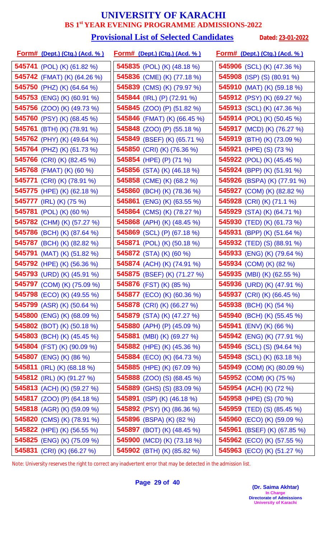#### **Provisional List of Selected Candidates** Dated: 23-01-2022

| <u>Form# (Dept.) (Ctg.) (Acd. %)</u> | <u>Form# (Dept.) (Ctg.) (Acd. %)</u> | <u>Form# (Dept.) (Ctg.) (Acd. %)</u> |
|--------------------------------------|--------------------------------------|--------------------------------------|
| <b>545741</b> (POL) (K) (61.82 %)    | 545835 (POL) (K) (48.18 %)           | 545906 (SCL) (K) (47.36 %)           |
| 545742 (FMAT) (K) (64.26 %)          | 545836 (CME) (K) (77.18 %)           | <b>545908</b> (ISP) (S) (80.91 %)    |
| 545750 (PHZ) (K) (64.64 %)           | 545839 (CMS) (K) (79.97 %)           | 545910 (MAT) (K) (59.18 %)           |
| <b>545753</b> (ENG) (K) (60.91 %)    | <b>545844</b> (IRL) (P) (72.91 %)    | 545912 (PSY) (K) (69.27 %)           |
| 545756 (ZOO) (K) (49.73 %)           | <b>545845</b> (ZOO) (P) (51.82 %)    | 545913 (SCL) (K) (47.36 %)           |
| 545760 (PSY) (K) (68.45 %)           | <b>545846</b> (FMAT) (K) (66.45 %)   | <b>545914</b> (POL) (K) (50.45 %)    |
| 545761 (BTH) (K) (78.91 %)           | 545848 (ZOO) (P) (55.18 %)           | 545917 (MCD) (K) (76.27 %)           |
| 545762 (PHY) (K) (49.64 %)           | 545849 (BSEF) (K) (65.71 %)          | 545919 (BTH) (K) (73.09 %)           |
| 545764 (PHZ) (K) (61.73 %)           | 545850 (CRI) (K) (76.36 %)           | 545921 (HPE) (S) (73 %)              |
| 545766 (CRI) (K) (82.45 %)           | 545854 (HPE) (P) (71 %)              | <b>545922</b> (POL) (K) (45.45 %)    |
| 545768 (FMAT) (K) (60 %)             | 545856 (STA) (K) (46.18 %)           | 545924 (BPP) (K) (51.91 %)           |
| <b>545771</b> (CRI) (K) (78.91 %)    | 545858 (CME) (K) (68.2 %)            | 545926 (BSPA) (K) (77.91 %)          |
| 545775 (HPE) (K) (62.18 %)           | 545860 (BCH) (K) (78.36 %)           | 545927 (COM) (K) (82.82 %)           |
| 545777 (IRL) (K) (75 %)              | 545861 (ENG) (K) (63.55 %)           | 545928 (CRI) (K) (71.1 %)            |
| 545781 (POL) (K) (60 %)              | 545864 (CMS) (K) (78.27 %)           | 545929 (STA) (K) (64.71 %)           |
| 545782 (CHM) (K) (57.27 %)           | 545868 (APH) (K) (48.45 %)           | 545930 (TED) (K) (61.73 %)           |
| 545786 (BCH) (K) (87.64 %)           | 545869 (SCL) (P) (67.18 %)           | <b>545931</b> (BPP) (K) (51.64 %)    |
| 545787 (BCH) (K) (82.82 %)           | <b>545871</b> (POL) (K) (50.18 %)    | <b>545932</b> (TED) (S) (88.91 %)    |
| 545791 (MAT) (K) (51.82 %)           | <b>545872</b> (STA) (K) (60 %)       | <b>545933</b> (ENG) (K) (79.64 %)    |
| 545792 (HPE) (K) (56.36 %)           | 545874 (ACH) (K) (74.91 %)           | 545934 (COM) (K) (82 %)              |
| 545793 (URD) (K) (45.91 %)           | 545875 (BSEF) (K) (71.27 %)          | 545935 (MBI) (K) (62.55 %)           |
| 545797 (COM) (K) (75.09 %)           | 545876 (FST) (K) (85 %)              | 545936 (URD) (K) (47.91 %)           |
| <b>545798</b> (ECO) (K) (49.55 %)    | 545877 (ECO) (K) (60.36 %)           | 545937 (CRI) (K) (66.45 %)           |
| <b>545799</b> (ASR) (K) (50.64 %)    | <b>545878</b> (CRI) (K) (66.27 %)    | <b>545938</b> (BCH) (K) (54 %)       |
| 545800 (ENG) (K) (68.09 %)           | 545879 (STA) (K) (47.27 %)           | <b>545940</b> (BCH) (K) (55.45 %)    |
| <b>545802</b> (BOT) (K) (50.18 %)    | 545880 (APH) (P) $(45.09\%)$         | <b>545941</b> (ENV) (K) (66 %)       |
| 545803 (BCH) (K) (45.45 %)           | <b>545881</b> (MBI) (K) (69.27 %)    | 545942 (ENG) (K) (77.91 %)           |
| 545804 (FST) (K) (90.09 %)           | <b>545882</b> (HPE) (K) (45.36 %)    | <b>545946</b> (SCL) (S) (94.64 %)    |
| <b>545807</b> (ENG) (K) (86 %)       | <b>545884</b> (ECO) (K) (64.73 %)    | <b>545948</b> (SCL) (K) (63.18 %)    |
| 545811 (IRL) (K) (68.18 %)           | 545885 (HPE) (K) (67.09 %)           | 545949 (COM) (K) (80.09 %)           |
| 545812 (IRL) (K) (91.27 %)           | <b>545888</b> (ZOO) (S) (68.45 %)    | 545952 (COM) (K) (75 %)              |
| <b>545813</b> (ACH) (K) (59.27 %)    | <b>545889</b> (GHS) (S) (83.09 %)    | 545954 (ACH) (K) (72 %)              |
| <b>545817</b> (ZOO) (P) (64.18 %)    | <b>545891</b> (ISP) (K) (46.18 %)    | 545958 (HPE) (S) (70 %)              |
| 545818 (AGR) (K) (59.09 %)           | 545892 (PSY) (K) (86.36 %)           | <b>545959</b> (TED) (S) (85.45 %)    |
| 545820 (CMS) (K) (78.91 %)           | <b>545896</b> (BSPA) (K) (82 %)      | <b>545960</b> (ECO) (K) (59.09 %)    |
| 545822 (HPE) (K) (56.55 %)           | 545897 (BOT) (K) (48.45 %)           | 545961 (BSEF) (K) (67.85 %)          |
| 545825 (ENG) (K) (75.09 %)           | 545900 (MCD) (K) (73.18 %)           | <b>545962</b> (ECO) (K) (57.55 %)    |
| 545831 (CRI) (K) (66.27 %)           | 545902 (BTH) (K) (85.82 %)           | 545963 (ECO) (K) (51.27 %)           |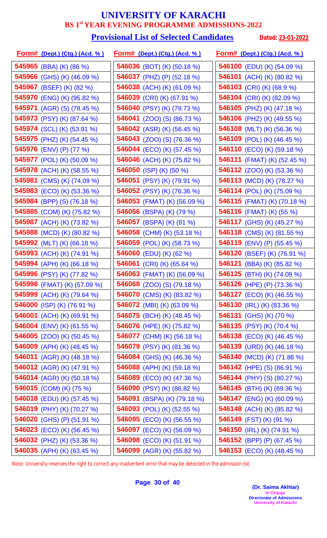#### **Provisional List of Selected Candidates** Dated: 23-01-2022

| <u>Form# (Dept.) (Ctg.) (Acd. % )</u> | <u>Form# (Dept.) (Ctg.) (Acd. %)</u> | <u>Form# (Dept.) (Ctg.) (Acd. %)</u> |
|---------------------------------------|--------------------------------------|--------------------------------------|
| <b>545965</b> (BBA) (K) (86 %)        | 546036 (BOT) (K) (50.18 %)           | 546100 (EDU) (K) (54.09 %)           |
| <b>545966</b> (GHS) (K) (46.09 %)     | 546037 (PHZ) (P) (52.18 %)           | 546101 (ACH) (K) (80.82 %)           |
| 545967 (BSEF) (K) (82 %)              | 546038 (ACH) (K) (61.09 %)           | 546103 (CRI) (K) (68.9 %)            |
| 545970 (ENG) (K) (95.82 %)            | 546039 (CRI) (K) (67.91 %)           | 546104 (CRI) (K) (82.09 %)           |
| 545971 (AGR) (S) (78.45 %)            | 546040 (PSY) (K) (79.73 %)           | 546105 (PHZ) (K) (47.18 %)           |
| 545973 (PSY) (K) (87.64 %)            | <b>546041</b> (ZOO) (S) (86.73 %)    | 546106 (PHZ) (K) $(49.55\%)$         |
| 545974 (SCL) (K) (53.91 %)            | 546042 (ASR) (K) (56.45 %)           | 546108 (MLT) (K) (56.36 %)           |
| 545975 (PHZ) (K) (54.45 %)            | <b>546043</b> (ZOO) (S) (76.36 %)    | 546109 (POL) (K) (46.45 %)           |
| 545976 (ENV) (P) (77 %)               | <b>546044</b> (ECO) (K) (57.45 %)    | <b>546110</b> (ECO) (K) (59.18 %)    |
| 545977 (POL) (K) (50.09 %)            | 546046 (ACH) (K) (75.82 %)           | <b>546111</b> (FMAT) (K) (52.45 %)   |
| 545978 (ACH) (K) (58.55 %)            | 546050 (ISP) (K) (50 %)              | <b>546112</b> (ZOO) (K) (53.36 %)    |
| 545981 (CMS) (K) (74.09 %)            | 546051 (PSY) (K) (79.91 %)           | <b>546113</b> (MCD) (K) (78.27 %)    |
| 545983 (ECO) (K) (53.36 %)            | 546052 (PSY) (K) (76.36 %)           | 546114 (POL) (K) (75.09 %)           |
| <b>545984</b> (BPP) (S) (76.18 %)     | <b>546053</b> (FMAT) (K) (56.09 %)   | <b>546115</b> (FMAT) (K) (70.18 %)   |
| 545985 (COM) (K) (75.82 %)            | 546056 (BSPA) (K) (79 %)             | 546116 (FMAT) (K) (55 %)             |
| 545987 (ACH) (K) (73.82 %)            | 546057 (BSPA) (K) (81 %)             | <b>546117</b> (GHS) (K) (45.27 %)    |
| 545988 (MCD) (K) (80.82 %)            | 546058 (CHM) (K) (53.18 %)           | <b>546118</b> (CMS) (K) (81.55 %)    |
| 545992 (MLT) (K) (66.18 %)            | 546059 (POL) (K) (58.73 %)           | <b>546119</b> (ENV) (P) (55.45 %)    |
| 545993 (ACH) (K) (74.91 %)            | 546060 (EDU) (K) (62 %)              | 546120 (BSEF) (K) (76.91 %)          |
| 545994 (APH) (K) (66.18 %)            | 546061 (CRI) (K) (65.64 %)           | <b>546121</b> (BBA) (K) (85.82 %)    |
| 545996 (PSY) (K) (77.82 %)            | 546063 (FMAT) (K) (56.09 %)          | 546125 (BTH) (K) (74.09 %)           |
| 545998 (FMAT) (K) (57.09 %)           | <b>546068</b> (ZOO) (S) (79.18 %)    | 546126 (HPE) (P) (73.36 %)           |
| 545999 (ACH) (K) (79.64 %)            | 546070 (CMS) (K) (83.82 %)           | <b>546127</b> (ECO) (K) (46.55 %)    |
| 546000 (ISP) (K) (76.91 %)            | 546072 (MBI) (K) (63.09 %)           | <b>546130</b> (IRL) (K) (83.36 %)    |
| <b>546001</b> (ACH) (K) (69.91 %)     | <b>546075</b> (BCH) (K) (48.45 %)    | 546131 (GHS) (K) (70 %)              |
| <b>546004</b> (ENV) (K) (61.55 %)     | <b>546076</b> (HPE) (K) (75.82 %)    | 546135 (PSY) (K) (70.4 %)            |
| 546005 (ZOO) (K) (50.45 %)            | 546077 (CHM) (K) (56.18 %)           | <b>546138</b> (ECO) (K) (46.45 %)    |
| 546009 (APH) (K) (48.45 %)            | <b>546079</b> (PSY) (K) (81.36 %)    | 546139 (URD) (K) (46.18 %)           |
| <b>546011</b> (AGR) (K) (48.18 %)     | <b>546084</b> (GHS) (K) (46.36 %)    | 546140 (MCD) (K) (71.88 %)           |
| 546012 (AGR) (K) (47.91 %)            | 546088 (APH) (K) (59.18 %)           | 546142 (HPE) (S) (86.91 %)           |
| <b>546014</b> (AGR) (K) (50.18 %)     | <b>546089</b> (ECO) (K) (47.36 %)    | <b>546144</b> (PHY) (S) (80.27 %)    |
| 546015 (COM) (K) (75 %)               | 546090 (PSY) (K) (86.82 %)           | 546145 (BTH) (K) (69.36 %)           |
| <b>546018</b> (EDU) (K) (57.45 %)     | 546091 (BSPA) (K) (79.18 %)          | 546147 (ENG) (K) (60.09 %)           |
| 546019 (PHY) (K) (70.27 %)            | 546093 (POL) (K) (52.55 %)           | <b>546148</b> (ACH) (K) (85.82 %)    |
| 546020 (GHS) (P) (51.91 %)            | <b>546095</b> (ECO) (K) (56.55 %)    | 546149 (FST) (K) (91 %)              |
| 546023 (ECO) (K) (56.45 %)            | 546097 (ECO) (K) (56.09 %)           | 546150 (IRL) (K) (74.91 %)           |
| 546032 (PHZ) (K) (53.36 %)            | 546098 (ECO) (K) (51.91 %)           | <b>546152</b> (BPP) (P) (67.45 %)    |
| 546035 (APH) (K) (63.45 %)            | 546099 (AGR) (K) (55.82 %)           | 546153 (ECO) (K) (48.45 %)           |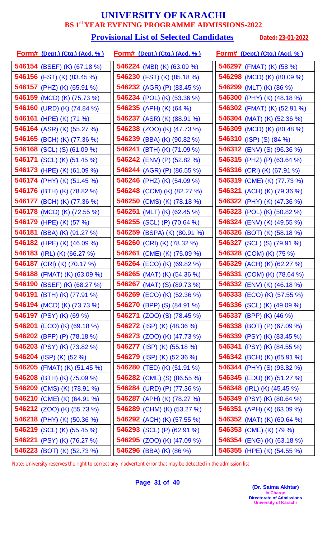#### **Provisional List of Selected Candidates** Dated: 23-01-2022

| <u>Form# (Dept.) (Ctg.) (Acd. %)</u> | <u>Form# (Dept.) (Ctg.) (Acd. %)</u> | <u> Form# (Dept.) (Ctg.) (Acd. % )</u> |
|--------------------------------------|--------------------------------------|----------------------------------------|
| <b>546154</b> (BSEF) (K) (67.18 %)   | <b>546224</b> (MBI) (K) (63.09 %)    | <b>546297</b> (FMAT) (K) (58 %)        |
| <b>546156</b> (FST) (K) (83.45 %)    | <b>546230</b> (FST) (K) (85.18 %)    | <b>546298</b> (MCD) (K) (80.09 %)      |
| 546157 (PHZ) (K) (65.91 %)           | <b>546232</b> (AGR) (P) (83.45 %)    | 546299 (MLT) (K) (86 %)                |
| 546159 (MCD) (K) (75.73 %)           | <b>546234</b> (POL) (K) (53.36 %)    | 546300 (PHY) (K) (48.18 %)             |
| 546160 (URD) (K) (74.84 %)           | 546235 (APH) (K) (64 %)              | 546302 (FMAT) (K) (52.91 %)            |
| 546161 (HPE) (K) (71 %)              | <b>546237</b> (ASR) (K) (88.91 %)    | <b>546304</b> (MAT) (K) (52.36 %)      |
| <b>546164</b> (ASR) (K) (55.27 %)    | <b>546238</b> (ZOO) (K) (47.73 %)    | 546309 (MCD) (K) (80.48 %)             |
| 546165 (BCH) (K) (77.36 %)           | 546239 (BBA) (K) (90.82 %)           | 546310 (ISP) (S) (84 %)                |
| <b>546168</b> (SCL) (S) (61.09 %)    | <b>546241</b> (BTH) (K) (71.09 %)    | <b>546312</b> (ENV) (S) (96.36 %)      |
| <b>546171</b> (SCL) (K) (51.45 %)    | <b>546242</b> (ENV) (P) (52.82 %)    | 546315 (PHZ) (P) $(63.64\%)$           |
| <b>546173</b> (HPE) (K) (61.09 %)    | 546244 (AGR) (P) (86.55 %)           | 546316 (CRI) (K) (67.91 %)             |
| <b>546174</b> (PHY) (K) (51.45 %)    | 546246 (PHZ) (K) (54.09 %)           | 546319 (CME) (K) (77.73 %)             |
| 546176 (BTH) (K) (78.82 %)           | 546248 (COM) (K) (82.27 %)           | 546321 (ACH) (K) (79.36 %)             |
| 546177 (BCH) (K) (77.36 %)           | 546250 (CMS) (K) (78.18 %)           | <b>546322</b> (PHY) (K) (47.36 %)      |
| 546178 (MCD) (K) (72.55 %)           | 546251 (MLT) (K) (62.45 %)           | <b>546323</b> (POL) (K) (50.82 %)      |
| 546179 (HPE) (K) (57 %)              | 546255 (SCL) (P) (70.64 %)           | <b>546324</b> (ENV) (K) (49.55 %)      |
| 546181 (BBA) (K) (91.27 %)           | 546259 (BSPA) (K) (80.91 %)          | <b>546326</b> (BOT) (K) (58.18 %)      |
| 546182 (HPE) (K) (46.09 %)           | 546260 (CRI) (K) (78.32 %)           | <b>546327</b> (SCL) (S) (79.91 %)      |
| 546183 (IRL) (K) (66.27 %)           | 546261 (CME) (K) (75.09 %)           | 546328 (COM) (K) (75 %)                |
| 546187 (CRI) (K) (70.17 %)           | <b>546264</b> (ECO) (K) (69.82 %)    | 546329 (ACH) (K) (62.27 %)             |
| 546188 (FMAT) (K) (63.09 %)          | 546265 (MAT) (K) (54.36 %)           | 546331 (COM) (K) (78.64 %)             |
| 546190 (BSEF) (K) (68.27 %)          | 546267 (MAT) (S) (89.73 %)           | <b>546332</b> (ENV) (K) (46.18 %)      |
| 546191 (BTH) (K) (77.91 %)           | <b>546269</b> (ECO) (K) (52.36 %)    | <b>546333</b> (ECO) (K) (57.55 %)      |
| <b>546194</b> (MCD) (K) (73.73 %)    | <b>546270</b> (BPP) (S) (84.91 %)    | <b>546336</b> (SCL) (K) (49.09 %)      |
| 546197 (PSY) (K) (69 %)              | <b>546271</b> (ZOO) (S) (78.45 %)    | 546337 (BPP) (K) (46 %)                |
| <b>546201</b> (ECO) (K) (69.18 %)    | <b>546272</b> (ISP) (K) (48.36 %)    | <b>546338</b> (BOT) (P) (67.09 %)      |
| 546202 (BPP) (P) (78.18 %)           | <b>546273</b> (ZOO) (K) (47.73 %)    | <b>546339</b> (PSY) (K) (83.45 %)      |
| 546203 (PSY) (K) (73.82 %)           | <b>546277</b> (ISP) (K) (55.18 %)    | <b>546341</b> (PSY) (K) (84.55 %)      |
| 546204 (ISP) (K) (52 %)              | 546279 (ISP) (K) $(52.36\%)$         | <b>546342</b> (BCH) (K) (65.91 %)      |
| <b>546205</b> (FMAT) (K) (51.45 %)   | <b>546280</b> (TED) (K) (51.91 %)    | <b>546344</b> (PHY) (S) (93.82 %)      |
| 546208 (BTH) (K) (75.09 %)           | <b>546282</b> (CME) (S) (86.55 %)    | 546345 (EDU) (K) (51.27 %)             |
| 546209 (CMS) (K) (78.91 %)           | 546284 (URD) (P) $(77.36\%)$         | 546348 (IRL) (K) $(45.45\%)$           |
| 546210 (CME) (K) (64.91 %)           | 546287 (APH) (K) (78.27 %)           | 546349 (PSY) (K) (80.64 %)             |
| <b>546212</b> (ZOO) (K) (55.73 %)    | <b>546289</b> (CHM) (K) (53.27 %)    | 546351 (APH) (K) (63.09 %)             |
| <b>546218</b> (PHY) (K) (50.36 %)    | <b>546292</b> (ACH) (K) (57.55 %)    | <b>546352</b> (MAT) (K) (60.64 %)      |
| 546219 (SCL) (K) (55.45 %)           | <b>546293</b> (SCL) (P) (62.91 %)    | 546353 (CME) (K) (79 %)                |
| 546221 (PSY) (K) (76.27 %)           | <b>546295</b> (ZOO) (K) (47.09 %)    | 546354 (ENG) (K) (63.18 %)             |
| <b>546223</b> (BOT) (K) (52.73 %)    | <b>546296</b> (BBA) (K) (86 %)       | 546355 (HPE) (K) (54.55 %)             |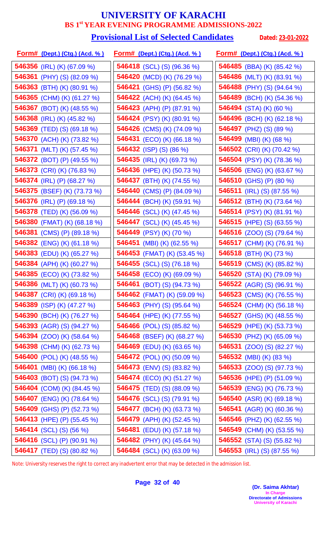#### **Provisional List of Selected Candidates** Dated: 23-01-2022

| <u>Form# (Dept.) (Ctg.) (Acd. % )</u> | <u>Form# (Dept.) (Ctg.) (Acd. %)</u> | <u> Form# (Dept.) (Ctg.) (Acd. % )</u> |
|---------------------------------------|--------------------------------------|----------------------------------------|
| <b>546356</b> (IRL) (K) (67.09 %)     | <b>546418</b> (SCL) (S) (96.36 %)    | 546485 (BBA) (K) (85.42 %)             |
| <b>546361</b> (PHY) (S) (82.09 %)     | 546420 (MCD) (K) (76.29 %)           | 546486 (MLT) (K) (83.91 %)             |
| 546363 (BTH) (K) (80.91 %)            | <b>546421</b> (GHS) (P) (56.82 %)    | 546488 (PHY) (S) (94.64 %)             |
| 546365 (CHM) (K) (61.27 %)            | <b>546422</b> (ACH) (K) (64.45 %)    | 546489 (BCH) (K) (54.36 %)             |
| 546367 (BOT) (K) (48.55 %)            | 546423 (APH) (P) (87.91 %)           | 546494 (STA) (K) (60 %)                |
| 546368 (IRL) (K) $(45.82\%)$          | 546424 (PSY) (K) (80.91 %)           | 546496 (BCH) (K) (62.18 %)             |
| 546369 (TED) (S) (69.18 %)            | 546426 (CMS) (K) (74.09 %)           | 546497 (PHZ) (S) (89 %)                |
| 546370 (ACH) (K) (73.82 %)            | 546431 (ECO) (K) (66.18 %)           | 546499 (MBI) (K) (68 %)                |
| 546371 (MLT) (K) (57.45 %)            | 546432 (ISP) (S) (86 %)              | 546502 (CRI) (K) (70.42 %)             |
| <b>546372</b> (BOT) (P) (49.55 %)     | 546435 (IRL) (K) (69.73 %)           | 546504 (PSY) (K) (78.36 %)             |
| 546373 (CRI) (K) (76.83 %)            | 546436 (HPE) (K) (50.73 %)           | <b>546506</b> (ENG) (K) (63.67 %)      |
| <b>546374</b> (IRL) (P) (68.27 %)     | 546437 (BTH) (K) (74.55 %)           | 546510 (GHS) (P) (80 %)                |
| 546375 (BSEF) (K) (73.73 %)           | 546440 (CMS) (P) (84.09 %)           | <b>546511</b> (IRL) (S) (87.55 %)      |
| 546376 (IRL) (P) (69.18 %)            | 546444 (BCH) (K) (59.91 %)           | <b>546512</b> (BTH) (K) (73.64 %)      |
| 546378 (TED) (K) (56.09 %)            | 546446 (SCL) (K) (47.45 %)           | 546514 (PSY) (K) (81.91 %)             |
| 546380 (FMAT) (K) (68.18 %)           | 546447 (SCL) (K) (45.45 %)           | 546515 (HPE) (S) (63.55 %)             |
| <b>546381</b> (CMS) (P) (89.18 %)     | 546449 (PSY) (K) (70 %)              | <b>546516</b> (ZOO) (S) (79.64 %)      |
| 546382 (ENG) (K) (61.18 %)            | 546451 (MBI) (K) (62.55 %)           | 546517 (CHM) (K) (76.91 %)             |
| 546383 (EDU) (K) (65.27 %)            | 546453 (FMAT) (K) (53.45 %)          | 546518 (BTH) (K) (73 %)                |
| 546384 (APH) (K) (60.27 %)            | 546455 (SCL) (S) (76.18 %)           | 546519 (CMS) (K) (85.82 %)             |
| 546385 (ECO) (K) (73.82 %)            | 546458 (ECO) (K) (69.09 %)           | 546520 (STA) (K) (79.09 %)             |
| 546386 (MLT) (K) (60.73 %)            | <b>546461</b> (BOT) (S) (94.73 %)    | <b>546522</b> (AGR) (S) (96.91 %)      |
| 546387 (CRI) (K) (69.18 %)            | 546462 (FMAT) (K) (59.09 %)          | 546523 (CMS) (K) $(76.55\%)$           |
| 546389 (ISP) (K) (47.27 %)            | 546463 (PHY) (S) (95.64 %)           | <b>546524</b> (CHM) (K) (56.18 %)      |
| 546390 (BCH) (K) (76.27 %)            | 546464 (HPE) (K) (77.55 %)           | <b>546527</b> (GHS) (K) (48.55 %)      |
| <b>546393</b> (AGR) (S) (94.27 %)     | <b>546466</b> (POL) (S) (85.82 %)    | 546529 (HPE) (K) (53.73 %)             |
| <b>546394</b> (ZOO) (K) (58.64 %)     | 546468 (BSEF) (K) (68.27 %)          | <b>546530</b> (PHZ) (K) (65.09 %)      |
| 546398 (CHM) (K) (62.73 %)            | 546469 (EDU) (K) (63.65 %)           | <b>546531</b> (ZOO) (S) (82.27 %)      |
| 546400 (POL) (K) (48.55 %)            | <b>546472</b> (POL) (K) (50.09 %)    | <b>546532</b> (MBI) (K) (83 %)         |
| 546401 (MBI) (K) (66.18 %)            | <b>546473</b> (ENV) (S) (83.82 %)    | <b>546533</b> (ZOO) (S) (97.73 %)      |
| <b>546403</b> (BOT) (S) (94.73 %)     | 546474 (ECO) (K) (51.27 %)           | <b>546536</b> (HPE) (P) (51.09 %)      |
| 546404 (COM) (K) (84.45 %)            | 546475 (TED) (S) (88.09 %)           | 546539 (ENG) (K) (76.73 %)             |
| 546407 (ENG) (K) (78.64 %)            | <b>546476</b> (SCL) (S) (79.91 %)    | 546540 (ASR) (K) (69.18 %)             |
| <b>546409</b> (GHS) (P) (52.73 %)     | 546477 (BCH) (K) (63.73 %)           | 546541 (AGR) (K) (60.36 %)             |
| <b>546413</b> (HPE) (P) (55.45 %)     | 546479 (APH) (K) (52.45 %)           | 546546 (PHZ) (K) (62.55 %)             |
| <b>546414</b> (SCL) (S) (56 %)        | 546481 (EDU) (K) (57.18 %)           | 546549 (CHM) (K) (53.55 %)             |
| 546416 (SCL) (P) (90.91 %)            | 546482 (PHY) (K) (45.64 %)           | <b>546552</b> (STA) (S) (55.82 %)      |
| 546417 (TED) (S) (80.82 %)            | 546484 (SCL) (K) (63.09 %)           | <b>546553</b> (IRL) (S) (87.55 %)      |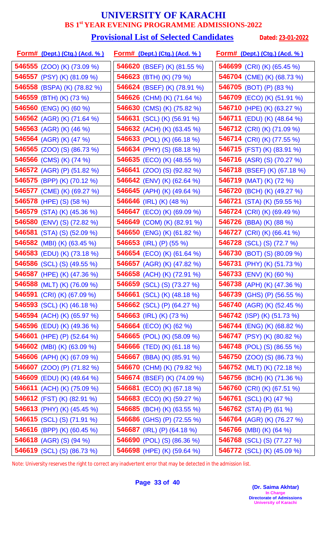#### **Provisional List of Selected Candidates** Dated: 23-01-2022

| <u>Form# (Dept.) (Ctg.) (Acd. %)</u> | <u>Form# (Dept.) (Ctg.) (Acd. %)</u> | <u>Form# (Dept.) (Ctg.) (Acd. %)</u> |
|--------------------------------------|--------------------------------------|--------------------------------------|
| <b>546555</b> (ZOO) (K) (73.09 %)    | 546620 (BSEF) (K) (81.55 %)          | 546699 (CRI) (K) (65.45 %)           |
| 546557 (PSY) (K) (81.09 %)           | 546623 (BTH) (K) (79 %)              | 546704 (CME) (K) (68.73 %)           |
| 546558 (BSPA) (K) (78.82 %)          | 546624 (BSEF) (K) (78.91 %)          | 546705 (BOT) (P) (83 %)              |
| 546559 (BTH) (K) (73 %)              | 546626 (CHM) (K) (71.64 %)           | <b>546709</b> (ECO) (K) (51.91 %)    |
| 546560 (ENG) (K) (60 %)              | 546630 (CMS) (K) (75.82 %)           | 546710 (HPE) (K) (63.27 %)           |
| 546562 (AGR) (K) (71.64 %)           | <b>546631</b> (SCL) (K) (56.91 %)    | <b>546711</b> (EDU) (K) (48.64 %)    |
| 546563 (AGR) (K) (46 %)              | 546632 (ACH) (K) (63.45 %)           | 546712 (CRI) (K) (71.09 %)           |
| 546564 (AGR) (K) (47 %)              | 546633 (POL) (K) (66.18 %)           | 546714 (CRI) (K) (77.55 %)           |
| <b>546565</b> (ZOO) (S) (86.73 %)    | 546634 (PHY) (S) (68.18 %)           | 546715 (FST) (K) (83.91 %)           |
| 546566 (CMS) (K) (74 %)              | <b>546635</b> (ECO) (K) (48.55 %)    | 546716 (ASR) (S) (70.27 %)           |
| 546572 (AGR) (P) (51.82 %)           | <b>546641</b> (ZOO) (S) (92.82 %)    | 546718 (BSEF) (K) (67.18 %)          |
| 546575 (BPP) (K) (70.12 %)           | 546642 (ENV) (K) (62.64 %)           | 546719 (MAT) (K) (72 %)              |
| 546577 (CME) (K) (69.27 %)           | 546645 (APH) (K) (49.64 %)           | 546720 (BCH) (K) (49.27 %)           |
| 546578 (HPE) (S) (58 %)              | 546646 (IRL) (K) (48 %)              | 546721 (STA) (K) $(59.55\%)$         |
| 546579 (STA) (K) (45.36 %)           | <b>546647</b> (ECO) (K) (69.09 %)    | 546724 (CRI) (K) (69.49 %)           |
| 546580 (ENV) (S) (72.82 %)           | 546649 (COM) (K) (82.91 %)           | <b>546726</b> (BBA) (K) (88 %)       |
| <b>546581</b> (STA) (S) (52.09 %)    | <b>546650</b> (ENG) (K) (61.82 %)    | 546727 (CRI) (K) (66.41 %)           |
| <b>546582</b> (MBI) (K) (63.45 %)    | 546653 (IRL) (P) (55 %)              | <b>546728</b> (SCL) (S) (72.7 %)     |
| 546583 (EDU) (K) (73.18 %)           | 546654 (ECO) (K) (61.64 %)           | <b>546730</b> (BOT) (S) (80.09 %)    |
| 546586 (SCL) (S) (49.55 %)           | 546657 (AGR) (K) (47.82 %)           | 546731 (PHY) (K) (51.73 %)           |
| 546587 (HPE) (K) (47.36 %)           | 546658 (ACH) (K) (72.91 %)           | 546733 (ENV) (K) (60 %)              |
| 546588 (MLT) (K) (76.09 %)           | <b>546659</b> (SCL) (S) (73.27 %)    | 546738 (APH) (K) (47.36 %)           |
| 546591 (CRI) (K) (67.09 %)           | <b>546661</b> (SCL) (K) (48.18 %)    | <b>546739</b> (GHS) (P) (56.55 %)    |
| 546593 (SCL) (K) (46.18 %)           | 546662 (SCL) (P) (64.27 %)           | <b>546740</b> (AGR) (K) (52.45 %)    |
| 546594 (ACH) (K) (65.97 %)           | 546663 (IRL) (K) (73 %)              | 546742 (ISP) (K) (51.73 %)           |
| <b>546596</b> (EDU) (K) (49.36 %)    | <b>546664</b> (ECO) (K) (62 %)       | <b>546744</b> (ENG) (K) (68.82 %)    |
| 546601 (HPE) (P) (52.64 %)           | <b>546665</b> (POL) (K) (58.09 %)    | <b>546747</b> (PSY) (K) (80.82 %)    |
| 546602 (MBI) (K) (63.09 %)           | <b>546666</b> (TED) (K) (61.18 %)    | <b>546748</b> (POL) (S) (86.55 %)    |
| 546606 (APH) (K) (67.09 %)           | <b>546667</b> (BBA) (K) (85.91 %)    | <b>546750</b> (ZOO) (S) (86.73 %)    |
| 546607 (ZOO) (P) (71.82 %)           | 546670 (CHM) (K) (79.82 %)           | 546752 (MLT) (K) (72.18 %)           |
| 546609 (EDU) (K) $(49.64\%)$         | 546674 (BSEF) (K) (74.09 %)          | <b>546756</b> (BCH) (K) (71.36 %)    |
| 546611 (ACH) (K) (75.09 %)           | <b>546681</b> (ECO) (K) (67.18 %)    | 546760 (CRI) (K) (67.51 %)           |
| 546612 (FST) (K) (82.91 %)           | <b>546683</b> (ECO) (K) (59.27 %)    | 546761 (SCL) (K) (47 %)              |
| <b>546613</b> (PHY) (K) (45.45 %)    | 546685 (BCH) (K) (63.55 %)           | 546762 (STA) (P) (61 %)              |
| <b>546615</b> (SCL) (S) (71.91 %)    | 546686 (GHS) (P) (72.55 %)           | 546764 (AGR) (K) (76.27 %)           |
| 546616 (BPP) (K) (60.45 %)           | 546687 (IRL) (P) $(64.18\%)$         | 546766 (MBI) (K) (64 %)              |
| 546618 (AGR) (S) (94 %)              | 546690 (POL) (S) (86.36 %)           | <b>546768</b> (SCL) (S) (77.27 %)    |
| <b>546619</b> (SCL) (S) (86.73 %)    | 546698 (HPE) (K) (59.64 %)           | 546772 (SCL) (K) (45.09 %)           |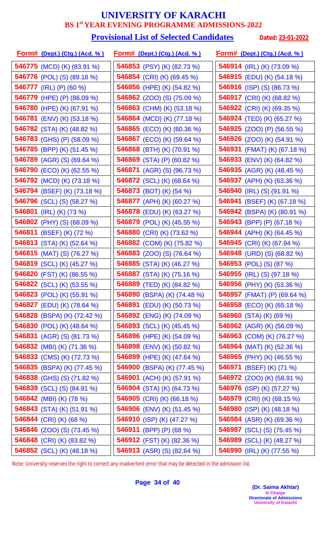#### **Provisional List of Selected Candidates** Dated: 23-01-2022

| <u>Form# (Dept.) (Ctg.) (Acd. %)</u> | <u>Form# (Dept.) (Ctg.) (Acd. %)</u> | <u>Form# (Dept.) (Ctg.) (Acd. % )</u> |
|--------------------------------------|--------------------------------------|---------------------------------------|
| 546775 (MCD) (K) (83.91 %)           | 546853 (PSY) (K) (82.73 %)           | <b>546914</b> (IRL) (K) (73.09 %)     |
| <b>546776</b> (POL) (S) (89.18 %)    | 546854 (CRI) (K) (69.45 %)           | 546915 (EDU) (K) (54.18 %)            |
| 546777 (IRL) (P) (60 %)              | <b>546856</b> (HPE) (K) (54.82 %)    | <b>546916</b> (ISP) (S) (86.73 %)     |
| 546779 (HPE) (P) (86.09 %)           | <b>546862</b> (ZOO) (S) (75.09 %)    | 546917 (CRI) (K) (68.82 %)            |
| 546780 (HPE) (K) (67.91 %)           | 546863 (CHM) (K) (53.18 %)           | 546922 (CRI) (K) (69.35 %)            |
| <b>546781</b> (ENV) (K) (53.18 %)    | 546864 (MCD) (K) (77.18 %)           | <b>546924</b> (TED) (K) (65.27 %)     |
| <b>546782</b> (STA) (K) (48.82 %)    | <b>546865</b> (ECO) (K) (60.36 %)    | <b>546925</b> (ZOO) (P) (56.55 %)     |
| 546783 (GHS) (P) (58.09 %)           | 546867 (ECO) (K) (59.64 %)           | <b>546926</b> (ZOO) (K) (54.91 %)     |
| <b>546785</b> (BPP) (K) (51.45 %)    | 546868 (BTH) (K) (70.91 %)           | 546931 (FMAT) (K) (67.18 %)           |
| 546789 (AGR) (S) (69.64 %)           | 546869 (STA) (P) (60.82 %)           | <b>546933</b> (ENV) (K) (64.82 %)     |
| <b>546790</b> (ECO) (K) (62.55 %)    | <b>546871</b> (AGR) (S) (96.73 %)    | 546935 (AGR) (K) (48.45 %)            |
| <b>546792</b> (MCD) (K) (73.18 %)    | <b>546872</b> (SCL) (K) (68.64 %)    | <b>546937</b> (APH) (K) (63.36 %)     |
| 546794 (BSEF) (K) (73.18 %)          | <b>546873</b> (BOT) (K) (54 %)       | <b>546940</b> (IRL) (S) (91.91 %)     |
| <b>546796</b> (SCL) (S) (58.27 %)    | 546877 (APH) (K) (60.27 %)           | <b>546941</b> (BSEF) (K) (67.18 %)    |
| 546801 (IRL) (K) (73 %)              | 546878 (EDU) (K) (63.27 %)           | 546942 (BSPA) (K) (80.91 %)           |
| 546802 (PHY) (S) (68.09 %)           | 546879 (POL) (K) (45.55 %)           | 546943 (BPP) (P) (67.18 %)            |
| 546811 (BSEF) (K) (72 %)             | 546880 (CRI) (K) (73.62 %)           | 546944 (APH) (K) (64.45 %)            |
| 546813 (STA) (K) (52.64 %)           | 546882 (COM) (K) (75.82 %)           | 546945 (CRI) (K) (67.94 %)            |
| 546815 (MAT) (S) (76.27 %)           | <b>546883</b> (ZOO) (S) (76.64 %)    | 546948 (URD) (S) (68.82 %)            |
| 546819 (SCL) (K) (45.27 %)           | 546885 (STA) (K) (46.27 %)           | 546953 (POL) (S) (87 %)               |
| 546820 (FST) (K) (86.55 %)           | 546887 (STA) (K) (75.16 %)           | 546955 (IRL) (S) (97.18 %)            |
| 546822 (SCL) (K) (53.55 %)           | 546889 (TED) (K) (84.82 %)           | 546956 (PHY) (K) (53.36 %)            |
| 546823 (POL) (K) (55.91 %)           | 546890 (BSPA) (K) (74.48 %)          | <b>546957</b> (FMAT) (P) (69.64 %)    |
| <b>546827</b> (EDU) (K) (78.64 %)    | <b>546891</b> (EDU) (K) (50.73 %)    | 546958 (ECO) (K) (65.18 %)            |
| 546828 (BSPA) (K) (72.42 %)          | 546892 (ENG) (K) (74.09 %)           | 546960 (STA) (K) (69 %)               |
| 546830 (POL) (K) $(48.64\%)$         | <b>546893</b> (SCL) (K) (45.45 %)    | <b>546962</b> (AGR) (K) (56.09 %)     |
| 546831 (AGR) (S) $(81.73\%)$         | 546896 (HPE) (K) (54.09 %)           | 546963 (COM) (K) (76.27 %)            |
| 546832 (MBI) (K) (71.36 %)           | 546898 (ENV) (K) (50.82 %)           | <b>546964</b> (MAT) (K) (52.36 %)     |
| 546833 (CMS) (K) (72.73 %)           | <b>546899</b> (HPE) (K) (47.64 %)    | <b>546965</b> (PHY) (K) (46.55 %)     |
| 546835 (BSPA) (K) (77.45 %)          | 546900 (BSPA) (K) (77.45 %)          | 546971 (BSEF) (K) (71 %)              |
| <b>546838</b> (GHS) (S) (71.82 %)    | 546901 (ACH) (K) (57.91 %)           | <b>546972</b> (ZOO) (K) (58.91 %)     |
| <b>546839</b> (SCL) (S) (84.91 %)    | 546904 (STA) (K) (64.73 %)           | 546976 (ISP) (K) (57.27 %)            |
| 546842 (MBI) (K) (78 %)              | 546905 (CRI) (K) (66.18 %)           | 546979 (CRI) (K) (68.15 %)            |
| 546843 (STA) (K) (51.91 %)           | <b>546906</b> (ENV) (K) (51.45 %)    | <b>546980</b> (ISP) (K) (48.18 %)     |
| 546844 (CRI) (K) (68 %)              | 546910 (ISP) (K) (47.27 %)           | <b>546984</b> (ASR) (K) (69.36 %)     |
| <b>546846</b> (ZOO) (S) (73.45 %)    | 546911 (BPP) (P) (68 %)              | 546987 (SCL) (S) (75.45 %)            |
| 546848 (CRI) (K) (83.82 %)           | <b>546912</b> (FST) (K) (82.36 %)    | 546989 (SCL) (K) (48.27 %)            |
| 546852 (SCL) (K) (48.18 %)           | 546913 (ASR) (S) (82.64 %)           | 546990 (IRL) (K) (77.55 %)            |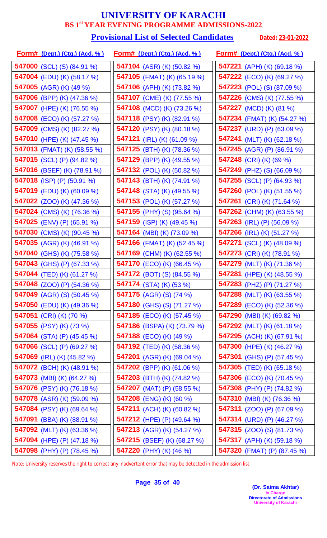# **Provisional List of Selected Candidates** Dated: 23-01-2022

| <u>Form# (Dept.) (Ctg.) (Acd. % )</u> | <u>Form# (Dept.) (Ctg.) (Acd. %)</u> | <u>Form# (Dept.) (Ctg.) (Acd. % )</u> |  |
|---------------------------------------|--------------------------------------|---------------------------------------|--|
| <b>547000</b> (SCL) (S) (84.91 %)     | 547104 (ASR) (K) (50.82 %)           | 547221 (APH) (K) (69.18 %)            |  |
| <b>547004</b> (EDU) (K) (58.17 %)     | <b>547105</b> (FMAT) (K) (65.19 %)   | 547222 (ECO) (K) (69.27 %)            |  |
| 547005 (AGR) (K) (49 %)               | 547106 (APH) (K) (73.82 %)           | <b>547223</b> (POL) (S) (87.09 %)     |  |
| <b>547006</b> (BPP) (K) (47.36 %)     | <b>547107</b> (CME) (K) (77.55 %)    | 547226 (CMS) (K) (77.55 %)            |  |
| 547007 (HPE) (K) (76.55 %)            | 547108 (MCD) (K) (73.26 %)           | <b>547227</b> (MCD) (K) (81 %)        |  |
| 547008 (ECO) (K) (57.27 %)            | 547118 (PSY) (K) (82.91 %)           | <b>547234</b> (FMAT) (K) (54.27 %)    |  |
| 547009 (CMS) (K) (82.27 %)            | 547120 (PSY) (K) (80.18 %)           | 547237 (URD) (P) (63.09 %)            |  |
| 547010 (HPE) (K) (47.45 %)            | <b>547121</b> (IRL) (K) (61.09 %)    | 547241 (MLT) (K) $(62.18\%)$          |  |
| <b>547013</b> (FMAT) (K) (58.55 %)    | 547125 (BTH) (K) (78.36 %)           | 547245 (AGR) (P) (86.91 %)            |  |
| 547015 (SCL) (P) (94.82 %)            | 547129 (BPP) (K) (49.55 %)           | 547248 (CRI) (K) (69 %)               |  |
| 547016 (BSEF) (K) (78.91 %)           | 547132 (POL) (K) (50.82 %)           | 547249 (PHZ) (S) (66.09 %)            |  |
| 547018 (ISP) (P) (50.91 %)            | <b>547143</b> (BTH) (K) (74.91 %)    | <b>547255</b> (SCL) (P) (64.93 %)     |  |
| 547019 (EDU) (K) (60.09 %)            | <b>547148</b> (STA) (K) (49.55 %)    | 547260 (POL) (K) (51.55 %)            |  |
| <b>547022</b> (ZOO) (K) (47.36 %)     | 547153 (POL) (K) (57.27 %)           | <b>547261</b> (CRI) (K) (71.64 %)     |  |
| 547024 (CMS) (K) (76.36 %)            | 547155 (PHY) (S) (95.64 %)           | 547262 (CHM) (K) (63.55 %)            |  |
| 547025 (ENV) (P) (65.91 %)            | <b>547159</b> (ISP) (K) (49.45 %)    | 547263 (IRL) (P) (56.09 %)            |  |
| 547030 (CMS) (K) (90.45 %)            | <b>547164</b> (MBI) (K) (73.09 %)    | <b>547266</b> (IRL) (K) (51.27 %)     |  |
| 547035 (AGR) (K) (46.91 %)            | <b>547166</b> (FMAT) (K) (52.45 %)   | <b>547271</b> (SCL) (K) (48.09 %)     |  |
| 547040 (GHS) (K) (75.58 %)            | 547169 (CHM) (K) (62.55 %)           | 547273 (CRI) (K) (78.91 %)            |  |
| 547043 (GHS) (P) (67.33 %)            | <b>547170</b> (ECO) (K) (66.45 %)    | 547279 (MLT) (K) (71.36 %)            |  |
| 547044 (TED) (K) (61.27 %)            | <b>547172</b> (BOT) (S) (84.55 %)    | 547281 (HPE) (K) (48.55 %)            |  |
| 547048 (ZOO) (P) (54.36 %)            | <b>547174</b> (STA) (K) (53 %)       | 547283 (PHZ) (P) (71.27 %)            |  |
| 547049 (AGR) (S) (50.45 %)            | <b>547175</b> (AGR) (S) (74 %)       | 547288 (MLT) (K) $(63.55\%)$          |  |
| <b>547050</b> (EDU) (K) (49.36 %)     | <b>547180</b> (GHS) (S) (71.27 %)    | <b>547289</b> (ECO) (K) (52.36 %)     |  |
| 547051 (CRI) (K) (70 %)               | <b>547185</b> (ECO) (K) (57.45 %)    | <b>547290</b> (MBI) (K) (69.82 %)     |  |
| 547055 (PSY) (K) (73 %)               | <b>547186</b> (BSPA) (K) (73.79 %)   | <b>547292</b> (MLT) (K) (61.18 %)     |  |
| 547064 (STA) (P) $(45.45\%)$          | 547188 (ECO) (K) (49 %)              | 547295 (ACH) (K) (67.91 %)            |  |
| 547066 (SCL) (P) (69.27 %)            | <b>547192</b> (TED) (K) (58.36 %)    | 547300 (HPE) (K) $(46.27\%)$          |  |
| <b>547069</b> (IRL) (K) (45.82 %)     | 547201 (AGR) (K) (69.04 %)           | <b>547301</b> (GHS) (P) (57.45 %)     |  |
| <b>547072</b> (BCH) (K) (48.91 %)     | 547202 (BPP) (K) (61.06 %)           | <b>547305</b> (TED) (K) (65.18 %)     |  |
| 547073 (MBI) (K) $(64.27%)$           | 547203 (BTH) (K) (74.82 %)           | 547306 (ECO) (K) (70.45 %)            |  |
| 547076 (PSY) (K) (76.18 %)            | 547207 (MAT) (P) (58.55 %)           | 547308 (PHY) (P) (74.82 %)            |  |
| <b>547078</b> (ASR) (K) (59.09 %)     | 547208 (ENG) (K) (60 %)              | 547310 (MBI) (K) (76.36 %)            |  |
| 547084 (PSY) (K) (69.64 %)            | <b>547211</b> (ACH) (K) (60.82 %)    | 547311 $(ZOO)$ (P) $(67.09\%)$        |  |
| <b>547091</b> (BBA) (K) (88.91 %)     | 547212 (HPE) (P) (49.64 %)           | 547314 (URD) (P) $(46.27%)$           |  |
| 547092 (MLT) (K) (63.36 %)            | 547213 (AGR) (K) (54.27 %)           | <b>547315</b> (ZOO) (S) (81.73 %)     |  |
| 547094 (HPE) (P) (47.18 %)            | 547215 (BSEF) (K) (68.27 %)          | 547317 (APH) (K) (59.18 %)            |  |
| 547098 (PHY) (P) (78.45 %)            | 547220 (PHY) (K) (46 %)              | 547320 (FMAT) (P) (87.45 %)           |  |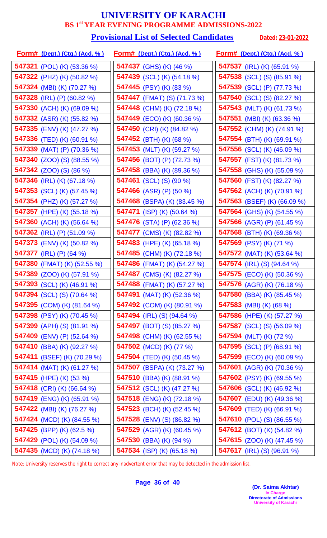#### **Provisional List of Selected Candidates** Dated: 23-01-2022

| <u>Form# (Dept.) (Ctg.) (Acd. % )</u> | <u>Form# (Dept.) (Ctg.) (Acd. %)</u> | <u>Form# (Dept.) (Ctg.) (Acd. % )</u> |
|---------------------------------------|--------------------------------------|---------------------------------------|
| <b>547321</b> (POL) (K) (53.36 %)     | 547437 (GHS) (K) (46 %)              | <b>547537</b> (IRL) (K) (65.91 %)     |
| 547322 (PHZ) (K) (50.82 %)            | <b>547439</b> (SCL) (K) (54.18 %)    | <b>547538</b> (SCL) (S) (85.91 %)     |
| 547324 (MBI) (K) (70.27 %)            | 547445 (PSY) (K) (83 %)              | 547539 (SCL) (P) (77.73 %)            |
| 547328 (IRL) (P) (60.82 %)            | <b>547447</b> (FMAT) (S) (71.73 %)   | 547540 (SCL) (S) (82.27 %)            |
| 547330 (ACH) (K) (69.09 %)            | 547448 (CHM) (K) (72.18 %)           | 547543 (MLT) (K) (61.73 %)            |
| <b>547332</b> (ASR) (K) (55.82 %)     | <b>547449</b> (ECO) (K) (60.36 %)    | <b>547551</b> (MBI) (K) (63.36 %)     |
| <b>547335</b> (ENV) (K) (47.27 %)     | 547450 (CRI) (K) (84.82 %)           | 547552 (CHM) (K) (74.91 %)            |
| 547336 (TED) (K) (60.91 %)            | <b>547452</b> (BTH) (K) (68 %)       | 547554 (BTH) (K) (69.91 %)            |
| 547339 (MAT) (P) (70.36 %)            | 547453 (MLT) (K) (59.27 %)           | 547556 (SCL) (K) (46.09 %)            |
| <b>547340</b> (ZOO) (S) (88.55 %)     | 547456 (BOT) (P) (72.73 %)           | <b>547557</b> (FST) (K) (81.73 %)     |
| <b>547342</b> (ZOO) (S) (86 %)        | 547458 (BBA) (K) (89.36 %)           | 547558 (GHS) (K) (55.09 %)            |
| 547346 (IRL) (K) (67.18 %)            | <b>547461</b> (SCL) (S) (90 %)       | 547560 (FST) (K) (82.27 %)            |
| 547353 (SCL) (K) (57.45 %)            | 547466 (ASR) (P) (50 %)              | 547562 (ACH) (K) (70.91 %)            |
| 547354 (PHZ) (K) (57.27 %)            | <b>547468</b> (BSPA) (K) (83.45 %)   | 547563 (BSEF) (K) (66.09 %)           |
| <b>547357</b> (HPE) (K) (55.18 %)     | 547471 (ISP) (K) (50.64 %)           | 547564 (GHS) (K) (54.55 %)            |
| 547360 (ACH) (K) (56.64 %)            | <b>547476</b> (STA) (P) (62.36 %)    | 547566 (AGR) (P) (61.45 %)            |
| 547362 (IRL) (P) (51.09 %)            | <b>547477</b> (CMS) (K) (82.82 %)    | 547568 (BTH) (K) (69.36 %)            |
| 547373 (ENV) (K) (50.82 %)            | <b>547483</b> (HPE) (K) (65.18 %)    | 547569 (PSY) (K) (71 %)               |
| 547377 (IRL) (P) (64 %)               | 547485 (CHM) (K) (72.18 %)           | 547572 (MAT) (K) (53.64 %)            |
| 547380 (FMAT) (K) (52.55 %)           | 547486 (FMAT) (K) (54.27 %)          | <b>547574</b> (IRL) (S) (94.64 %)     |
| 547389 (ZOO) (K) (57.91 %)            | 547487 (CMS) (K) (82.27 %)           | <b>547575</b> (ECO) (K) (50.36 %)     |
| 547393 (SCL) (K) (46.91 %)            | 547488 (FMAT) (K) (57.27 %)          | 547576 (AGR) (K) (76.18 %)            |
| 547394 (SCL) (S) (70.64 %)            | <b>547491</b> (MAT) (K) (52.36 %)    | <b>547580</b> (BBA) (K) (85.45 %)     |
| <b>547395</b> (COM) (K) (81.64 %)     | <b>547492</b> (COM) (K) (80.91 %)    | 547583 (MBI) (K) (68 %)               |
| 547398 (PSY) (K) (70.45 %)            | <b>547494</b> (IRL) (S) $(94.64\%)$  | 547586 (HPE) (K) (57.27 %)            |
| <b>547399</b> (APH) (S) (81.91 %)     | 547497 (BOT) (S) $(85.27\%)$         | <b>547587</b> (SCL) (S) (56.09 %)     |
| <b>547409</b> (ENV) (P) (52.64 %)     | 547498 (CHM) (K) (62.55 %)           | 547594 (MLT) (K) (72 %)               |
| <b>547410</b> (BBA) (K) (92.27 %)     | <b>547502</b> (MCD) (K) (77 %)       | <b>547595</b> (SCL) (P) (68.91 %)     |
| 547411 (BSEF) (K) (70.29 %)           | 547504 (TED) (K) (50.45 %)           | <b>547599</b> (ECO) (K) (60.09 %)     |
| <b>547414</b> (MAT) (K) (61.27 %)     | <b>547507</b> (BSPA) (K) (73.27 %)   | <b>547601</b> (AGR) (K) (70.36 %)     |
| 547415 (HPE) (K) (53 %)               | 547510 (BBA) (K) (88.91 %)           | 547602 (PSY) (K) (69.55 %)            |
| 547418 (CRI) (K) (66.64 %)            | 547512 (SCL) (K) (47.27 %)           | <b>547606</b> (SCL) (K) (46.92 %)     |
| 547419 (ENG) (K) (65.91 %)            | 547518 (ENG) (K) (72.18 %)           | <b>547607</b> (EDU) (K) (49.36 %)     |
| <b>547422</b> (MBI) (K) (76.27 %)     | 547523 (BCH) (K) (52.45 %)           | 547609 (TED) (K) (66.91 %)            |
| <b>547424</b> (MCD) (K) (84.55 %)     | <b>547528</b> (ENV) (S) (86.82 %)    | <b>547610</b> (POL) (S) (86.55 %)     |
| 547425 (BPP) (K) (62.5 %)             | 547529 (AGR) (K) (60.45 %)           | <b>547612</b> (BOT) (K) (54.82 %)     |
| 547429 (POL) (K) (54.09 %)            | 547530 (BBA) (K) (94 %)              | 547615 (ZOO) (K) (47.45 %)            |
| 547435 (MCD) (K) (74.18 %)            | 547534 (ISP) (K) (65.18 %)           | 547617 (IRL) (S) (96.91 %)            |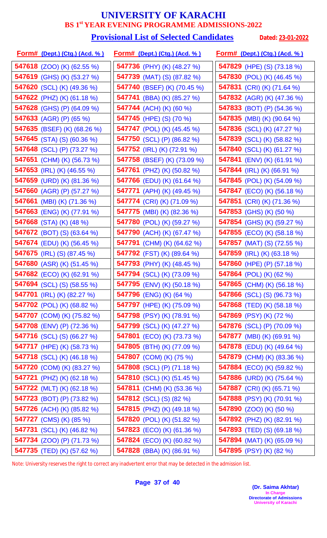#### **Provisional List of Selected Candidates** Dated: 23-01-2022

| <u>Form# (Dept.) (Ctg.) (Acd. % )</u> | <u>Form# (Dept.) (Ctg.) (Acd. %)</u> | <u>Form# (Dept.) (Ctg.) (Acd. % )</u> |
|---------------------------------------|--------------------------------------|---------------------------------------|
| <b>547618</b> (ZOO) (K) (62.55 %)     | <b>547736</b> (PHY) (K) (48.27 %)    | 547829 (HPE) (S) (73.18 %)            |
| 547619 (GHS) (K) (53.27 %)            | <b>547739</b> (MAT) (S) (87.82 %)    | 547830 (POL) (K) (46.45 %)            |
| <b>547620</b> (SCL) (K) (49.36 %)     | 547740 (BSEF) (K) (70.45 %)          | 547831 (CRI) (K) (71.64 %)            |
| <b>547622</b> (PHZ) (K) (61.18 %)     | <b>547741</b> (BBA) (K) (85.27 %)    | <b>547832</b> (AGR) (K) (47.36 %)     |
| <b>547628</b> (GHS) (P) (64.09 %)     | 547744 (ACH) (K) (60 %)              | <b>547833</b> (BOT) (P) (54.36 %)     |
| 547633 (AGR) (P) (65 %)               | <b>547745</b> (HPE) (S) (70 %)       | <b>547835</b> (MBI) (K) (90.64 %)     |
| 547635 (BSEF) (K) (68.26 %)           | 547747 (POL) (K) (45.45 %)           | 547836 (SCL) (K) (47.27 %)            |
| <b>547645</b> (STA) (S) (60.36 %)     | 547750 (SCL) (P) (86.82 %)           | 547839 (SCL) (K) (58.82 %)            |
| 547648 (SCL) (P) (73.27 %)            | 547752 (IRL) (K) (72.91 %)           | 547840 (SCL) (K) (61.27 %)            |
| 547651 (CHM) (K) (56.73 %)            | 547758 (BSEF) (K) (73.09 %)          | <b>547841</b> (ENV) (K) (61.91 %)     |
| <b>547653</b> (IRL) (K) (46.55 %)     | 547761 (PHZ) (K) (50.82 %)           | 547844 (IRL) (K) (66.91 %)            |
| 547659 (URD) (K) (81.36 %)            | <b>547766</b> (EDU) (K) (61.64 %)    | <b>547845</b> (POL) (K) (54.09 %)     |
| 547660 (AGR) (P) (57.27 %)            | 547771 (APH) (K) (49.45 %)           | 547847 (ECO) (K) (56.18 %)            |
| <b>547661</b> (MBI) (K) (71.36 %)     | 547774 (CRI) (K) (71.09 %)           | <b>547851</b> (CRI) (K) (71.36 %)     |
| 547663 (ENG) (K) (77.91 %)            | <b>547775</b> (MBI) (K) (82.36 %)    | 547853 (GHS) (K) (50 %)               |
| 547668 (STA) (K) $(48%)$              | 547780 (POL) (K) (59.27 %)           | 547854 (GHS) (K) (59.27 %)            |
| <b>547672</b> (BOT) (S) (63.64 %)     | <b>547790</b> (ACH) (K) (67.47 %)    | <b>547855</b> (ECO) (K) (58.18 %)     |
| <b>547674</b> (EDU) (K) (56.45 %)     | 547791 (CHM) (K) (64.62 %)           | <b>547857</b> (MAT) (S) (72.55 %)     |
| 547675 (IRL) (S) (87.45 %)            | 547792 (FST) (K) (89.64 %)           | 547859 (IRL) (K) (63.18 %)            |
| 547680 (ASR) (K) (51.45 %)            | 547793 (PHY) (K) (48.45 %)           | 547860 (HPE) (P) (57.18 %)            |
| <b>547682</b> (ECO) (K) (62.91 %)     | 547794 (SCL) (K) (73.09 %)           | <b>547864</b> (POL) (K) (62 %)        |
| <b>547694</b> (SCL) (S) (58.55 %)     | <b>547795</b> (ENV) (K) (50.18 %)    | 547865 (CHM) (K) (56.18 %)            |
| 547701 (IRL) (K) (82.27 %)            | <b>547796</b> (ENG) (K) (64 %)       | <b>547866</b> (SCL) (S) (96.73 %)     |
| <b>547702</b> (POL) (K) (68.82 %)     | <b>547797</b> (HPE) (K) (75.09 %)    | <b>547868</b> (TED) (K) (58.18 %)     |
| 547707 (COM) (K) (75.82 %)            | 547798 (PSY) (K) (78.91 %)           | 547869 (PSY) (K) (72 %)               |
| 547708 (ENV) (P) (72.36 %)            | 547799 (SCL) (K) (47.27 %)           | <b>547876</b> (SCL) (P) (70.09 %)     |
| <b>547716</b> (SCL) (S) (66.27 %)     | 547801 (ECO) (K) (73.73 %)           | <b>547877</b> (MBI) (K) (69.91 %)     |
| 547717 (HPE) (K) (58.73 %)            | <b>547805</b> (BTH) (K) (77.09 %)    | 547878 (EDU) (K) (49.64 %)            |
| <b>547718</b> (SCL) (K) (46.18 %)     | <b>547807</b> (COM) (K) (75 %)       | 547879 (CHM) (K) (83.36 %)            |
| <b>547720</b> (COM) (K) (83.27 %)     | 547808 (SCL) (P) (71.18 %)           | 547884 (ECO) (K) (59.82 %)            |
| <b>547721</b> (PHZ) (K) (62.18 %)     | 547810 (SCL) (K) (51.45 %)           | <b>547886</b> (URD) (K) (75.64 %)     |
| <b>547722</b> (MLT) (K) (62.18 %)     | 547811 (CHM) (K) (53.36 %)           | 547887 (CRI) (K) (65.71 %)            |
| <b>547723</b> (BOT) (P) (73.82 %)     | <b>547812</b> (SCL) (S) (82 %)       | 547888 (PSY) (K) (70.91 %)            |
| 547726 (ACH) (K) (85.82 %)            | <b>547815</b> (PHZ) (K) (49.18 %)    | <b>547890</b> (ZOO) (K) (50 %)        |
| <b>547727</b> (CMS) (K) (85 %)        | 547820 (POL) (K) (51.82 %)           | 547892 (PHZ) (K) (82.91 %)            |
| 547731 (SCL) (K) (46.82 %)            | <b>547823</b> (ECO) (K) (61.36 %)    | <b>547893</b> (TED) (S) (69.18 %)     |
| 547734 (ZOO) (P) (71.73 %)            | 547824 (ECO) (K) (60.82 %)           | 547894 (MAT) (K) (65.09 %)            |
| 547735 (TED) (K) (57.62 %)            | 547828 (BBA) (K) (86.91 %)           | 547895 (PSY) (K) (82 %)               |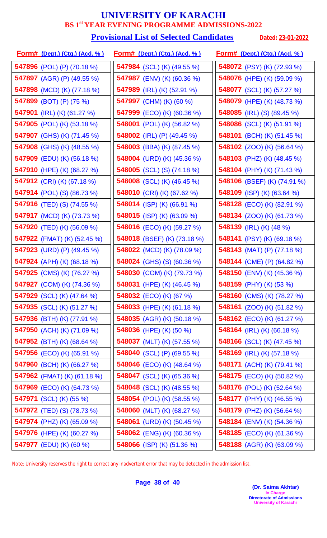#### **Provisional List of Selected Candidates** Dated: 23-01-2022

| <u>Form# (Dept.) (Ctg.) (Acd. %)</u> | <u>Form# (Dept.) (Ctg.) (Acd. %)</u> | <u> Form# (Dept.) (Ctg.) (Acd. % )</u> |
|--------------------------------------|--------------------------------------|----------------------------------------|
| <b>547896</b> (POL) (P) (70.18 %)    | <b>547984</b> (SCL) (K) (49.55 %)    | 548072 (PSY) (K) (72.93 %)             |
| 547897 (AGR) (P) (49.55 %)           | <b>547987</b> (ENV) (K) (60.36 %)    | 548076 (HPE) (K) (59.09 %)             |
| 547898 (MCD) (K) (77.18 %)           | <b>547989</b> (IRL) (K) (52.91 %)    | <b>548077</b> (SCL) (K) (57.27 %)      |
| 547899 (BOT) (P) (75 %)              | 547997 (CHM) (K) (60 %)              | 548079 (HPE) (K) (48.73 %)             |
| <b>547901</b> (IRL) (K) (61.27 %)    | <b>547999</b> (ECO) (K) (60.36 %)    | 548085 (IRL) (S) $(89.45\%)$           |
| <b>547905</b> (POL) (K) (53.18 %)    | <b>548001</b> (POL) (K) (56.82 %)    | <b>548086</b> (SCL) (K) (51.91 %)      |
| <b>547907</b> (GHS) (K) (71.45 %)    | 548002 (IRL) (P) $(49.45\%)$         | <b>548101</b> (BCH) (K) (51.45 %)      |
| <b>547908</b> (GHS) (K) (48.55 %)    | 548003 (BBA) (K) (87.45 %)           | <b>548102</b> (ZOO) (K) (56.64 %)      |
| <b>547909</b> (EDU) (K) (56.18 %)    | 548004 (URD) (K) $(45.36\%)$         | 548103 (PHZ) (K) (48.45 %)             |
| 547910 (HPE) (K) (68.27 %)           | <b>548005</b> (SCL) (S) (74.18 %)    | 548104 (PHY) (K) (71.43 %)             |
| <b>547912</b> (CRI) (K) (67.18 %)    | <b>548008</b> (SCL) (K) (46.45 %)    | 548106 (BSEF) (K) (74.91 %)            |
| <b>547914</b> (POL) (S) (86.73 %)    | <b>548010</b> (CRI) (K) (67.62 %)    | <b>548109</b> (ISP) (K) (63.64 %)      |
| <b>547916</b> (TED) (S) (74.55 %)    | 548014 (ISP) (K) $(66.91\%)$         | <b>548128</b> (ECO) (K) (82.91 %)      |
| 547917 (MCD) (K) (73.73 %)           | 548015 (ISP) (K) (63.09 %)           | <b>548134</b> (ZOO) (K) (61.73 %)      |
| <b>547920</b> (TED) (K) (56.09 %)    | 548016 (ECO) (K) (59.27 %)           | 548139 (IRL) (K) (48 %)                |
| <b>547922</b> (FMAT) (K) (52.45 %)   | 548018 (BSEF) (K) (73.18 %)          | <b>548141</b> (PSY) (K) (69.18 %)      |
| <b>547923</b> (URD) (P) (49.45 %)    | <b>548022</b> (MCD) (K) (78.09 %)    | 548143 (MAT) (P) $(77.18\%)$           |
| 547924 (APH) (K) $(68.18\%)$         | <b>548024</b> (GHS) (S) (60.36 %)    | 548144 (CME) (P) (64.82 %)             |
| 547925 (CMS) (K) (76.27 %)           | 548030 (COM) (K) (79.73 %)           | <b>548150</b> (ENV) (K) (45.36 %)      |
| 547927 (COM) (K) (74.36 %)           | 548031 (HPE) (K) (46.45 %)           | 548159 (PHY) (K) (53 %)                |
| 547929 (SCL) (K) (47.64 %)           | 548032 (ECO) (K) (67 %)              | 548160 (CMS) (K) (78.27 %)             |
| 547935 (SCL) (K) (51.27 %)           | 548033 (HPE) (K) (61.18 %)           | <b>548161</b> (ZOO) (K) (51.82 %)      |
| <b>547936</b> (BTH) (K) (77.91 %)    | <b>548035</b> (AGR) (K) (50.18 %)    | <b>548162</b> (ECO) (K) (61.27 %)      |
| 547950 (ACH) (K) (71.09 %)           | <b>548036</b> (HPE) (K) (50 %)       | 548164 (IRL) (K) (66.18 %)             |
| <b>547952</b> (BTH) (K) (68.64 %)    | 548037 (MLT) (K) $(57.55\%)$         | <b>548166</b> (SCL) (K) (47.45 %)      |
| <b>547956</b> (ECO) (K) (65.91 %)    | 548040 (SCL) (P) (69.55 %)           | 548169 (IRL) (K) (57.18 %)             |
| 547960 (BCH) (K) (66.27 %)           | 548046 (ECO) (K) (48.64 %)           | 548171 (ACH) (K) (79.41 %)             |
| <b>547962</b> (FMAT) (K) (61.18 %)   | <b>548047</b> (SCL) (K) (65.36 %)    | <b>548175</b> (ECO) (K) (50.82 %)      |
| 547969 (ECO) (K) (64.73 %)           | <b>548048</b> (SCL) (K) (48.55 %)    | <b>548176</b> (POL) (K) (52.64 %)      |
| 547971 (SCL) (K) (55 %)              | <b>548054</b> (POL) (K) (58.55 %)    | <b>548177</b> (PHY) (K) (46.55 %)      |
| 547972 (TED) (S) (78.73 %)           | 548060 (MLT) (K) (68.27 %)           | 548179 (PHZ) (K) (56.64 %)             |
| 547974 (PHZ) (K) (65.09 %)           | 548061 (URD) (K) (50.45 %)           | <b>548184</b> (ENV) (K) (54.36 %)      |
| 547976 (HPE) (K) (60.27 %)           | <b>548062</b> (ENG) (K) (60.36 %)    | <b>548185</b> (ECO) (K) (61.36 %)      |
| 547977 (EDU) (K) (60 %)              | 548066 (ISP) (K) (51.36 %)           | 548188 (AGR) (K) (63.09 %)             |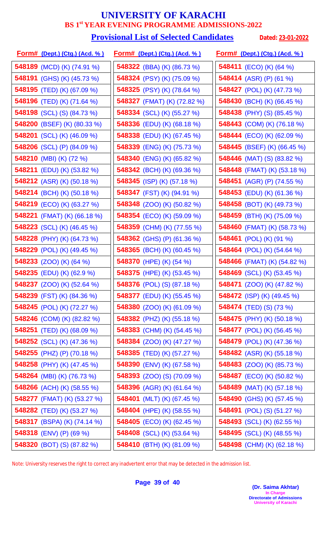#### **Provisional List of Selected Candidates** Dated: 23-01-2022

| <u>Form# (Dept.) (Ctg.) (Acd. %)</u> | <u>Form# (Dept.) (Ctg.) (Acd. %)</u> | <u>Form# (Dept.) (Ctg.) (Acd. %)</u> |
|--------------------------------------|--------------------------------------|--------------------------------------|
| <b>548189</b> (MCD) (K) (74.91 %)    | <b>548322</b> (BBA) (K) (86.73 %)    | <b>548411</b> (ECO) (K) (64 %)       |
| 548191 (GHS) (K) (45.73 %)           | <b>548324</b> (PSY) (K) (75.09 %)    | 548414 (ASR) (P) (61 %)              |
| 548195 (TED) (K) (67.09 %)           | <b>548325</b> (PSY) (K) (78.64 %)    | 548427 (POL) (K) (47.73 %)           |
| 548196 (TED) (K) (71.64 %)           | 548327 (FMAT) (K) (72.82 %)          | 548430 (BCH) (K) (66.45 %)           |
| <b>548198</b> (SCL) (S) (84.73 %)    | 548334 (SCL) (K) (55.27 %)           | <b>548438</b> (PHY) (S) (85.45 %)    |
| 548200 (BSEF) (K) (80.33 %)          | <b>548336</b> (EDU) (K) (68.18 %)    | 548443 (COM) (K) (76.18 %)           |
| 548201 (SCL) (K) (46.09 %)           | 548338 (EDU) (K) (67.45 %)           | 548444 (ECO) (K) (62.09 %)           |
| <b>548206</b> (SCL) (P) (84.09 %)    | <b>548339</b> (ENG) (K) (75.73 %)    | <b>548445</b> (BSEF) (K) (66.45 %)   |
| 548210 (MBI) (K) (72 %)              | 548340 (ENG) (K) (65.82 %)           | <b>548446</b> (MAT) (S) (83.82 %)    |
| 548211 (EDU) (K) (53.82 %)           | 548342 (BCH) (K) (69.36 %)           | 548448 (FMAT) (K) (53.18 %)          |
| <b>548212</b> (ASR) (K) (50.18 %)    | 548345 (ISP) (K) (57.18 %)           | <b>548451</b> (AGR) (P) (74.55 %)    |
| <b>548214</b> (BCH) (K) (50.18 %)    | <b>548347</b> (FST) (K) (94.91 %)    | <b>548453</b> (EDU) (K) (61.36 %)    |
| <b>548219</b> (ECO) (K) (63.27 %)    | <b>548348</b> (ZOO) (K) (50.82 %)    | <b>548458</b> (BOT) (K) (49.73 %)    |
| 548221 (FMAT) (K) (66.18 %)          | <b>548354</b> (ECO) (K) (59.09 %)    | 548459 (BTH) (K) (75.09 %)           |
| 548223 (SCL) (K) (46.45 %)           | 548359 (CHM) (K) (77.55 %)           | 548460 (FMAT) (K) (58.73 %)          |
| 548228 (PHY) (K) (64.73 %)           | <b>548362</b> (GHS) (P) (61.36 %)    | 548461 (POL) (K) (91 %)              |
| <b>548229</b> (POL) (K) (49.45 %)    | <b>548365</b> (BCH) (K) (60.45 %)    | <b>548464</b> (POL) (K) (54.64 %)    |
| <b>548233</b> (ZOO) (K) (64 %)       | 548370 (HPE) (K) (54 %)              | <b>548466</b> (FMAT) (K) (54.82 %)   |
| 548235 (EDU) (K) (62.9 %)            | 548375 (HPE) (K) (53.45 %)           | 548469 (SCL) (K) (53.45 %)           |
| <b>548237</b> (ZOO) (K) (52.64 %)    | <b>548376</b> (POL) (S) (87.18 %)    | <b>548471</b> (ZOO) (K) (47.82 %)    |
| 548239 (FST) (K) (84.36 %)           | 548377 (EDU) (K) (55.45 %)           | 548472 (ISP) (K) (49.45 %)           |
| 548245 (POL) (K) (72.27 %)           | 548380 $(ZOO)$ (K) $(61.09\%)$       | <b>548474</b> (TED) (S) (73 %)       |
| 548246 (COM) (K) (82.82 %)           | <b>548382</b> (PHZ) (K) (55.18 %)    | <b>548475</b> (PHY) (K) (50.18 %)    |
| <b>548251</b> (TED) (K) (68.09 %)    | 548383 (CHM) (K) (54.45 %)           | <b>548477</b> (POL) (K) (56.45 %)    |
| <b>548252</b> (SCL) (K) (47.36 %)    | <b>548384</b> (ZOO) (K) (47.27 %)    | <b>548479</b> (POL) (K) (47.36 %)    |
| 548255 (PHZ) (P) (70.18 %)           | 548385 (TED) (K) (57.27 %)           | 548482 (ASR) (K) (55.18 %)           |
| <b>548258</b> (PHY) (K) (47.45 %)    | 548390 (ENV) (K) (67.58 %)           | <b>548483</b> (ZOO) (K) (85.73 %)    |
| 548264 (MBI) (K) (76.73 %)           | <b>548393</b> (ZOO) (S) (70.09 %)    | 548487 (ECO) (K) (50.82 %)           |
| 548266 (ACH) (K) (58.55 %)           | <b>548396</b> (AGR) (K) (61.64 %)    | <b>548489</b> (MAT) (K) (57.18 %)    |
| <b>548277</b> (FMAT) (K) (53.27 %)   | 548401 (MLT) (K) (67.45 %)           | 548490 (GHS) (K) (57.45 %)           |
| 548282 (TED) (K) (53.27 %)           | 548404 (HPE) (K) (58.55 %)           | <b>548491</b> (POL) (S) (51.27 %)    |
| 548317 (BSPA) (K) (74.14 %)          | 548405 (ECO) (K) (62.45 %)           | 548493 (SCL) (K) (62.55 %)           |
| 548318 (ENV) (P) (69 %)              | 548408 (SCL) (K) (53.64 %)           | 548495 (SCL) (K) (48.55 %)           |
| <b>548320</b> (BOT) (S) (87.82 %)    | 548410 (BTH) (K) (81.09 %)           | 548498 (CHM) (K) (62.18 %)           |